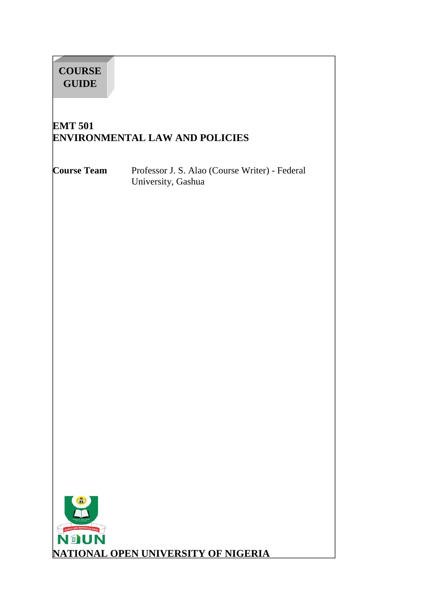| <b>COURSE</b><br><b>GUIDE</b>                           |                                                                      |  |  |
|---------------------------------------------------------|----------------------------------------------------------------------|--|--|
| <b>EMT 501</b><br><b>ENVIRONMENTAL LAW AND POLICIES</b> |                                                                      |  |  |
| <b>Course Team</b>                                      | Professor J. S. Alao (Course Writer) - Federal<br>University, Gashua |  |  |
|                                                         |                                                                      |  |  |
|                                                         |                                                                      |  |  |
|                                                         |                                                                      |  |  |
|                                                         |                                                                      |  |  |
|                                                         |                                                                      |  |  |
|                                                         |                                                                      |  |  |
|                                                         |                                                                      |  |  |
| GALE CREATERS IN WARE<br>NOUN                           |                                                                      |  |  |
|                                                         | <b>NATIONAL OPEN UNIVERSITY OF NIGERIA</b>                           |  |  |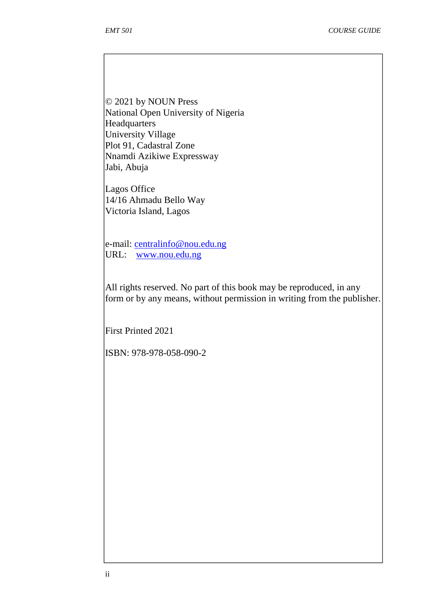© 2021 by NOUN Press National Open University of Nigeria **Headquarters** University Village Plot 91, Cadastral Zone Nnamdi Azikiwe Expressway Jabi, Abuja

Lagos Office 14/16 Ahmadu Bello Way Victoria Island, Lagos

e-mail: centralinfo@nou.edu.ng URL: www.nou.edu.ng

All rights reserved. No part of this book may be reproduced, in any form or by any means, without permission in writing from the publisher.

First Printed 2021

ISBN: 978-978-058-090-2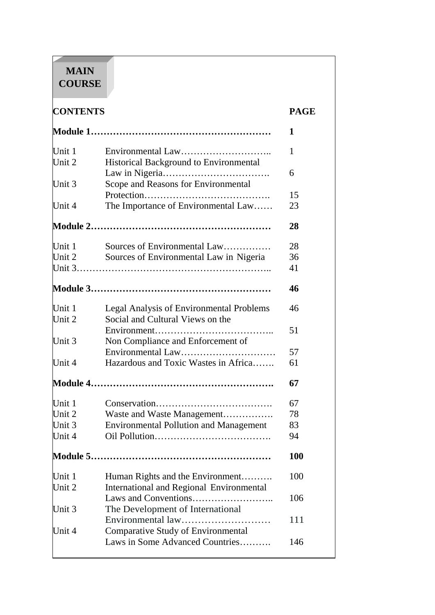# **MAIN COURSE**

 $\overline{\textbf{CONTENTS}}$ 

| ۰. |  |
|----|--|

|                  |                                                             | 1   |
|------------------|-------------------------------------------------------------|-----|
| Unit 1<br>Unit 2 | Environmental Law<br>Historical Background to Environmental | 1   |
|                  |                                                             | 6   |
| Unit 3           | Scope and Reasons for Environmental                         |     |
|                  |                                                             | 15  |
| Unit 4           | The Importance of Environmental Law                         | 23  |
|                  |                                                             | 28  |
| Unit $1$         | Sources of Environmental Law                                | 28  |
| Unit $2$         | Sources of Environmental Law in Nigeria                     | 36  |
|                  |                                                             | 41  |
|                  |                                                             | 46  |
| Unit 1           | Legal Analysis of Environmental Problems                    | 46  |
| Unit 2           | Social and Cultural Views on the                            |     |
|                  |                                                             | 51  |
| Unit 3           | Non Compliance and Enforcement of                           |     |
|                  | Environmental Law                                           | 57  |
| Unit $4$         | Hazardous and Toxic Wastes in Africa                        | 61  |
|                  |                                                             | 67  |
| Unit $1$         |                                                             | 67  |
| Unit 2           | Waste and Waste Management                                  | 78  |
| Unit 3           | <b>Environmental Pollution and Management</b>               | 83  |
| Unit 4           |                                                             | 94  |
|                  |                                                             | 100 |
| Unit 1           | Human Rights and the Environment                            | 100 |
| Unit 2           | <b>International and Regional Environmental</b>             |     |
|                  |                                                             | 106 |
| Unit $3$         | The Development of International                            |     |
|                  | Environmental law                                           | 111 |
| Unit $4$         | <b>Comparative Study of Environmental</b>                   |     |
|                  | Laws in Some Advanced Countries                             | 146 |
|                  |                                                             |     |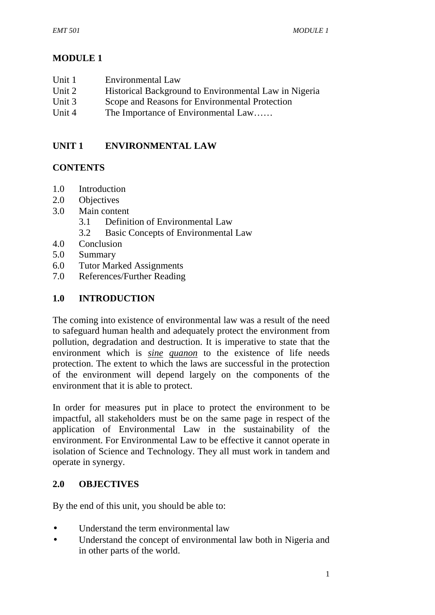# **MODULE 1**

| Unit 1 | Environmental Law                   |
|--------|-------------------------------------|
| TL: A  | IL stanical Dealsonaund to Environ- |

- Unit 2 Historical Background to Environmental Law in Nigeria
- Unit 3 Scope and Reasons for Environmental Protection
- Unit 4 The Importance of Environmental Law......

# **UNIT 1 ENVIRONMENTAL LAW**

# **CONTENTS**

- 1.0 Introduction
- 2.0 Objectives
- 3.0 Main content
	- 3.1 Definition of Environmental Law
	- 3.2 Basic Concepts of Environmental Law
- 4.0 Conclusion
- 5.0 Summary
- 6.0 Tutor Marked Assignments
- 7.0 References/Further Reading

# **1.0 INTRODUCTION**

The coming into existence of environmental law was a result of the need to safeguard human health and adequately protect the environment from pollution, degradation and destruction. It is imperative to state that the environment which is *sine quanon* to the existence of life needs protection. The extent to which the laws are successful in the protection of the environment will depend largely on the components of the environment that it is able to protect.

In order for measures put in place to protect the environment to be impactful, all stakeholders must be on the same page in respect of the application of Environmental Law in the sustainability of the environment. For Environmental Law to be effective it cannot operate in isolation of Science and Technology. They all must work in tandem and operate in synergy.

# **2.0 OBJECTIVES**

By the end of this unit, you should be able to:

- Understand the term environmental law
- Understand the concept of environmental law both in Nigeria and in other parts of the world.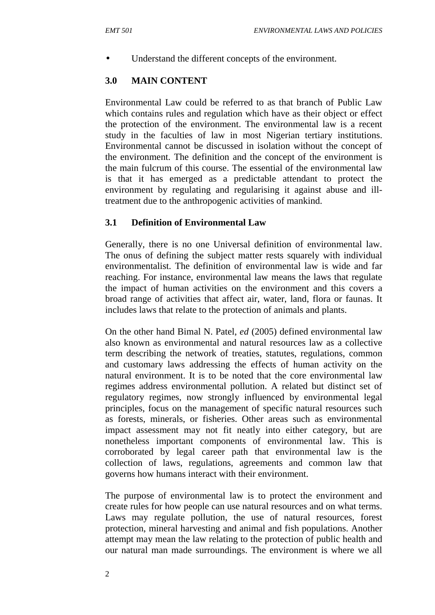Understand the different concepts of the environment.

# **3.0 MAIN CONTENT**

Environmental Law could be referred to as that branch of Public Law which contains rules and regulation which have as their object or effect the protection of the environment. The environmental law is a recent study in the faculties of law in most Nigerian tertiary institutions. Environmental cannot be discussed in isolation without the concept of the environment. The definition and the concept of the environment is the main fulcrum of this course. The essential of the environmental law is that it has emerged as a predictable attendant to protect the environment by regulating and regularising it against abuse and illtreatment due to the anthropogenic activities of mankind.

# **3.1 Definition of Environmental Law**

Generally, there is no one Universal definition of environmental law. The onus of defining the subject matter rests squarely with individual environmentalist. The definition of environmental law is wide and far reaching. For instance, environmental law means the laws that regulate the impact of human activities on the environment and this covers a broad range of activities that affect air, water, land, flora or faunas. It includes laws that relate to the protection of animals and plants.

On the other hand Bimal N. Patel, *ed* (2005) defined environmental law also known as environmental and natural resources law as a collective term describing the network of treaties, statutes, regulations, common and customary laws addressing the effects of human activity on the natural environment. It is to be noted that the core environmental law regimes address environmental pollution. A related but distinct set of regulatory regimes, now strongly influenced by environmental legal principles, focus on the management of specific natural resources such as forests, minerals, or fisheries. Other areas such as environmental impact assessment may not fit neatly into either category, but are nonetheless important components of environmental law. This is corroborated by legal career path that environmental law is the collection of laws, regulations, agreements and common law that governs how humans interact with their environment.

The purpose of environmental law is to protect the environment and create rules for how people can use natural resources and on what terms. Laws may regulate pollution, the use of natural resources, forest protection, mineral harvesting and animal and fish populations. Another attempt may mean the law relating to the protection of public health and our natural man made surroundings. The environment is where we all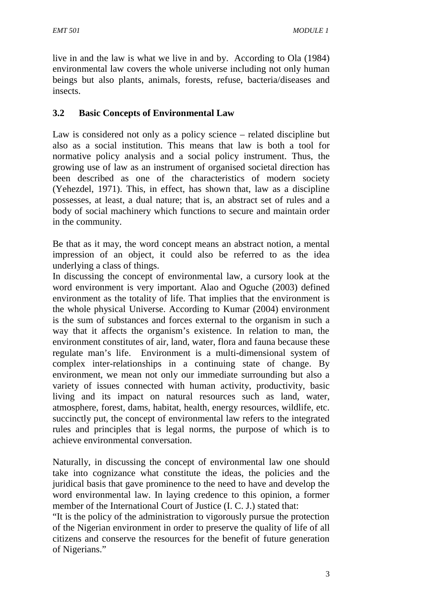live in and the law is what we live in and by. According to Ola (1984) environmental law covers the whole universe including not only human beings but also plants, animals, forests, refuse, bacteria/diseases and insects.

### **3.2 Basic Concepts of Environmental Law**

Law is considered not only as a policy science – related discipline but also as a social institution. This means that law is both a tool for normative policy analysis and a social policy instrument. Thus, the growing use of law as an instrument of organised societal direction has been described as one of the characteristics of modern society (Yehezdel, 1971). This, in effect, has shown that, law as a discipline possesses, at least, a dual nature; that is, an abstract set of rules and a body of social machinery which functions to secure and maintain order in the community.

Be that as it may, the word concept means an abstract notion, a mental impression of an object, it could also be referred to as the idea underlying a class of things.

In discussing the concept of environmental law, a cursory look at the word environment is very important. Alao and Oguche (2003) defined environment as the totality of life. That implies that the environment is the whole physical Universe. According to Kumar (2004) environment is the sum of substances and forces external to the organism in such a way that it affects the organism's existence. In relation to man, the environment constitutes of air, land, water, flora and fauna because these regulate man's life. Environment is a multi-dimensional system of complex inter-relationships in a continuing state of change. By environment, we mean not only our immediate surrounding but also a variety of issues connected with human activity, productivity, basic living and its impact on natural resources such as land, water, atmosphere, forest, dams, habitat, health, energy resources, wildlife, etc. succinctly put, the concept of environmental law refers to the integrated rules and principles that is legal norms, the purpose of which is to achieve environmental conversation.

Naturally, in discussing the concept of environmental law one should take into cognizance what constitute the ideas, the policies and the juridical basis that gave prominence to the need to have and develop the word environmental law. In laying credence to this opinion, a former member of the International Court of Justice (I. C. J.) stated that:

"It is the policy of the administration to vigorously pursue the protection of the Nigerian environment in order to preserve the quality of life of all citizens and conserve the resources for the benefit of future generation of Nigerians."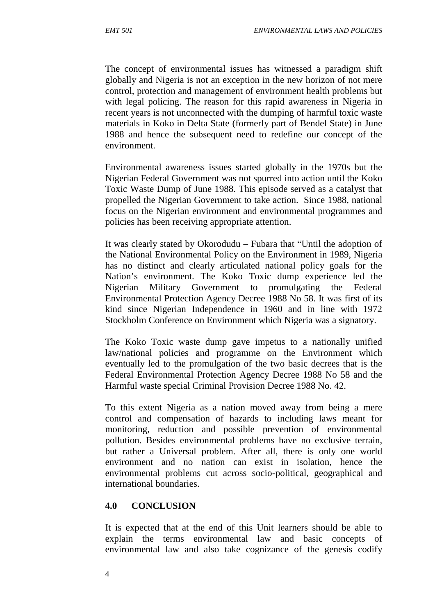The concept of environmental issues has witnessed a paradigm shift globally and Nigeria is not an exception in the new horizon of not mere control, protection and management of environment health problems but with legal policing. The reason for this rapid awareness in Nigeria in recent years is not unconnected with the dumping of harmful toxic waste materials in Koko in Delta State (formerly part of Bendel State) in June 1988 and hence the subsequent need to redefine our concept of the environment.

Environmental awareness issues started globally in the 1970s but the Nigerian Federal Government was not spurred into action until the Koko Toxic Waste Dump of June 1988. This episode served as a catalyst that propelled the Nigerian Government to take action. Since 1988, national focus on the Nigerian environment and environmental programmes and policies has been receiving appropriate attention.

It was clearly stated by Okorodudu – Fubara that "Until the adoption of the National Environmental Policy on the Environment in 1989, Nigeria has no distinct and clearly articulated national policy goals for the Nation's environment. The Koko Toxic dump experience led the Nigerian Military Government to promulgating the Federal Environmental Protection Agency Decree 1988 No 58. It was first of its kind since Nigerian Independence in 1960 and in line with 1972 Stockholm Conference on Environment which Nigeria was a signatory.

The Koko Toxic waste dump gave impetus to a nationally unified law/national policies and programme on the Environment which eventually led to the promulgation of the two basic decrees that is the Federal Environmental Protection Agency Decree 1988 No 58 and the Harmful waste special Criminal Provision Decree 1988 No. 42.

To this extent Nigeria as a nation moved away from being a mere control and compensation of hazards to including laws meant for monitoring, reduction and possible prevention of environmental pollution. Besides environmental problems have no exclusive terrain, but rather a Universal problem. After all, there is only one world environment and no nation can exist in isolation, hence the environmental problems cut across socio-political, geographical and international boundaries.

#### **4.0 CONCLUSION**

It is expected that at the end of this Unit learners should be able to explain the terms environmental law and basic concepts of environmental law and also take cognizance of the genesis codify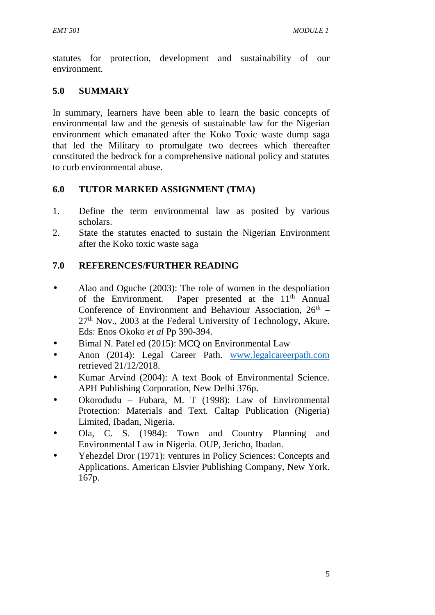statutes for protection, development and sustainability of our environment.

# **5.0 SUMMARY**

In summary, learners have been able to learn the basic concepts of environmental law and the genesis of sustainable law for the Nigerian environment which emanated after the Koko Toxic waste dump saga that led the Military to promulgate two decrees which thereafter constituted the bedrock for a comprehensive national policy and statutes to curb environmental abuse.

## **6.0 TUTOR MARKED ASSIGNMENT (TMA)**

- 1. Define the term environmental law as posited by various scholars.
- 2. State the statutes enacted to sustain the Nigerian Environment after the Koko toxic waste saga

# **7.0 REFERENCES/FURTHER READING**

- Alao and Oguche (2003): The role of women in the despoliation of the Environment. Paper presented at the  $11<sup>th</sup>$  Annual Conference of Environment and Behaviour Association,  $26<sup>th</sup>$  –  $27<sup>th</sup>$  Nov., 2003 at the Federal University of Technology, Akure. Eds: Enos Okoko *et al* Pp 390-394.
- Bimal N. Patel ed (2015): MCQ on Environmental Law
- Anon (2014): Legal Career Path. www.legalcareerpath.com retrieved 21/12/2018.
- Kumar Arvind (2004): A text Book of Environmental Science. APH Publishing Corporation, New Delhi 376p.
- Okorodudu Fubara, M. T (1998): Law of Environmental Protection: Materials and Text. Caltap Publication (Nigeria) Limited, Ibadan, Nigeria.
- Ola, C. S. (1984): Town and Country Planning and Environmental Law in Nigeria. OUP, Jericho, Ibadan.
- Yehezdel Dror (1971): ventures in Policy Sciences: Concepts and Applications. American Elsvier Publishing Company, New York. 167p.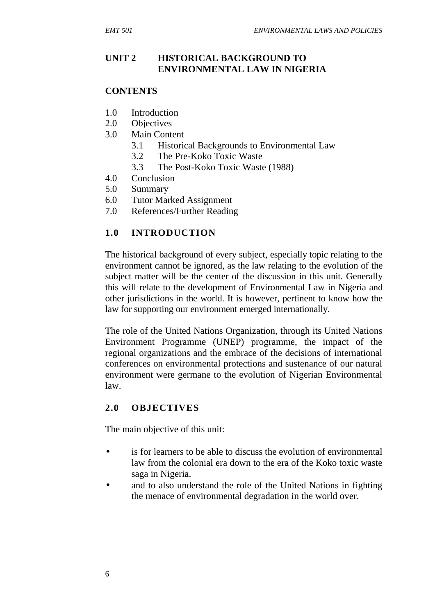# **UNIT 2 HISTORICAL BACKGROUND TO ENVIRONMENTAL LAW IN NIGERIA**

### **CONTENTS**

- 1.0 Introduction
- 2.0 Objectives
- 3.0 Main Content
	- 3.1 Historical Backgrounds to Environmental Law
	- 3.2 The Pre-Koko Toxic Waste
	- 3.3 The Post-Koko Toxic Waste (1988)
- 4.0 Conclusion
- 5.0 Summary
- 6.0 Tutor Marked Assignment
- 7.0 References/Further Reading

# **1.0 INTRODUCTION**

The historical background of every subject, especially topic relating to the environment cannot be ignored, as the law relating to the evolution of the subject matter will be the center of the discussion in this unit. Generally this will relate to the development of Environmental Law in Nigeria and other jurisdictions in the world. It is however, pertinent to know how the law for supporting our environment emerged internationally.

The role of the United Nations Organization, through its United Nations Environment Programme (UNEP) programme, the impact of the regional organizations and the embrace of the decisions of international conferences on environmental protections and sustenance of our natural environment were germane to the evolution of Nigerian Environmental law.

# **2.0 OBJECTIVES**

The main objective of this unit:

- is for learners to be able to discuss the evolution of environmental law from the colonial era down to the era of the Koko toxic waste saga in Nigeria.
- and to also understand the role of the United Nations in fighting the menace of environmental degradation in the world over.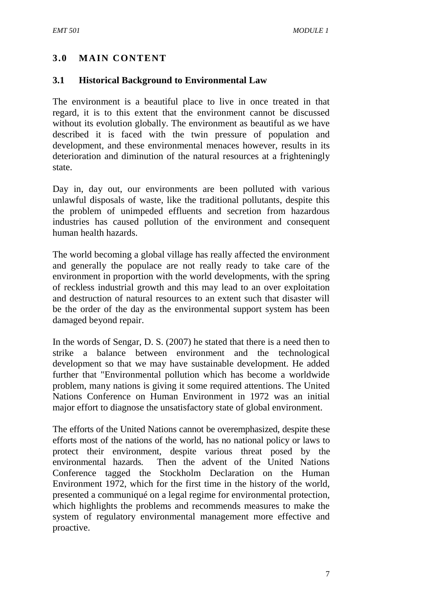# **3.0 MAIN CONTENT**

#### **3.1 Historical Background to Environmental Law**

The environment is a beautiful place to live in once treated in that regard, it is to this extent that the environment cannot be discussed without its evolution globally. The environment as beautiful as we have described it is faced with the twin pressure of population and development, and these environmental menaces however, results in its deterioration and diminution of the natural resources at a frighteningly state.

Day in, day out, our environments are been polluted with various unlawful disposals of waste, like the traditional pollutants, despite this the problem of unimpeded effluents and secretion from hazardous industries has caused pollution of the environment and consequent human health hazards.

The world becoming a global village has really affected the environment and generally the populace are not really ready to take care of the environment in proportion with the world developments, with the spring of reckless industrial growth and this may lead to an over exploitation and destruction of natural resources to an extent such that disaster will be the order of the day as the environmental support system has been damaged beyond repair.

In the words of Sengar, D. S. (2007) he stated that there is a need then to strike a balance between environment and the technological development so that we may have sustainable development. He added further that "Environmental pollution which has become a worldwide problem, many nations is giving it some required attentions. The United Nations Conference on Human Environment in 1972 was an initial major effort to diagnose the unsatisfactory state of global environment.

The efforts of the United Nations cannot be overemphasized, despite these efforts most of the nations of the world, has no national policy or laws to protect their environment, despite various threat posed by the environmental hazards. Then the advent of the United Nations Conference tagged the Stockholm Declaration on the Human Environment 1972, which for the first time in the history of the world, presented a communiqué on a legal regime for environmental protection, which highlights the problems and recommends measures to make the system of regulatory environmental management more effective and proactive.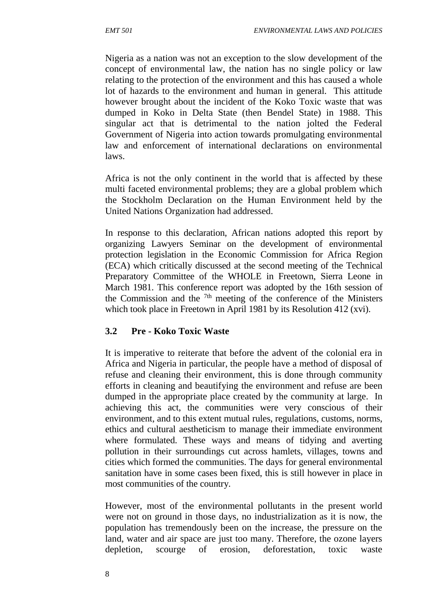Nigeria as a nation was not an exception to the slow development of the concept of environmental law, the nation has no single policy or law relating to the protection of the environment and this has caused a whole lot of hazards to the environment and human in general. This attitude however brought about the incident of the Koko Toxic waste that was dumped in Koko in Delta State (then Bendel State) in 1988. This singular act that is detrimental to the nation jolted the Federal Government of Nigeria into action towards promulgating environmental law and enforcement of international declarations on environmental laws.

Africa is not the only continent in the world that is affected by these multi faceted environmental problems; they are a global problem which the Stockholm Declaration on the Human Environment held by the United Nations Organization had addressed.

In response to this declaration, African nations adopted this report by organizing Lawyers Seminar on the development of environmental protection legislation in the Economic Commission for Africa Region (ECA) which critically discussed at the second meeting of the Technical Preparatory Committee of the WHOLE in Freetown, Sierra Leone in March 1981. This conference report was adopted by the 16th session of the Commission and the  $7<sup>th</sup>$  meeting of the conference of the Ministers which took place in Freetown in April 1981 by its Resolution 412 (xvi).

### **3.2 Pre - Koko Toxic Waste**

It is imperative to reiterate that before the advent of the colonial era in Africa and Nigeria in particular, the people have a method of disposal of refuse and cleaning their environment, this is done through community efforts in cleaning and beautifying the environment and refuse are been dumped in the appropriate place created by the community at large. In achieving this act, the communities were very conscious of their environment, and to this extent mutual rules, regulations, customs, norms, ethics and cultural aestheticism to manage their immediate environment where formulated. These ways and means of tidying and averting pollution in their surroundings cut across hamlets, villages, towns and cities which formed the communities. The days for general environmental sanitation have in some cases been fixed, this is still however in place in most communities of the country.

However, most of the environmental pollutants in the present world were not on ground in those days, no industrialization as it is now, the population has tremendously been on the increase, the pressure on the land, water and air space are just too many. Therefore, the ozone layers depletion, scourge of erosion, deforestation, toxic waste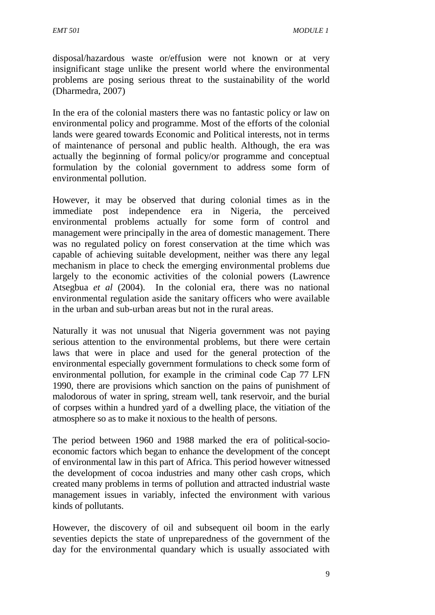disposal/hazardous waste or/effusion were not known or at very insignificant stage unlike the present world where the environmental problems are posing serious threat to the sustainability of the world (Dharmedra, 2007)

In the era of the colonial masters there was no fantastic policy or law on environmental policy and programme. Most of the efforts of the colonial lands were geared towards Economic and Political interests, not in terms of maintenance of personal and public health. Although, the era was actually the beginning of formal policy/or programme and conceptual formulation by the colonial government to address some form of environmental pollution.

However, it may be observed that during colonial times as in the immediate post independence era in Nigeria, the perceived environmental problems actually for some form of control and management were principally in the area of domestic management. There was no regulated policy on forest conservation at the time which was capable of achieving suitable development, neither was there any legal mechanism in place to check the emerging environmental problems due largely to the economic activities of the colonial powers (Lawrence Atsegbua *et al* (2004). In the colonial era, there was no national environmental regulation aside the sanitary officers who were available in the urban and sub-urban areas but not in the rural areas.

Naturally it was not unusual that Nigeria government was not paying serious attention to the environmental problems, but there were certain laws that were in place and used for the general protection of the environmental especially government formulations to check some form of environmental pollution, for example in the criminal code Cap 77 LFN 1990, there are provisions which sanction on the pains of punishment of malodorous of water in spring, stream well, tank reservoir, and the burial of corpses within a hundred yard of a dwelling place, the vitiation of the atmosphere so as to make it noxious to the health of persons.

The period between 1960 and 1988 marked the era of political-socio economic factors which began to enhance the development of the concept of environmental law in this part of Africa. This period however witnessed the development of cocoa industries and many other cash crops, which created many problems in terms of pollution and attracted industrial waste management issues in variably, infected the environment with various kinds of pollutants.

However, the discovery of oil and subsequent oil boom in the early seventies depicts the state of unpreparedness of the government of the day for the environmental quandary which is usually associated with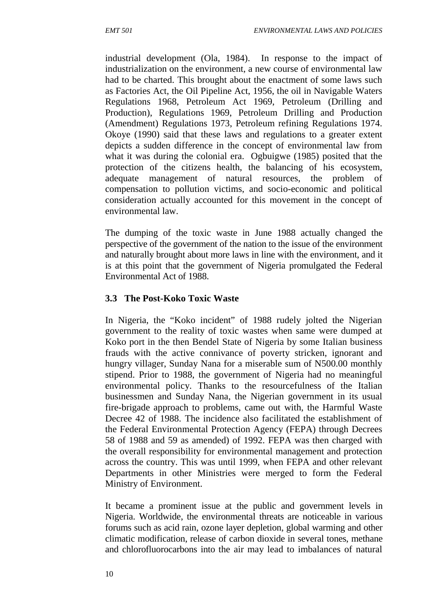industrial development (Ola, 1984). In response to the impact of industrialization on the environment, a new course of environmental law had to be charted. This brought about the enactment of some laws such as Factories Act, the Oil Pipeline Act, 1956, the oil in Navigable Waters Regulations 1968, Petroleum Act 1969, Petroleum (Drilling and Production), Regulations 1969, Petroleum Drilling and Production (Amendment) Regulations 1973, Petroleum refining Regulations 1974. Okoye (1990) said that these laws and regulations to a greater extent depicts a sudden difference in the concept of environmental law from what it was during the colonial era. Ogbuigwe (1985) posited that the protection of the citizens health, the balancing of his ecosystem, adequate management of natural resources, the problem of compensation to pollution victims, and socio-economic and political consideration actually accounted for this movement in the concept of environmental law.

The dumping of the toxic waste in June 1988 actually changed the perspective of the government of the nation to the issue of the environment and naturally brought about more laws in line with the environment, and it is at this point that the government of Nigeria promulgated the Federal Environmental Act of 1988.

## **3.3 The Post-Koko Toxic Waste**

In Nigeria, the "Koko incident" of 1988 rudely jolted the Nigerian government to the reality of toxic wastes when same were dumped at Koko port in the then Bendel State of Nigeria by some Italian business frauds with the active connivance of poverty stricken, ignorant and hungry villager, Sunday Nana for a miserable sum of N500.00 monthly stipend. Prior to 1988, the government of Nigeria had no meaningful environmental policy. Thanks to the resourcefulness of the Italian businessmen and Sunday Nana, the Nigerian government in its usual fire-brigade approach to problems, came out with, the Harmful Waste Decree 42 of 1988. The incidence also facilitated the establishment of the Federal Environmental Protection Agency (FEPA) through Decrees 58 of 1988 and 59 as amended) of 1992. FEPA was then charged with the overall responsibility for environmental management and protection across the country. This was until 1999, when FEPA and other relevant Departments in other Ministries were merged to form the Federal Ministry of Environment.

It became a prominent issue at the public and government levels in Nigeria. Worldwide, the environmental threats are noticeable in various forums such as acid rain, ozone layer depletion, global warming and other climatic modification, release of carbon dioxide in several tones, methane and chlorofluorocarbons into the air may lead to imbalances of natural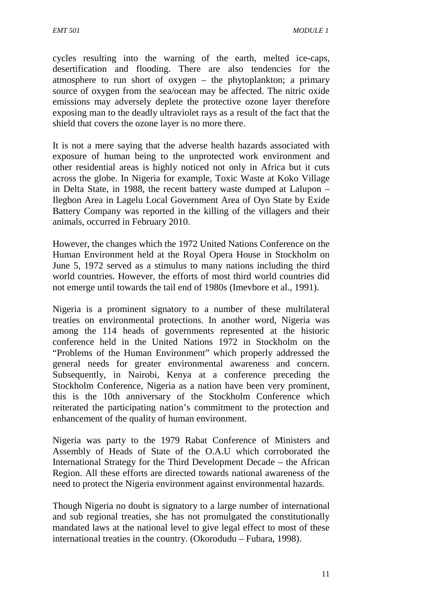cycles resulting into the warning of the earth, melted ice-caps, desertification and flooding. There are also tendencies for the atmosphere to run short of oxygen – the phytoplankton; a primary source of oxygen from the sea/ocean may be affected. The nitric oxide emissions may adversely deplete the protective ozone layer therefore exposing man to the deadly ultraviolet rays as a result of the fact that the shield that covers the ozone layer is no more there.

It is not a mere saying that the adverse health hazards associated with exposure of human being to the unprotected work environment and other residential areas is highly noticed not only in Africa but it cuts across the globe. In Nigeria for example, Toxic Waste at Koko Village in Delta State, in 1988, the recent battery waste dumped at Lalupon – Ilegbon Area in Lagelu Local Government Area of Oyo State by Exide Battery Company was reported in the killing of the villagers and their animals, occurred in February 2010.

However, the changes which the 1972 United Nations Conference on the Human Environment held at the Royal Opera House in Stockholm on June 5, 1972 served as a stimulus to many nations including the third world countries. However, the efforts of most third world countries did not emerge until towards the tail end of 1980s (Imevbore et al., 1991).

Nigeria is a prominent signatory to a number of these multilateral treaties on environmental protections. In another word, Nigeria was among the 114 heads of governments represented at the historic conference held in the United Nations 1972 in Stockholm on the "Problems of the Human Environment" which properly addressed the general needs for greater environmental awareness and concern. Subsequently, in Nairobi, Kenya at a conference preceding the Stockholm Conference, Nigeria as a nation have been very prominent, this is the 10th anniversary of the Stockholm Conference which reiterated the participating nation's commitment to the protection and enhancement of the quality of human environment.

Nigeria was party to the 1979 Rabat Conference of Ministers and Assembly of Heads of State of the O.A.U which corroborated the International Strategy for the Third Development Decade – the African Region. All these efforts are directed towards national awareness of the need to protect the Nigeria environment against environmental hazards.

Though Nigeria no doubt is signatory to a large number of international and sub regional treaties, she has not promulgated the constitutionally mandated laws at the national level to give legal effect to most of these international treaties in the country. (Okorodudu – Fubara, 1998).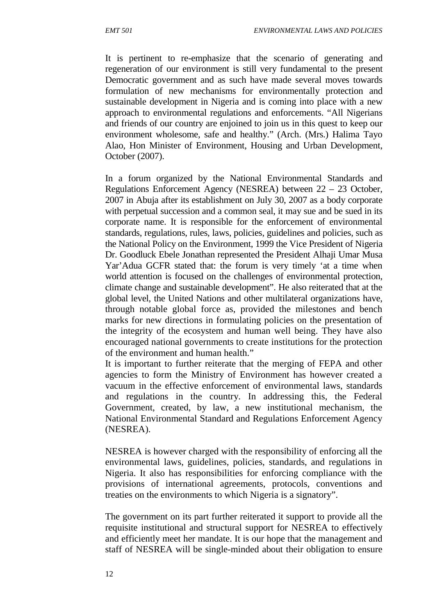It is pertinent to re-emphasize that the scenario of generating and regeneration of our environment is still very fundamental to the present Democratic government and as such have made several moves towards formulation of new mechanisms for environmentally protection and sustainable development in Nigeria and is coming into place with a new approach to environmental regulations and enforcements. "All Nigerians and friends of our country are enjoined to join us in this quest to keep our environment wholesome, safe and healthy." (Arch. (Mrs.) Halima Tayo Alao, Hon Minister of Environment, Housing and Urban Development, October (2007).

In a forum organized by the National Environmental Standards and Regulations Enforcement Agency (NESREA) between 22 – 23 October, 2007 in Abuja after its establishment on July 30, 2007 as a body corporate with perpetual succession and a common seal, it may sue and be sued in its corporate name. It is responsible for the enforcement of environmental standards, regulations, rules, laws, policies, guidelines and policies, such as the National Policy on the Environment, 1999 the Vice President of Nigeria Dr. Goodluck Ebele Jonathan represented the President Alhaji Umar Musa Yar'Adua GCFR stated that: the forum is very timely 'at a time when world attention is focused on the challenges of environmental protection, climate change and sustainable development". He also reiterated that at the global level, the United Nations and other multilateral organizations have, through notable global force as, provided the milestones and bench marks for new directions in formulating policies on the presentation of the integrity of the ecosystem and human well being. They have also encouraged national governments to create institutions for the protection of the environment and human health."

It is important to further reiterate that the merging of FEPA and other agencies to form the Ministry of Environment has however created a vacuum in the effective enforcement of environmental laws, standards and regulations in the country. In addressing this, the Federal Government, created, by law, a new institutional mechanism, the National Environmental Standard and Regulations Enforcement Agency (NESREA).

NESREA is however charged with the responsibility of enforcing all the environmental laws, guidelines, policies, standards, and regulations in Nigeria. It also has responsibilities for enforcing compliance with the provisions of international agreements, protocols, conventions and treaties on the environments to which Nigeria is a signatory".

The government on its part further reiterated it support to provide all the requisite institutional and structural support for NESREA to effectively and efficiently meet her mandate. It is our hope that the management and staff of NESREA will be single-minded about their obligation to ensure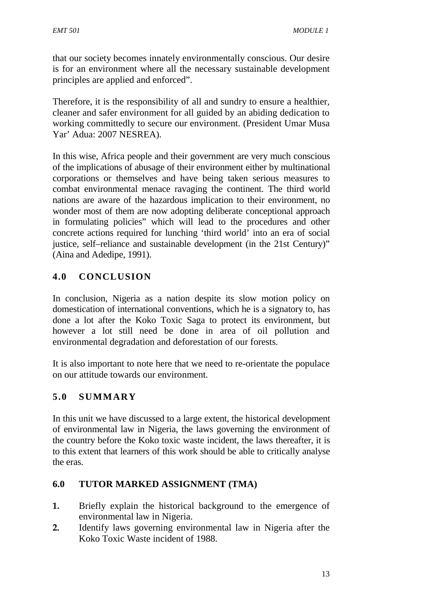that our society becomes innately environmentally conscious. Our desire is for an environment where all the necessary sustainable development principles are applied and enforced".

Therefore, it is the responsibility of all and sundry to ensure a healthier, cleaner and safer environment for all guided by an abiding dedication to working committedly to secure our environment. (President Umar Musa Yar' Adua: 2007 NESREA).

In this wise, Africa people and their government are very much conscious of the implications of abusage of their environment either by multinational corporations or themselves and have being taken serious measures to combat environmental menace ravaging the continent. The third world nations are aware of the hazardous implication to their environment, no wonder most of them are now adopting deliberate conceptional approach in formulating policies" which will lead to the procedures and other concrete actions required for lunching 'third world' into an era of social justice, self–reliance and sustainable development (in the 21st Century)" (Aina and Adedipe, 1991).

# **4.0 CONCLUSION**

In conclusion, Nigeria as a nation despite its slow motion policy on domestication of international conventions, which he is a signatory to, has done a lot after the Koko Toxic Saga to protect its environment, but however a lot still need be done in area of oil pollution and environmental degradation and deforestation of our forests.

It is also important to note here that we need to re-orientate the populace on our attitude towards our environment.

# **5.0 SUMMARY**

In this unit we have discussed to a large extent, the historical development of environmental law in Nigeria, the laws governing the environment of the country before the Koko toxic waste incident, the laws thereafter, it is to this extent that learners of this work should be able to critically analyse the eras.

# **6.0 TUTOR MARKED ASSIGNMENT (TMA)**

- **1.** Briefly explain the historical background to the emergence of environmental law in Nigeria.
- **2.** Identify laws governing environmental law in Nigeria after the Koko Toxic Waste incident of 1988.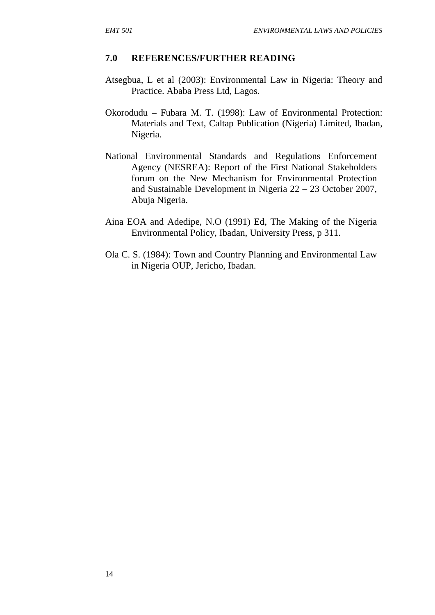#### **7.0 REFERENCES/FURTHER READING**

- Atsegbua, L et al (2003): Environmental Law in Nigeria: Theory and Practice. Ababa Press Ltd, Lagos.
- Okorodudu Fubara M. T. (1998): Law of Environmental Protection: Materials and Text, Caltap Publication (Nigeria) Limited, Ibadan, Nigeria.
- National Environmental Standards and Regulations Enforcement Agency (NESREA): Report of the First National Stakeholders forum on the New Mechanism for Environmental Protection and Sustainable Development in Nigeria 22 – 23 October 2007, Abuja Nigeria.
- Aina EOA and Adedipe, N.O (1991) Ed, The Making of the Nigeria Environmental Policy, Ibadan, University Press, p 311.
- Ola C. S. (1984): Town and Country Planning and Environmental Law in Nigeria OUP, Jericho, Ibadan.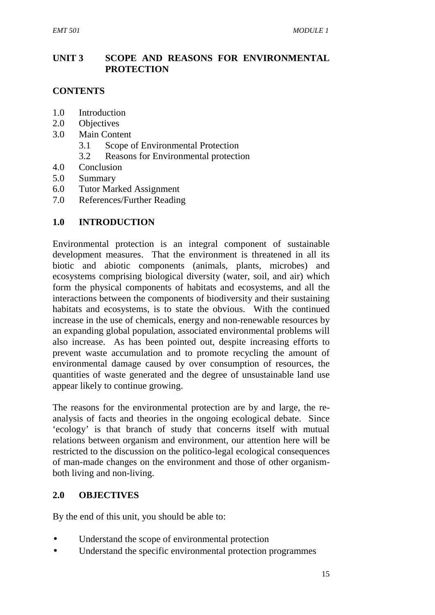# **UNIT 3 SCOPE AND REASONS FOR ENVIRONMENTAL PROTECTION**

# **CONTENTS**

- 1.0 Introduction
- 2.0 Objectives
- 3.0 Main Content
	- 3.1 Scope of Environmental Protection
	- 3.2 Reasons for Environmental protection
- 4.0 Conclusion
- 5.0 Summary
- 6.0 Tutor Marked Assignment
- 7.0 References/Further Reading

### **1.0 INTRODUCTION**

Environmental protection is an integral component of sustainable development measures. That the environment is threatened in all its biotic and abiotic components (animals, plants, microbes) and ecosystems comprising biological diversity (water, soil, and air) which form the physical components of habitats and ecosystems, and all the interactions between the components of biodiversity and their sustaining habitats and ecosystems, is to state the obvious. With the continued increase in the use of chemicals, energy and non-renewable resources by an expanding global population, associated environmental problems will also increase. As has been pointed out, despite increasing efforts to prevent waste accumulation and to promote recycling the amount of environmental damage caused by over consumption of resources, the quantities of waste generated and the degree of unsustainable land use appear likely to continue growing.

The reasons for the environmental protection are by and large, the re analysis of facts and theories in the ongoing ecological debate. Since 'ecology' is that branch of study that concerns itself with mutual relations between organism and environment, our attention here will be restricted to the discussion on the politico-legal ecological consequences of man-made changes on the environment and those of other organism both living and non-living.

### **2.0 OBJECTIVES**

By the end of this unit, you should be able to:

- Understand the scope of environmental protection
- Understand the specific environmental protection programmes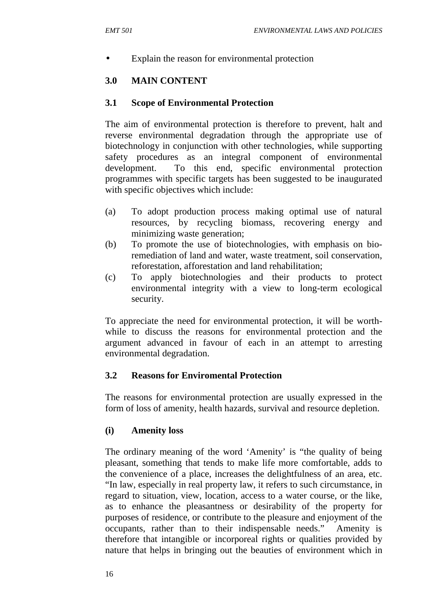Explain the reason for environmental protection

# **3.0 MAIN CONTENT**

## **3.1 Scope of Environmental Protection**

The aim of environmental protection is therefore to prevent, halt and reverse environmental degradation through the appropriate use of biotechnology in conjunction with other technologies, while supporting safety procedures as an integral component of environmental development. To this end, specific environmental protection programmes with specific targets has been suggested to be inaugurated with specific objectives which include:

- (a) To adopt production process making optimal use of natural resources, by recycling biomass, recovering energy and minimizing waste generation;
- (b) To promote the use of biotechnologies, with emphasis on bioremediation of land and water, waste treatment, soil conservation, reforestation, afforestation and land rehabilitation;
- (c) To apply biotechnologies and their products to protect environmental integrity with a view to long-term ecological security.

To appreciate the need for environmental protection, it will be worth while to discuss the reasons for environmental protection and the argument advanced in favour of each in an attempt to arresting environmental degradation.

### **3.2 Reasons for Enviromental Protection**

The reasons for environmental protection are usually expressed in the form of loss of amenity, health hazards, survival and resource depletion.

# **(i) Amenity loss**

The ordinary meaning of the word 'Amenity' is "the quality of being pleasant, something that tends to make life more comfortable, adds to the convenience of a place, increases the delightfulness of an area, etc. "In law, especially in real property law, it refers to such circumstance, in regard to situation, view, location, access to a water course, or the like, as to enhance the pleasantness or desirability of the property for purposes of residence, or contribute to the pleasure and enjoyment of the occupants, rather than to their indispensable needs." Amenity is therefore that intangible or incorporeal rights or qualities provided by nature that helps in bringing out the beauties of environment which in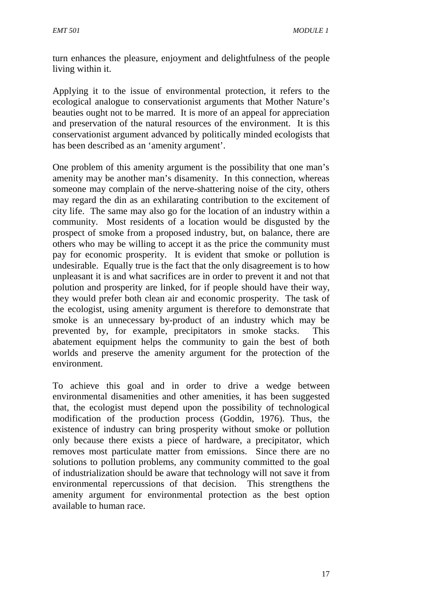turn enhances the pleasure, enjoyment and delightfulness of the people living within it.

Applying it to the issue of environmental protection, it refers to the ecological analogue to conservationist arguments that Mother Nature's beauties ought not to be marred. It is more of an appeal for appreciation and preservation of the natural resources of the environment. It is this conservationist argument advanced by politically minded ecologists that has been described as an 'amenity argument'.

One problem of this amenity argument is the possibility that one man's amenity may be another man's disamenity. In this connection, whereas someone may complain of the nerve-shattering noise of the city, others may regard the din as an exhilarating contribution to the excitement of city life. The same may also go for the location of an industry within a community. Most residents of a location would be disgusted by the prospect of smoke from a proposed industry, but, on balance, there are others who may be willing to accept it as the price the community must pay for economic prosperity. It is evident that smoke or pollution is undesirable. Equally true is the fact that the only disagreement is to how unpleasant it is and what sacrifices are in order to prevent it and not that polution and prosperity are linked, for if people should have their way, they would prefer both clean air and economic prosperity. The task of the ecologist, using amenity argument is therefore to demonstrate that smoke is an unnecessary by-product of an industry which may be prevented by, for example, precipitators in smoke stacks. This abatement equipment helps the community to gain the best of both worlds and preserve the amenity argument for the protection of the environment.

To achieve this goal and in order to drive a wedge between environmental disamenities and other amenities, it has been suggested that, the ecologist must depend upon the possibility of technological modification of the production process (Goddin, 1976). Thus, the existence of industry can bring prosperity without smoke or pollution only because there exists a piece of hardware, a precipitator, which removes most particulate matter from emissions. Since there are no solutions to pollution problems, any community committed to the goal of industrialization should be aware that technology will not save it from environmental repercussions of that decision. This strengthens the amenity argument for environmental protection as the best option available to human race.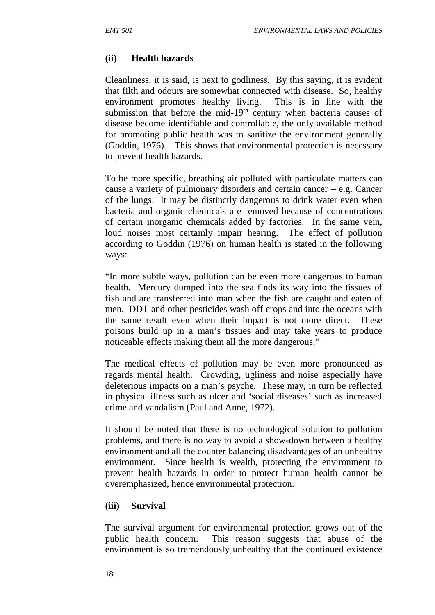#### **(ii) Health hazards**

Cleanliness, it is said, is next to godliness. By this saying, it is evident that filth and odours are somewhat connected with disease. So, healthy environment promotes healthy living. This is in line with the submission that before the mid-19<sup>th</sup> century when bacteria causes of disease become identifiable and controllable, the only available method for promoting public health was to sanitize the environment generally (Goddin, 1976). This shows that environmental protection is necessary to prevent health hazards.

To be more specific, breathing air polluted with particulate matters can cause a variety of pulmonary disorders and certain cancer – e.g. Cancer of the lungs. It may be distinctly dangerous to drink water even when bacteria and organic chemicals are removed because of concentrations of certain inorganic chemicals added by factories. In the same vein, loud noises most certainly impair hearing. The effect of pollution according to Goddin (1976) on human health is stated in the following ways:

"In more subtle ways, pollution can be even more dangerous to human health. Mercury dumped into the sea finds its way into the tissues of fish and are transferred into man when the fish are caught and eaten of men. DDT and other pesticides wash off crops and into the oceans with the same result even when their impact is not more direct. These poisons build up in a man's tissues and may take years to produce noticeable effects making them all the more dangerous."

The medical effects of pollution may be even more pronounced as regards mental health. Crowding, ugliness and noise especially have deleterious impacts on a man's psyche. These may, in turn be reflected in physical illness such as ulcer and 'social diseases' such as increased crime and vandalism (Paul and Anne, 1972).

It should be noted that there is no technological solution to pollution problems, and there is no way to avoid a show-down between a healthy environment and all the counter balancing disadvantages of an unhealthy environment. Since health is wealth, protecting the environment to prevent health hazards in order to protect human health cannot be overemphasized, hence environmental protection.

#### **(iii) Survival**

The survival argument for environmental protection grows out of the public health concern. This reason suggests that abuse of the environment is so tremendously unhealthy that the continued existence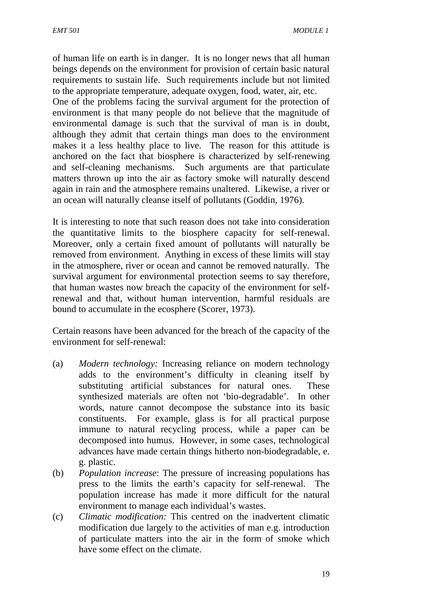of human life on earth is in danger. It is no longer news that all human beings depends on the environment for provision of certain basic natural requirements to sustain life. Such requirements include but not limited to the appropriate temperature, adequate oxygen, food, water, air, etc.

One of the problems facing the survival argument for the protection of environment is that many people do not believe that the magnitude of environmental damage is such that the survival of man is in doubt, although they admit that certain things man does to the environment makes it a less healthy place to live. The reason for this attitude is anchored on the fact that biosphere is characterized by self-renewing and self-cleaning mechanisms. Such arguments are that particulate matters thrown up into the air as factory smoke will naturally descend again in rain and the atmosphere remains unaltered. Likewise, a river or an ocean will naturally cleanse itself of pollutants (Goddin, 1976).

It is interesting to note that such reason does not take into consideration the quantitative limits to the biosphere capacity for self-renewal. Moreover, only a certain fixed amount of pollutants will naturally be removed from environment. Anything in excess of these limits will stay in the atmosphere, river or ocean and cannot be removed naturally. The survival argument for environmental protection seems to say therefore, that human wastes now breach the capacity of the environment for selfrenewal and that, without human intervention, harmful residuals are bound to accumulate in the ecosphere (Scorer, 1973).

Certain reasons have been advanced for the breach of the capacity of the environment for self-renewal:

- (a) *Modern technology:* Increasing reliance on modern technology adds to the environment's difficulty in cleaning itself by substituting artificial substances for natural ones. These synthesized materials are often not 'bio-degradable'. In other words, nature cannot decompose the substance into its basic constituents. For example, glass is for all practical purpose immune to natural recycling process, while a paper can be decomposed into humus. However, in some cases, technological advances have made certain things hitherto non-biodegradable, e. g. plastic.
- (b) *Population increase*: The pressure of increasing populations has press to the limits the earth's capacity for self-renewal. The population increase has made it more difficult for the natural environment to manage each individual's wastes.
- (c) *Climatic modification:* This centred on the inadvertent climatic modification due largely to the activities of man e.g. introduction of particulate matters into the air in the form of smoke which have some effect on the climate.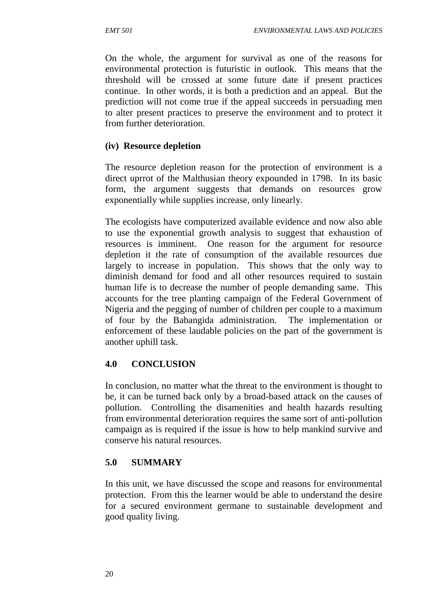On the whole, the argument for survival as one of the reasons for environmental protection is futuristic in outlook. This means that the threshold will be crossed at some future date if present practices continue. In other words, it is both a prediction and an appeal. But the prediction will not come true if the appeal succeeds in persuading men to alter present practices to preserve the environment and to protect it from further deterioration.

### **(iv) Resource depletion**

The resource depletion reason for the protection of environment is a direct uprrot of the Malthusian theory expounded in 1798. In its basic form, the argument suggests that demands on resources grow exponentially while supplies increase, only linearly.

The ecologists have computerized available evidence and now also able to use the exponential growth analysis to suggest that exhaustion of resources is imminent. One reason for the argument for resource depletion it the rate of consumption of the available resources due largely to increase in population. This shows that the only way to diminish demand for food and all other resources required to sustain human life is to decrease the number of people demanding same. This accounts for the tree planting campaign of the Federal Government of Nigeria and the pegging of number of children per couple to a maximum of four by the Babangida administration. The implementation or enforcement of these laudable policies on the part of the government is another uphill task.

# **4.0 CONCLUSION**

In conclusion, no matter what the threat to the environment is thought to be, it can be turned back only by a broad-based attack on the causes of pollution. Controlling the disamenities and health hazards resulting from environmental deterioration requires the same sort of anti-pollution campaign as is required if the issue is how to help mankind survive and conserve his natural resources.

### **5.0 SUMMARY**

In this unit, we have discussed the scope and reasons for environmental protection. From this the learner would be able to understand the desire for a secured environment germane to sustainable development and good quality living.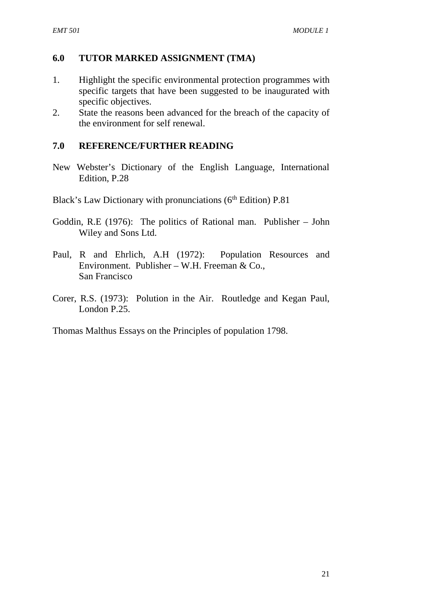#### **6.0 TUTOR MARKED ASSIGNMENT (TMA)**

- 1. Highlight the specific environmental protection programmes with specific targets that have been suggested to be inaugurated with specific objectives.
- 2. State the reasons been advanced for the breach of the capacity of the environment for self renewal.

#### **7.0 REFERENCE/FURTHER READING**

New Webster's Dictionary of the English Language, International Edition, P.28

Black's Law Dictionary with pronunciations ( $6<sup>th</sup>$  Edition) P.81

- Goddin, R.E (1976): The politics of Rational man. Publisher John Wiley and Sons Ltd.
- Paul, R and Ehrlich, A.H (1972): Population Resources and Environment. Publisher – W.H. Freeman & Co., San Francisco
- Corer, R.S. (1973): Polution in the Air. Routledge and Kegan Paul, London P.25.

Thomas Malthus Essays on the Principles of population 1798.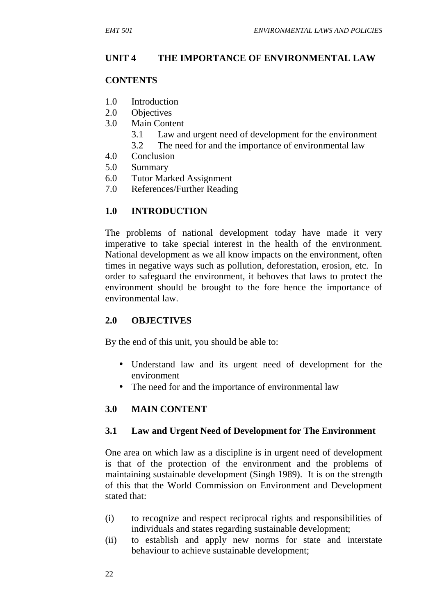# **UNIT 4 THE IMPORTANCE OF ENVIRONMENTAL LAW**

#### **CONTENTS**

- 1.0 Introduction
- 2.0 Objectives
- 3.0 Main Content
	- 3.1 Law and urgent need of development for the environment
	- 3.2 The need for and the importance of environmental law
- 4.0 Conclusion
- 5.0 Summary
- 6.0 Tutor Marked Assignment
- 7.0 References/Further Reading

### **1.0 INTRODUCTION**

The problems of national development today have made it very imperative to take special interest in the health of the environment. National development as we all know impacts on the environment, often times in negative ways such as pollution, deforestation, erosion, etc. In order to safeguard the environment, it behoves that laws to protect the environment should be brought to the fore hence the importance of environmental law.

### **2.0 OBJECTIVES**

By the end of this unit, you should be able to:

- Understand law and its urgent need of development for the environment
- The need for and the importance of environmental law

### **3.0 MAIN CONTENT**

### **3.1 Law and Urgent Need of Development for The Environment**

One area on which law as a discipline is in urgent need of development is that of the protection of the environment and the problems of maintaining sustainable development (Singh 1989). It is on the strength of this that the World Commission on Environment and Development stated that:

- (i) to recognize and respect reciprocal rights and responsibilities of individuals and states regarding sustainable development;
- (ii) to establish and apply new norms for state and interstate behaviour to achieve sustainable development;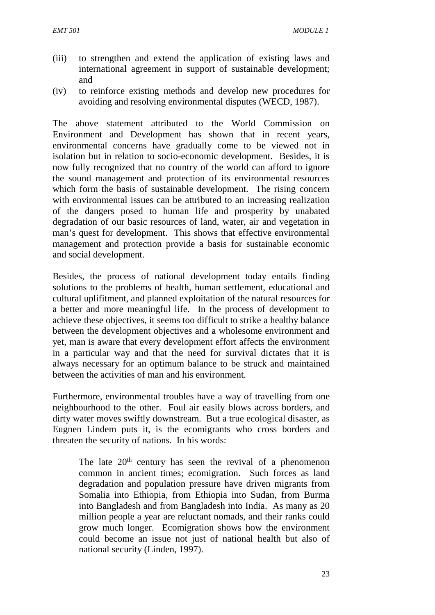- (iii) to strengthen and extend the application of existing laws and international agreement in support of sustainable development; and
- (iv) to reinforce existing methods and develop new procedures for avoiding and resolving environmental disputes (WECD, 1987).

The above statement attributed to the World Commission on Environment and Development has shown that in recent years, environmental concerns have gradually come to be viewed not in isolation but in relation to socio-economic development. Besides, it is now fully recognized that no country of the world can afford to ignore the sound management and protection of its environmental resources which form the basis of sustainable development. The rising concern with environmental issues can be attributed to an increasing realization of the dangers posed to human life and prosperity by unabated degradation of our basic resources of land, water, air and vegetation in man's quest for development. This shows that effective environmental management and protection provide a basis for sustainable economic and social development.

Besides, the process of national development today entails finding solutions to the problems of health, human settlement, educational and cultural uplifitment, and planned exploitation of the natural resources for a better and more meaningful life. In the process of development to achieve these objectives, it seems too difficult to strike a healthy balance between the development objectives and a wholesome environment and yet, man is aware that every development effort affects the environment in a particular way and that the need for survival dictates that it is always necessary for an optimum balance to be struck and maintained between the activities of man and his environment.

Furthermore, environmental troubles have a way of travelling from one neighbourhood to the other. Foul air easily blows across borders, and dirty water moves swiftly downstream. But a true ecological disaster, as Eugnen Lindem puts it, is the ecomigrants who cross borders and threaten the security of nations. In his words:

The late  $20<sup>th</sup>$  century has seen the revival of a phenomenon common in ancient times; ecomigration. Such forces as land degradation and population pressure have driven migrants from Somalia into Ethiopia, from Ethiopia into Sudan, from Burma into Bangladesh and from Bangladesh into India. As many as 20 million people a year are reluctant nomads, and their ranks could grow much longer. Ecomigration shows how the environment could become an issue not just of national health but also of national security (Linden, 1997).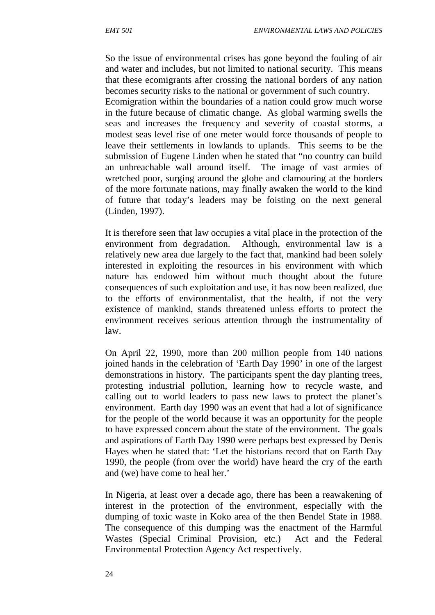So the issue of environmental crises has gone beyond the fouling of air and water and includes, but not limited to national security. This means that these ecomigrants after crossing the national borders of any nation becomes security risks to the national or government of such country.

Ecomigration within the boundaries of a nation could grow much worse in the future because of climatic change. As global warming swells the seas and increases the frequency and severity of coastal storms, a modest seas level rise of one meter would force thousands of people to leave their settlements in lowlands to uplands. This seems to be the submission of Eugene Linden when he stated that "no country can build an unbreachable wall around itself. The image of vast armies of wretched poor, surging around the globe and clamouring at the borders of the more fortunate nations, may finally awaken the world to the kind of future that today's leaders may be foisting on the next general (Linden, 1997).

It is therefore seen that law occupies a vital place in the protection of the environment from degradation. Although, environmental law is a relatively new area due largely to the fact that, mankind had been solely interested in exploiting the resources in his environment with which nature has endowed him without much thought about the future consequences of such exploitation and use, it has now been realized, due to the efforts of environmentalist, that the health, if not the very existence of mankind, stands threatened unless efforts to protect the environment receives serious attention through the instrumentality of law.

On April 22, 1990, more than 200 million people from 140 nations joined hands in the celebration of 'Earth Day 1990' in one of the largest demonstrations in history. The participants spent the day planting trees, protesting industrial pollution, learning how to recycle waste, and calling out to world leaders to pass new laws to protect the planet's environment. Earth day 1990 was an event that had a lot of significance for the people of the world because it was an opportunity for the people to have expressed concern about the state of the environment. The goals and aspirations of Earth Day 1990 were perhaps best expressed by Denis Hayes when he stated that: 'Let the historians record that on Earth Day 1990, the people (from over the world) have heard the cry of the earth and (we) have come to heal her.'

In Nigeria, at least over a decade ago, there has been a reawakening of interest in the protection of the environment, especially with the dumping of toxic waste in Koko area of the then Bendel State in 1988. The consequence of this dumping was the enactment of the Harmful Wastes (Special Criminal Provision, etc.) Act and the Federal Environmental Protection Agency Act respectively.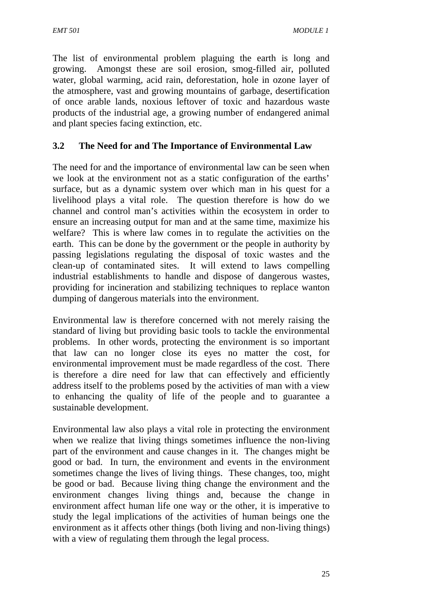The list of environmental problem plaguing the earth is long and growing. Amongst these are soil erosion, smog-filled air, polluted water, global warming, acid rain, deforestation, hole in ozone layer of the atmosphere, vast and growing mountains of garbage, desertification of once arable lands, noxious leftover of toxic and hazardous waste products of the industrial age, a growing number of endangered animal and plant species facing extinction, etc.

# **3.2 The Need for and The Importance of Environmental Law**

The need for and the importance of environmental law can be seen when we look at the environment not as a static configuration of the earths' surface, but as a dynamic system over which man in his quest for a livelihood plays a vital role. The question therefore is how do we channel and control man's activities within the ecosystem in order to ensure an increasing output for man and at the same time, maximize his welfare? This is where law comes in to regulate the activities on the earth. This can be done by the government or the people in authority by passing legislations regulating the disposal of toxic wastes and the clean-up of contaminated sites. It will extend to laws compelling industrial establishments to handle and dispose of dangerous wastes, providing for incineration and stabilizing techniques to replace wanton dumping of dangerous materials into the environment.

Environmental law is therefore concerned with not merely raising the standard of living but providing basic tools to tackle the environmental problems. In other words, protecting the environment is so important that law can no longer close its eyes no matter the cost, for environmental improvement must be made regardless of the cost. There is therefore a dire need for law that can effectively and efficiently address itself to the problems posed by the activities of man with a view to enhancing the quality of life of the people and to guarantee a sustainable development.

Environmental law also plays a vital role in protecting the environment when we realize that living things sometimes influence the non-living part of the environment and cause changes in it. The changes might be good or bad. In turn, the environment and events in the environment sometimes change the lives of living things. These changes, too, might be good or bad. Because living thing change the environment and the environment changes living things and, because the change in environment affect human life one way or the other, it is imperative to study the legal implications of the activities of human beings one the environment as it affects other things (both living and non-living things) with a view of regulating them through the legal process.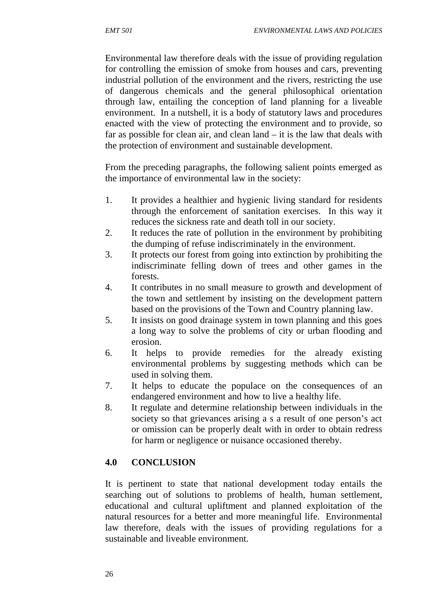Environmental law therefore deals with the issue of providing regulation for controlling the emission of smoke from houses and cars, preventing industrial pollution of the environment and the rivers, restricting the use of dangerous chemicals and the general philosophical orientation through law, entailing the conception of land planning for a liveable environment. In a nutshell, it is a body of statutory laws and procedures enacted with the view of protecting the environment and to provide, so far as possible for clean air, and clean land – it is the law that deals with the protection of environment and sustainable development.

From the preceding paragraphs, the following salient points emerged as the importance of environmental law in the society:

- 1. It provides a healthier and hygienic living standard for residents through the enforcement of sanitation exercises. In this way it reduces the sickness rate and death toll in our society.
- 2. It reduces the rate of pollution in the environment by prohibiting the dumping of refuse indiscriminately in the environment.
- 3. It protects our forest from going into extinction by prohibiting the indiscriminate felling down of trees and other games in the forests.
- 4. It contributes in no small measure to growth and development of the town and settlement by insisting on the development pattern based on the provisions of the Town and Country planning law.
- 5. It insists on good drainage system in town planning and this goes a long way to solve the problems of city or urban flooding and erosion.
- 6. It helps to provide remedies for the already existing environmental problems by suggesting methods which can be used in solving them.
- 7. It helps to educate the populace on the consequences of an endangered environment and how to live a healthy life.
- 8. It regulate and determine relationship between individuals in the society so that grievances arising a s a result of one person's act or omission can be properly dealt with in order to obtain redress for harm or negligence or nuisance occasioned thereby.

# **4.0 CONCLUSION**

It is pertinent to state that national development today entails the searching out of solutions to problems of health, human settlement, educational and cultural upliftment and planned exploitation of the natural resources for a better and more meaningful life. Environmental law therefore, deals with the issues of providing regulations for a sustainable and liveable environment.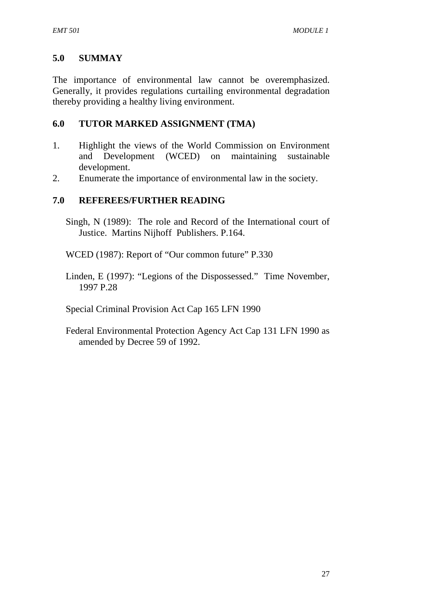# **5.0 SUMMAY**

The importance of environmental law cannot be overemphasized. Generally, it provides regulations curtailing environmental degradation thereby providing a healthy living environment.

## **6.0 TUTOR MARKED ASSIGNMENT (TMA)**

- 1. Highlight the views of the World Commission on Environment and Development (WCED) on maintaining sustainable development.
- 2. Enumerate the importance of environmental law in the society.

## **7.0 REFEREES/FURTHER READING**

Singh, N (1989): The role and Record of the International court of Justice. Martins Nijhoff Publishers. P.164.

WCED (1987): Report of "Our common future" P.330

Linden, E (1997): "Legions of the Dispossessed." Time November, 1997 P.28

Special Criminal Provision Act Cap 165 LFN 1990

Federal Environmental Protection Agency Act Cap 131 LFN 1990 as amended by Decree 59 of 1992.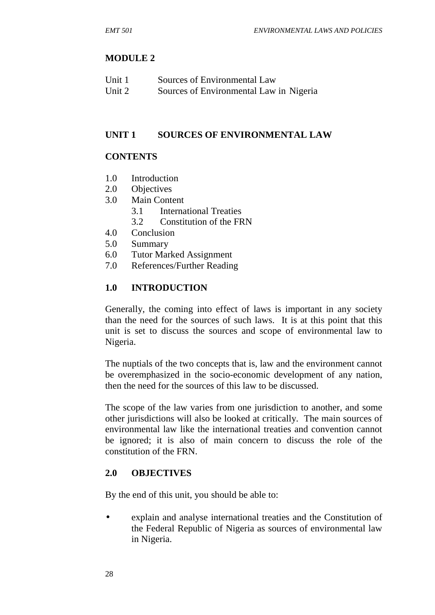#### **MODULE 2**

| Unit 1 | Sources of Environmental Law            |
|--------|-----------------------------------------|
| Unit 2 | Sources of Environmental Law in Nigeria |

#### **UNIT 1 SOURCES OF ENVIRONMENTAL LAW**

#### **CONTENTS**

- 1.0 Introduction
- 2.0 Objectives
- 3.0 Main Content
	- 3.1 International Treaties
	- 3.2 Constitution of the FRN
- 4.0 Conclusion
- 5.0 Summary
- 6.0 Tutor Marked Assignment
- 7.0 References/Further Reading

#### **1.0 INTRODUCTION**

Generally, the coming into effect of laws is important in any society than the need for the sources of such laws. It is at this point that this unit is set to discuss the sources and scope of environmental law to Nigeria.

The nuptials of the two concepts that is, law and the environment cannot be overemphasized in the socio-economic development of any nation, then the need for the sources of this law to be discussed.

The scope of the law varies from one jurisdiction to another, and some other jurisdictions will also be looked at critically. The main sources of environmental law like the international treaties and convention cannot be ignored; it is also of main concern to discuss the role of the constitution of the FRN.

### **2.0 OBJECTIVES**

By the end of this unit, you should be able to:

 explain and analyse international treaties and the Constitution of the Federal Republic of Nigeria as sources of environmental law in Nigeria.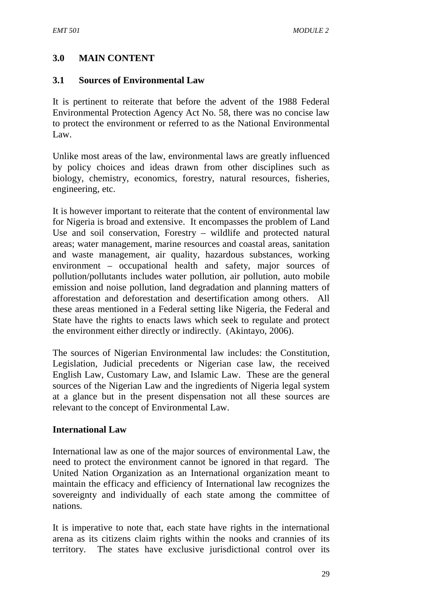## **3.0 MAIN CONTENT**

#### **3.1 Sources of Environmental Law**

It is pertinent to reiterate that before the advent of the 1988 Federal Environmental Protection Agency Act No. 58, there was no concise law to protect the environment or referred to as the National Environmental Law.

Unlike most areas of the law, environmental laws are greatly influenced by policy choices and ideas drawn from other disciplines such as biology, chemistry, economics, forestry, natural resources, fisheries, engineering, etc.

It is however important to reiterate that the content of environmental law for Nigeria is broad and extensive. It encompasses the problem of Land Use and soil conservation, Forestry – wildlife and protected natural areas; water management, marine resources and coastal areas, sanitation and waste management, air quality, hazardous substances, working environment – occupational health and safety, major sources of pollution/pollutants includes water pollution, air pollution, auto mobile emission and noise pollution, land degradation and planning matters of afforestation and deforestation and desertification among others. All these areas mentioned in a Federal setting like Nigeria, the Federal and State have the rights to enacts laws which seek to regulate and protect the environment either directly or indirectly. (Akintayo, 2006).

The sources of Nigerian Environmental law includes: the Constitution, Legislation, Judicial precedents or Nigerian case law, the received English Law, Customary Law, and Islamic Law. These are the general sources of the Nigerian Law and the ingredients of Nigeria legal system at a glance but in the present dispensation not all these sources are relevant to the concept of Environmental Law.

### **International Law**

International law as one of the major sources of environmental Law, the need to protect the environment cannot be ignored in that regard. The United Nation Organization as an International organization meant to maintain the efficacy and efficiency of International law recognizes the sovereignty and individually of each state among the committee of nations.

It is imperative to note that, each state have rights in the international arena as its citizens claim rights within the nooks and crannies of its territory. The states have exclusive jurisdictional control over its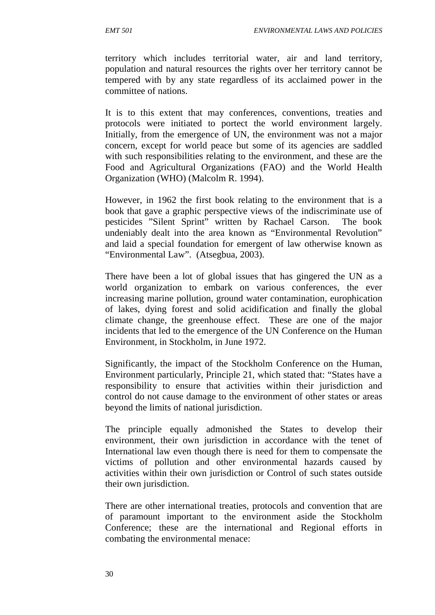territory which includes territorial water, air and land territory, population and natural resources the rights over her territory cannot be tempered with by any state regardless of its acclaimed power in the committee of nations.

It is to this extent that may conferences, conventions, treaties and protocols were initiated to portect the world environment largely. Initially, from the emergence of UN, the environment was not a major concern, except for world peace but some of its agencies are saddled with such responsibilities relating to the environment, and these are the Food and Agricultural Organizations (FAO) and the World Health Organization (WHO) (Malcolm R. 1994).

However, in 1962 the first book relating to the environment that is a book that gave a graphic perspective views of the indiscriminate use of pesticides "Silent Sprint" written by Rachael Carson. The book undeniably dealt into the area known as "Environmental Revolution" and laid a special foundation for emergent of law otherwise known as "Environmental Law". (Atsegbua, 2003).

There have been a lot of global issues that has gingered the UN as a world organization to embark on various conferences, the ever increasing marine pollution, ground water contamination, europhication of lakes, dying forest and solid acidification and finally the global climate change, the greenhouse effect. These are one of the major incidents that led to the emergence of the UN Conference on the Human Environment, in Stockholm, in June 1972.

Significantly, the impact of the Stockholm Conference on the Human, Environment particularly, Principle 21, which stated that: "States have a responsibility to ensure that activities within their jurisdiction and control do not cause damage to the environment of other states or areas beyond the limits of national jurisdiction.

The principle equally admonished the States to develop their environment, their own jurisdiction in accordance with the tenet of International law even though there is need for them to compensate the victims of pollution and other environmental hazards caused by activities within their own jurisdiction or Control of such states outside their own jurisdiction.

There are other international treaties, protocols and convention that are of paramount important to the environment aside the Stockholm Conference; these are the international and Regional efforts in combating the environmental menace: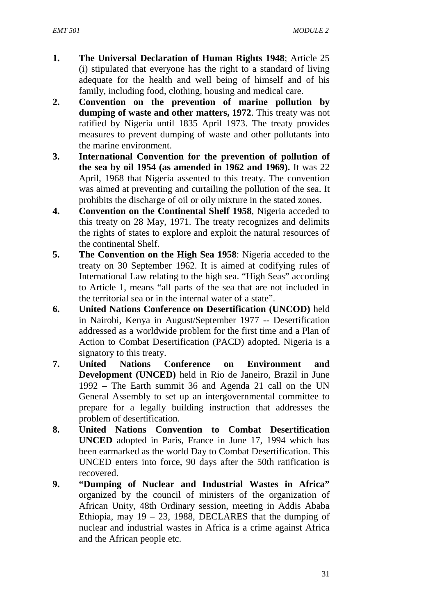- **1. The Universal Declaration of Human Rights 1948**; Article 25 (i) stipulated that everyone has the right to a standard of living adequate for the health and well being of himself and of his family, including food, clothing, housing and medical care.
- **2. Convention on the prevention of marine pollution by dumping of waste and other matters, 1972**. This treaty was not ratified by Nigeria until 1835 April 1973. The treaty provides measures to prevent dumping of waste and other pollutants into the marine environment.
- **3. International Convention for the prevention of pollution of the sea by oil 1954 (as amended in 1962 and 1969).** It was 22 April, 1968 that Nigeria assented to this treaty. The convention was aimed at preventing and curtailing the pollution of the sea. It prohibits the discharge of oil or oily mixture in the stated zones.
- **4. Convention on the Continental Shelf 1958**, Nigeria acceded to this treaty on 28 May, 1971. The treaty recognizes and delimits the rights of states to explore and exploit the natural resources of the continental Shelf.
- **5. The Convention on the High Sea 1958**: Nigeria acceded to the treaty on 30 September 1962. It is aimed at codifying rules of International Law relating to the high sea. "High Seas" according to Article 1, means "all parts of the sea that are not included in the territorial sea or in the internal water of a state".
- **6. United Nations Conference on Desertification (UNCOD)** held in Nairobi, Kenya in August/September 1977 -- Desertification addressed as a worldwide problem for the first time and a Plan of Action to Combat Desertification (PACD) adopted. Nigeria is a signatory to this treaty.
- **7. United Nations Conference on Environment and Development (UNCED)** held in Rio de Janeiro, Brazil in June 1992 – The Earth summit 36 and Agenda 21 call on the UN General Assembly to set up an intergovernmental committee to prepare for a legally building instruction that addresses the problem of desertification.
- **8. United Nations Convention to Combat Desertification UNCED** adopted in Paris, France in June 17, 1994 which has been earmarked as the world Day to Combat Desertification. This UNCED enters into force, 90 days after the 50th ratification is recovered.
- **9. "Dumping of Nuclear and Industrial Wastes in Africa"** organized by the council of ministers of the organization of African Unity, 48th Ordinary session, meeting in Addis Ababa Ethiopia, may  $19 - 23$ , 1988, DECLARES that the dumping of nuclear and industrial wastes in Africa is a crime against Africa and the African people etc.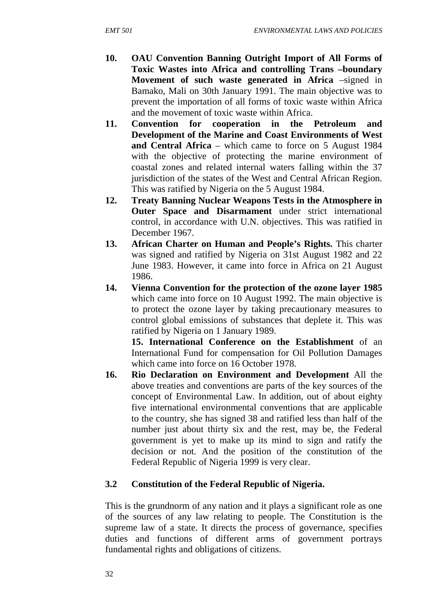- **10. OAU Convention Banning Outright Import of All Forms of Toxic Wastes into Africa and controlling Trans –boundary Movement of such waste generated in Africa** –signed in Bamako, Mali on 30th January 1991. The main objective was to prevent the importation of all forms of toxic waste within Africa and the movement of toxic waste within Africa.
- **11. Convention for cooperation in the Petroleum and Development of the Marine and Coast Environments of West and Central Africa** – which came to force on 5 August 1984 with the objective of protecting the marine environment of coastal zones and related internal waters falling within the 37 jurisdiction of the states of the West and Central African Region. This was ratified by Nigeria on the 5 August 1984.
- **12. Treaty Banning Nuclear Weapons Tests in the Atmosphere in Outer Space and Disarmament** under strict international control, in accordance with U.N. objectives. This was ratified in December 1967.
- **13. African Charter on Human and People's Rights.** This charter was signed and ratified by Nigeria on 31st August 1982 and 22 June 1983. However, it came into force in Africa on 21 August 1986.
- **14. Vienna Convention for the protection of the ozone layer 1985** which came into force on 10 August 1992. The main objective is to protect the ozone layer by taking precautionary measures to control global emissions of substances that deplete it. This was ratified by Nigeria on 1 January 1989.

**15. International Conference on the Establishment** of an International Fund for compensation for Oil Pollution Damages which came into force on 16 October 1978.

**16. Rio Declaration on Environment and Development** All the above treaties and conventions are parts of the key sources of the concept of Environmental Law. In addition, out of about eighty five international environmental conventions that are applicable to the country, she has signed 38 and ratified less than half of the number just about thirty six and the rest, may be, the Federal government is yet to make up its mind to sign and ratify the decision or not. And the position of the constitution of the Federal Republic of Nigeria 1999 is very clear.

# **3.2 Constitution of the Federal Republic of Nigeria.**

This is the grundnorm of any nation and it plays a significant role as one of the sources of any law relating to people. The Constitution is the supreme law of a state. It directs the process of governance, specifies duties and functions of different arms of government portrays fundamental rights and obligations of citizens.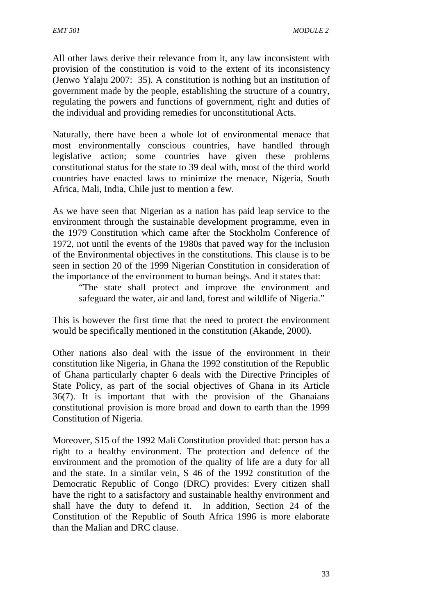All other laws derive their relevance from it, any law inconsistent with provision of the constitution is void to the extent of its inconsistency (Jenwo Yalaju 2007: 35). A constitution is nothing but an institution of government made by the people, establishing the structure of a country, regulating the powers and functions of government, right and duties of the individual and providing remedies for unconstitutional Acts.

Naturally, there have been a whole lot of environmental menace that most environmentally conscious countries, have handled through legislative action; some countries have given these problems constitutional status for the state to 39 deal with, most of the third world countries have enacted laws to minimize the menace, Nigeria, South Africa, Mali, India, Chile just to mention a few.

As we have seen that Nigerian as a nation has paid leap service to the environment through the sustainable development programme, even in the 1979 Constitution which came after the Stockholm Conference of 1972, not until the events of the 1980s that paved way for the inclusion of the Environmental objectives in the constitutions. This clause is to be seen in section 20 of the 1999 Nigerian Constitution in consideration of the importance of the environment to human beings. And it states that:

"The state shall protect and improve the environment and safeguard the water, air and land, forest and wildlife of Nigeria."

This is however the first time that the need to protect the environment would be specifically mentioned in the constitution (Akande, 2000).

Other nations also deal with the issue of the environment in their constitution like Nigeria, in Ghana the 1992 constitution of the Republic of Ghana particularly chapter 6 deals with the Directive Principles of State Policy, as part of the social objectives of Ghana in its Article 36(7). It is important that with the provision of the Ghanaians constitutional provision is more broad and down to earth than the 1999 Constitution of Nigeria.

Moreover, S15 of the 1992 Mali Constitution provided that: person has a right to a healthy environment. The protection and defence of the environment and the promotion of the quality of life are a duty for all and the state. In a similar vein, S 46 of the 1992 constitution of the Democratic Republic of Congo (DRC) provides: Every citizen shall have the right to a satisfactory and sustainable healthy environment and shall have the duty to defend it. In addition, Section 24 of the Constitution of the Republic of South Africa 1996 is more elaborate than the Malian and DRC clause.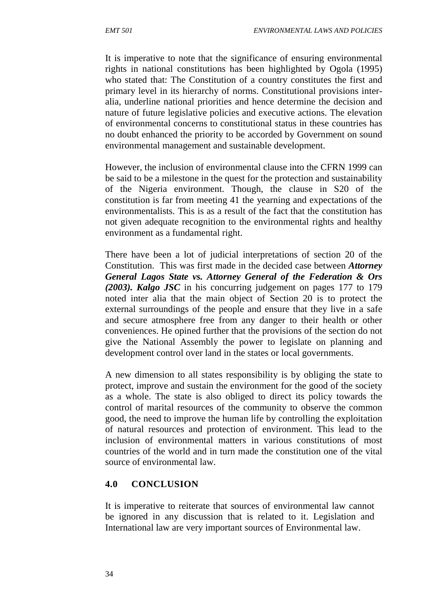It is imperative to note that the significance of ensuring environmental rights in national constitutions has been highlighted by Ogola (1995) who stated that: The Constitution of a country constitutes the first and primary level in its hierarchy of norms. Constitutional provisions inter alia, underline national priorities and hence determine the decision and nature of future legislative policies and executive actions. The elevation of environmental concerns to constitutional status in these countries has no doubt enhanced the priority to be accorded by Government on sound environmental management and sustainable development.

However, the inclusion of environmental clause into the CFRN 1999 can be said to be a milestone in the quest for the protection and sustainability of the Nigeria environment. Though, the clause in S20 of the constitution is far from meeting 41 the yearning and expectations of the environmentalists. This is as a result of the fact that the constitution has not given adequate recognition to the environmental rights and healthy environment as a fundamental right.

There have been a lot of judicial interpretations of section 20 of the Constitution. This was first made in the decided case between *Attorney General Lagos State vs. Attorney General of the Federation & Ors (2003). Kalgo JSC* in his concurring judgement on pages 177 to 179 noted inter alia that the main object of Section 20 is to protect the external surroundings of the people and ensure that they live in a safe and secure atmosphere free from any danger to their health or other conveniences. He opined further that the provisions of the section do not give the National Assembly the power to legislate on planning and development control over land in the states or local governments.

A new dimension to all states responsibility is by obliging the state to protect, improve and sustain the environment for the good of the society as a whole. The state is also obliged to direct its policy towards the control of marital resources of the community to observe the common good, the need to improve the human life by controlling the exploitation of natural resources and protection of environment. This lead to the inclusion of environmental matters in various constitutions of most countries of the world and in turn made the constitution one of the vital source of environmental law.

# **4.0 CONCLUSION**

It is imperative to reiterate that sources of environmental law cannot be ignored in any discussion that is related to it. Legislation and International law are very important sources of Environmental law.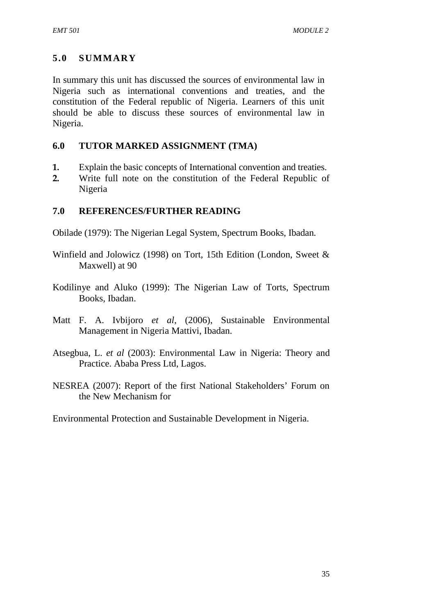# **5.0 SUMMARY**

In summary this unit has discussed the sources of environmental law in Nigeria such as international conventions and treaties, and the constitution of the Federal republic of Nigeria. Learners of this unit should be able to discuss these sources of environmental law in Nigeria.

### **6.0 TUTOR MARKED ASSIGNMENT (TMA)**

- **1.** Explain the basic concepts of International convention and treaties.
- **2.** Write full note on the constitution of the Federal Republic of Nigeria

### **7.0 REFERENCES/FURTHER READING**

Obilade (1979): The Nigerian Legal System, Spectrum Books, Ibadan.

- Winfield and Jolowicz (1998) on Tort, 15th Edition (London, Sweet & Maxwell) at 90
- Kodilinye and Aluko (1999): The Nigerian Law of Torts, Spectrum Books, Ibadan.
- Matt F. A. Ivbijoro *et al*, (2006), Sustainable Environmental Management in Nigeria Mattivi, Ibadan.
- Atsegbua, L. *et al* (2003): Environmental Law in Nigeria: Theory and Practice. Ababa Press Ltd, Lagos.
- NESREA (2007): Report of the first National Stakeholders' Forum on the New Mechanism for

Environmental Protection and Sustainable Development in Nigeria.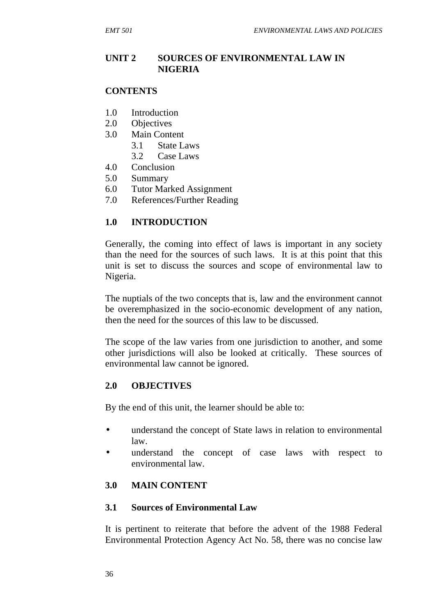#### **UNIT 2 SOURCES OF ENVIRONMENTAL LAW IN NIGERIA**

#### **CONTENTS**

- 1.0 Introduction
- 2.0 Objectives
- 3.0 Main Content
	- 3.1 State Laws
	- 3.2 Case Laws
- 4.0 Conclusion
- 5.0 Summary
- 6.0 Tutor Marked Assignment
- 7.0 References/Further Reading

#### **1.0 INTRODUCTION**

Generally, the coming into effect of laws is important in any society than the need for the sources of such laws. It is at this point that this unit is set to discuss the sources and scope of environmental law to Nigeria.

The nuptials of the two concepts that is, law and the environment cannot be overemphasized in the socio-economic development of any nation, then the need for the sources of this law to be discussed.

The scope of the law varies from one jurisdiction to another, and some other jurisdictions will also be looked at critically. These sources of environmental law cannot be ignored.

#### **2.0 OBJECTIVES**

By the end of this unit, the learner should be able to:

- understand the concept of State laws in relation to environmental law.
- understand the concept of case laws with respect to environmental law.

#### **3.0 MAIN CONTENT**

#### **3.1 Sources of Environmental Law**

It is pertinent to reiterate that before the advent of the 1988 Federal Environmental Protection Agency Act No. 58, there was no concise law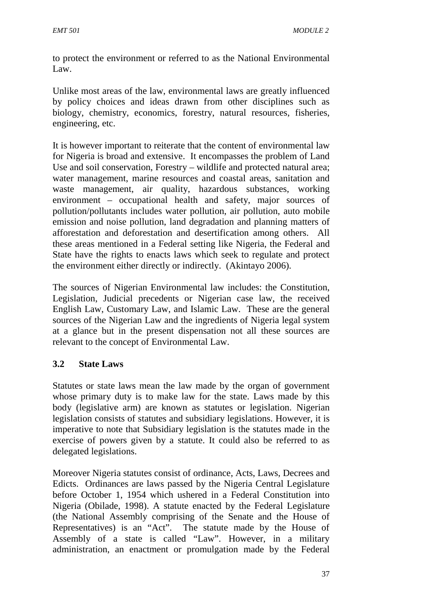to protect the environment or referred to as the National Environmental Law.

Unlike most areas of the law, environmental laws are greatly influenced by policy choices and ideas drawn from other disciplines such as biology, chemistry, economics, forestry, natural resources, fisheries, engineering, etc.

It is however important to reiterate that the content of environmental law for Nigeria is broad and extensive. It encompasses the problem of Land Use and soil conservation, Forestry – wildlife and protected natural area; water management, marine resources and coastal areas, sanitation and waste management, air quality, hazardous substances, working environment – occupational health and safety, major sources of pollution/pollutants includes water pollution, air pollution, auto mobile emission and noise pollution, land degradation and planning matters of afforestation and deforestation and desertification among others. All these areas mentioned in a Federal setting like Nigeria, the Federal and State have the rights to enacts laws which seek to regulate and protect the environment either directly or indirectly. (Akintayo 2006).

The sources of Nigerian Environmental law includes: the Constitution, Legislation, Judicial precedents or Nigerian case law, the received English Law, Customary Law, and Islamic Law. These are the general sources of the Nigerian Law and the ingredients of Nigeria legal system at a glance but in the present dispensation not all these sources are relevant to the concept of Environmental Law.

# **3.2 State Laws**

Statutes or state laws mean the law made by the organ of government whose primary duty is to make law for the state. Laws made by this body (legislative arm) are known as statutes or legislation. Nigerian legislation consists of statutes and subsidiary legislations. However, it is imperative to note that Subsidiary legislation is the statutes made in the exercise of powers given by a statute. It could also be referred to as delegated legislations.

Moreover Nigeria statutes consist of ordinance, Acts, Laws, Decrees and Edicts. Ordinances are laws passed by the Nigeria Central Legislature before October 1, 1954 which ushered in a Federal Constitution into Nigeria (Obilade, 1998). A statute enacted by the Federal Legislature (the National Assembly comprising of the Senate and the House of Representatives) is an "Act". The statute made by the House of Assembly of a state is called "Law". However, in a military administration, an enactment or promulgation made by the Federal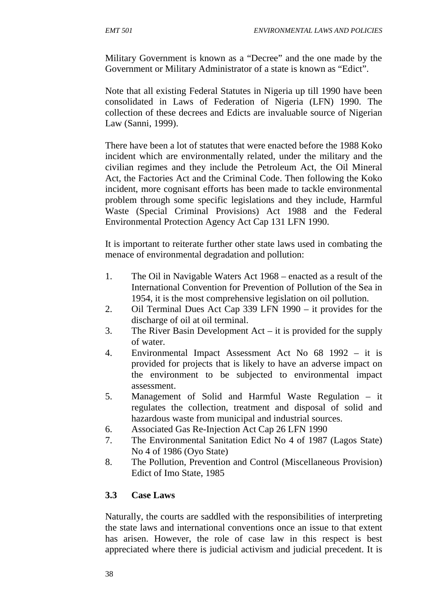Military Government is known as a "Decree" and the one made by the Government or Military Administrator of a state is known as "Edict".

Note that all existing Federal Statutes in Nigeria up till 1990 have been consolidated in Laws of Federation of Nigeria (LFN) 1990. The collection of these decrees and Edicts are invaluable source of Nigerian Law (Sanni, 1999).

There have been a lot of statutes that were enacted before the 1988 Koko incident which are environmentally related, under the military and the civilian regimes and they include the Petroleum Act, the Oil Mineral Act, the Factories Act and the Criminal Code. Then following the Koko incident, more cognisant efforts has been made to tackle environmental problem through some specific legislations and they include, Harmful Waste (Special Criminal Provisions) Act 1988 and the Federal Environmental Protection Agency Act Cap 131 LFN 1990.

It is important to reiterate further other state laws used in combating the menace of environmental degradation and pollution:

- 1. The Oil in Navigable Waters Act 1968 enacted as a result of the International Convention for Prevention of Pollution of the Sea in 1954, it is the most comprehensive legislation on oil pollution.
- 2. Oil Terminal Dues Act Cap 339 LFN 1990 it provides for the discharge of oil at oil terminal.
- 3. The River Basin Development Act it is provided for the supply of water.
- 4. Environmental Impact Assessment Act No 68 1992 it is provided for projects that is likely to have an adverse impact on the environment to be subjected to environmental impact assessment.
- 5. Management of Solid and Harmful Waste Regulation it regulates the collection, treatment and disposal of solid and hazardous waste from municipal and industrial sources.
- 6. Associated Gas Re-Injection Act Cap 26 LFN 1990
- 7. The Environmental Sanitation Edict No 4 of 1987 (Lagos State) No 4 of 1986 (Oyo State)
- 8. The Pollution, Prevention and Control (Miscellaneous Provision) Edict of Imo State, 1985

# **3.3 Case Laws**

Naturally, the courts are saddled with the responsibilities of interpreting the state laws and international conventions once an issue to that extent has arisen. However, the role of case law in this respect is best appreciated where there is judicial activism and judicial precedent. It is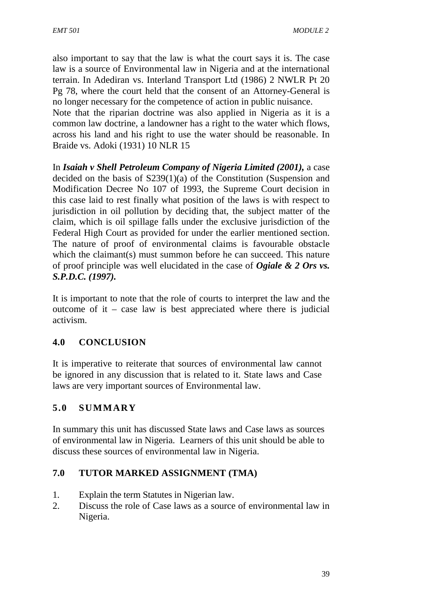also important to say that the law is what the court says it is. The case law is a source of Environmental law in Nigeria and at the international terrain. In Adediran vs. Interland Transport Ltd (1986) 2 NWLR Pt 20 Pg 78, where the court held that the consent of an Attorney-General is no longer necessary for the competence of action in public nuisance.

Note that the riparian doctrine was also applied in Nigeria as it is a common law doctrine, a landowner has a right to the water which flows, across his land and his right to use the water should be reasonable. In Braide vs. Adoki (1931) 10 NLR 15

In *Isaiah v Shell Petroleum Company of Nigeria Limited (2001),* a case decided on the basis of S239(1)(a) of the Constitution (Suspension and Modification Decree No 107 of 1993, the Supreme Court decision in this case laid to rest finally what position of the laws is with respect to jurisdiction in oil pollution by deciding that, the subject matter of the claim, which is oil spillage falls under the exclusive jurisdiction of the Federal High Court as provided for under the earlier mentioned section. The nature of proof of environmental claims is favourable obstacle which the claimant(s) must summon before he can succeed. This nature of proof principle was well elucidated in the case of *Ogiale & 2 Ors vs. S.P.D.C. (1997).*

It is important to note that the role of courts to interpret the law and the outcome of it – case law is best appreciated where there is judicial activism.

# **4.0 CONCLUSION**

It is imperative to reiterate that sources of environmental law cannot be ignored in any discussion that is related to it. State laws and Case laws are very important sources of Environmental law.

# **5.0 SUMMARY**

In summary this unit has discussed State laws and Case laws as sources of environmental law in Nigeria. Learners of this unit should be able to discuss these sources of environmental law in Nigeria.

#### **7.0 TUTOR MARKED ASSIGNMENT (TMA)**

- 1. Explain the term Statutes in Nigerian law.
- 2. Discuss the role of Case laws as a source of environmental law in Nigeria.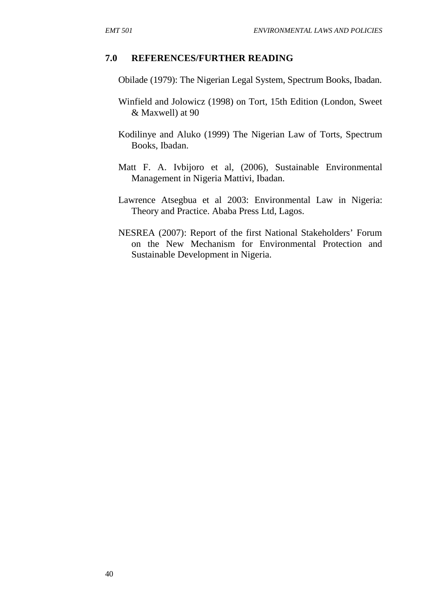#### **7.0 REFERENCES/FURTHER READING**

- Obilade (1979): The Nigerian Legal System, Spectrum Books, Ibadan.
- Winfield and Jolowicz (1998) on Tort, 15th Edition (London, Sweet & Maxwell) at 90
- Kodilinye and Aluko (1999) The Nigerian Law of Torts, Spectrum Books, Ibadan.
- Matt F. A. Ivbijoro et al, (2006), Sustainable Environmental Management in Nigeria Mattivi, Ibadan.
- Lawrence Atsegbua et al 2003: Environmental Law in Nigeria: Theory and Practice. Ababa Press Ltd, Lagos.
- NESREA (2007): Report of the first National Stakeholders' Forum on the New Mechanism for Environmental Protection and Sustainable Development in Nigeria.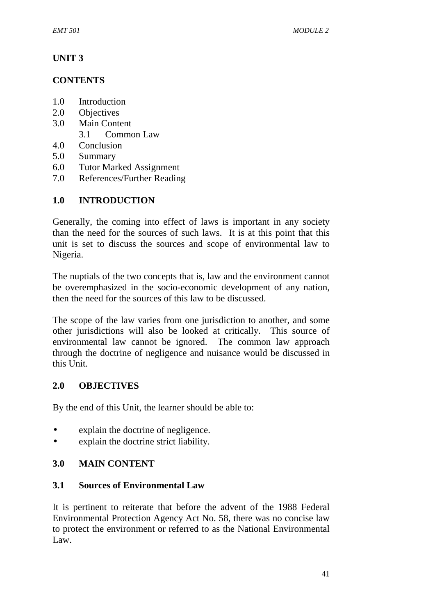# **UNIT 3**

### **CONTENTS**

- 1.0 Introduction
- 2.0 Objectives
- 3.0 Main Content
	- 3.1 Common Law
- 4.0 Conclusion
- 5.0 Summary
- 6.0 Tutor Marked Assignment
- 7.0 References/Further Reading

# **1.0 INTRODUCTION**

Generally, the coming into effect of laws is important in any society than the need for the sources of such laws. It is at this point that this unit is set to discuss the sources and scope of environmental law to Nigeria.

The nuptials of the two concepts that is, law and the environment cannot be overemphasized in the socio-economic development of any nation, then the need for the sources of this law to be discussed.

The scope of the law varies from one jurisdiction to another, and some other jurisdictions will also be looked at critically. This source of environmental law cannot be ignored. The common law approach through the doctrine of negligence and nuisance would be discussed in this Unit.

# **2.0 OBJECTIVES**

By the end of this Unit, the learner should be able to:

- explain the doctrine of negligence.
- explain the doctrine strict liability.

# **3.0 MAIN CONTENT**

#### **3.1 Sources of Environmental Law**

It is pertinent to reiterate that before the advent of the 1988 Federal Environmental Protection Agency Act No. 58, there was no concise law to protect the environment or referred to as the National Environmental Law.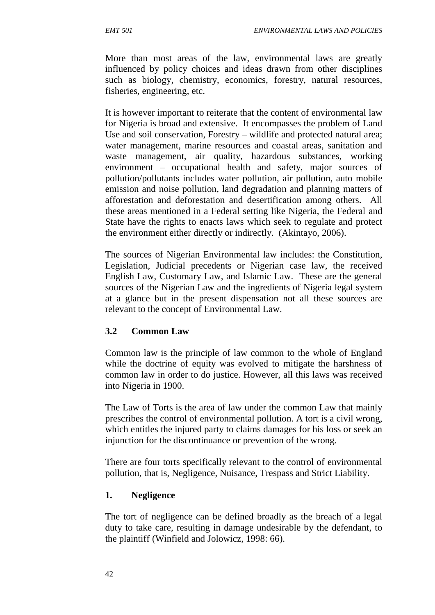More than most areas of the law, environmental laws are greatly influenced by policy choices and ideas drawn from other disciplines such as biology, chemistry, economics, forestry, natural resources, fisheries, engineering, etc.

It is however important to reiterate that the content of environmental law for Nigeria is broad and extensive. It encompasses the problem of Land Use and soil conservation, Forestry – wildlife and protected natural area; water management, marine resources and coastal areas, sanitation and waste management, air quality, hazardous substances, working environment – occupational health and safety, major sources of pollution/pollutants includes water pollution, air pollution, auto mobile emission and noise pollution, land degradation and planning matters of afforestation and deforestation and desertification among others. All these areas mentioned in a Federal setting like Nigeria, the Federal and State have the rights to enacts laws which seek to regulate and protect the environment either directly or indirectly. (Akintayo, 2006).

The sources of Nigerian Environmental law includes: the Constitution, Legislation, Judicial precedents or Nigerian case law, the received English Law, Customary Law, and Islamic Law. These are the general sources of the Nigerian Law and the ingredients of Nigeria legal system at a glance but in the present dispensation not all these sources are relevant to the concept of Environmental Law.

# **3.2 Common Law**

Common law is the principle of law common to the whole of England while the doctrine of equity was evolved to mitigate the harshness of common law in order to do justice. However, all this laws was received into Nigeria in 1900.

The Law of Torts is the area of law under the common Law that mainly prescribes the control of environmental pollution. A tort is a civil wrong, which entitles the injured party to claims damages for his loss or seek an injunction for the discontinuance or prevention of the wrong.

There are four torts specifically relevant to the control of environmental pollution, that is, Negligence, Nuisance, Trespass and Strict Liability.

#### **1. Negligence**

The tort of negligence can be defined broadly as the breach of a legal duty to take care, resulting in damage undesirable by the defendant, to the plaintiff (Winfield and Jolowicz, 1998: 66).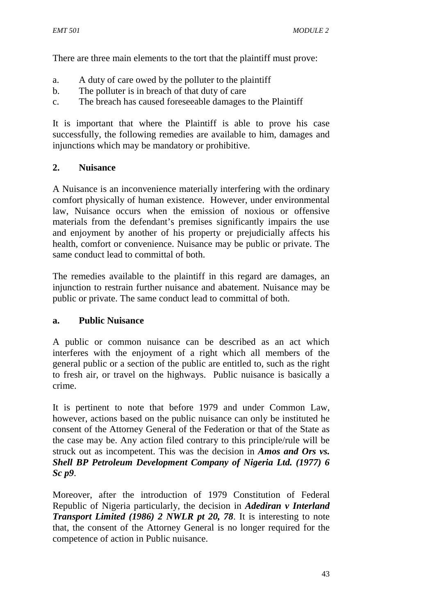There are three main elements to the tort that the plaintiff must prove:

- a. A duty of care owed by the polluter to the plaintiff
- b. The polluter is in breach of that duty of care
- c. The breach has caused foreseeable damages to the Plaintiff

It is important that where the Plaintiff is able to prove his case successfully, the following remedies are available to him, damages and injunctions which may be mandatory or prohibitive.

### **2. Nuisance**

A Nuisance is an inconvenience materially interfering with the ordinary comfort physically of human existence. However, under environmental law, Nuisance occurs when the emission of noxious or offensive materials from the defendant's premises significantly impairs the use and enjoyment by another of his property or prejudicially affects his health, comfort or convenience. Nuisance may be public or private. The same conduct lead to committal of both.

The remedies available to the plaintiff in this regard are damages, an injunction to restrain further nuisance and abatement. Nuisance may be public or private. The same conduct lead to committal of both.

#### **a. Public Nuisance**

A public or common nuisance can be described as an act which interferes with the enjoyment of a right which all members of the general public or a section of the public are entitled to, such as the right to fresh air, or travel on the highways. Public nuisance is basically a crime.

It is pertinent to note that before 1979 and under Common Law, however, actions based on the public nuisance can only be instituted he consent of the Attorney General of the Federation or that of the State as the case may be. Any action filed contrary to this principle/rule will be struck out as incompetent. This was the decision in *Amos and Ors vs. Shell BP Petroleum Development Company of Nigeria Ltd. (1977) 6 Sc p9*.

Moreover, after the introduction of 1979 Constitution of Federal Republic of Nigeria particularly, the decision in *Adediran v Interland Transport Limited (1986) 2 NWLR pt 20, 78*. It is interesting to note that, the consent of the Attorney General is no longer required for the competence of action in Public nuisance.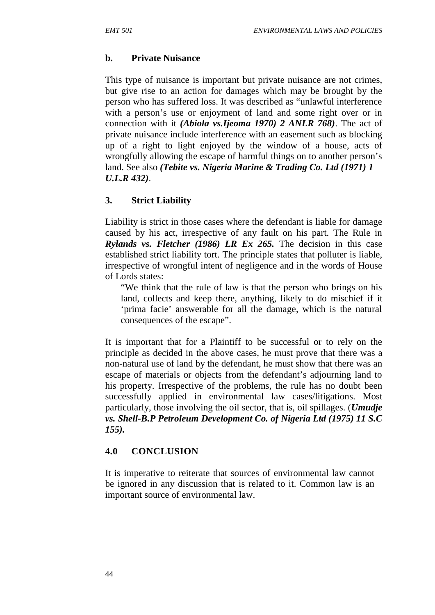### **b. Private Nuisance**

This type of nuisance is important but private nuisance are not crimes, but give rise to an action for damages which may be brought by the person who has suffered loss. It was described as "unlawful interference with a person's use or enjoyment of land and some right over or in connection with it *(Abiola vs.Ijeoma 1970) 2 ANLR 768)*. The act of private nuisance include interference with an easement such as blocking up of a right to light enjoyed by the window of a house, acts of wrongfully allowing the escape of harmful things on to another person's land. See also *(Tebite vs. Nigeria Marine & Trading Co. Ltd (1971) 1 U.L.R 432)*.

# **3. Strict Liability**

Liability is strict in those cases where the defendant is liable for damage caused by his act, irrespective of any fault on his part. The Rule in *Rylands vs. Fletcher (1986) LR Ex 265.* The decision in this case established strict liability tort. The principle states that polluter is liable, irrespective of wrongful intent of negligence and in the words of House of Lords states:

"We think that the rule of law is that the person who brings on his land, collects and keep there, anything, likely to do mischief if it 'prima facie' answerable for all the damage, which is the natural consequences of the escape".

It is important that for a Plaintiff to be successful or to rely on the principle as decided in the above cases, he must prove that there was a non-natural use of land by the defendant, he must show that there was an escape of materials or objects from the defendant's adjourning land to his property. Irrespective of the problems, the rule has no doubt been successfully applied in environmental law cases/litigations. Most particularly, those involving the oil sector, that is, oil spillages. (*Umudje vs. Shell-B.P Petroleum Development Co. of Nigeria Ltd (1975) 11 S.C 155).*

#### **4.0 CONCLUSION**

It is imperative to reiterate that sources of environmental law cannot be ignored in any discussion that is related to it. Common law is an important source of environmental law.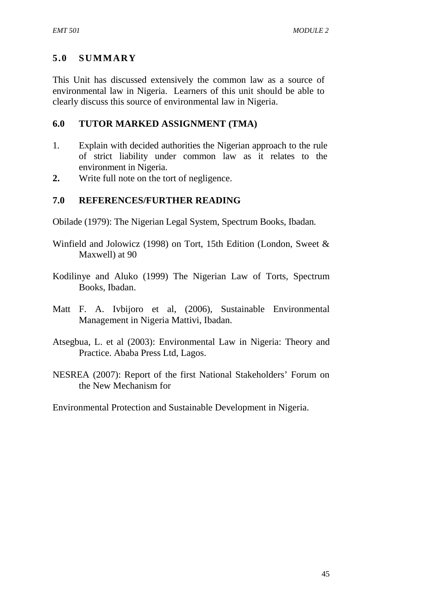# **5.0 SUMMARY**

This Unit has discussed extensively the common law as a source of environmental law in Nigeria. Learners of this unit should be able to clearly discuss this source of environmental law in Nigeria.

### **6.0 TUTOR MARKED ASSIGNMENT (TMA)**

- 1. Explain with decided authorities the Nigerian approach to the rule of strict liability under common law as it relates to the environment in Nigeria.
- **2.** Write full note on the tort of negligence.

# **7.0 REFERENCES/FURTHER READING**

- Obilade (1979): The Nigerian Legal System, Spectrum Books, Ibadan.
- Winfield and Jolowicz (1998) on Tort, 15th Edition (London, Sweet & Maxwell) at 90
- Kodilinye and Aluko (1999) The Nigerian Law of Torts, Spectrum Books, Ibadan.
- Matt F. A. Ivbijoro et al, (2006), Sustainable Environmental Management in Nigeria Mattivi, Ibadan.
- Atsegbua, L. et al (2003): Environmental Law in Nigeria: Theory and Practice. Ababa Press Ltd, Lagos.
- NESREA (2007): Report of the first National Stakeholders' Forum on the New Mechanism for

Environmental Protection and Sustainable Development in Nigeria.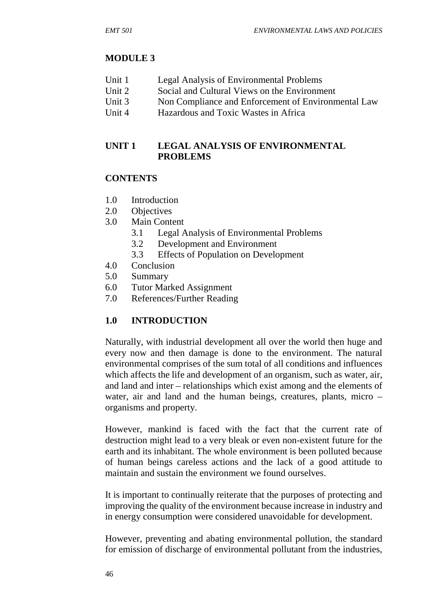#### **MODULE 3**

| Unit 1 | Legal Analysis of Environmental Problems |
|--------|------------------------------------------|
|        |                                          |

- Unit 2 Social and Cultural Views on the Environment
- Unit 3 Non Compliance and Enforcement of Environmental Law
- Unit 4 Hazardous and Toxic Wastes in Africa

#### **UNIT 1 LEGAL ANALYSIS OF ENVIRONMENTAL PROBLEMS**

#### **CONTENTS**

- 1.0 Introduction
- 2.0 Objectives
- 3.0 Main Content
	- 3.1 Legal Analysis of Environmental Problems
	- 3.2 Development and Environment
	- 3.3 Effects of Population on Development
- 4.0 Conclusion
- 5.0 Summary
- 6.0 Tutor Marked Assignment
- 7.0 References/Further Reading

#### **1.0 INTRODUCTION**

Naturally, with industrial development all over the world then huge and every now and then damage is done to the environment. The natural environmental comprises of the sum total of all conditions and influences which affects the life and development of an organism, such as water, air, and land and inter – relationships which exist among and the elements of water, air and land and the human beings, creatures, plants, micro – organisms and property.

However, mankind is faced with the fact that the current rate of destruction might lead to a very bleak or even non-existent future for the earth and its inhabitant. The whole environment is been polluted because of human beings careless actions and the lack of a good attitude to maintain and sustain the environment we found ourselves.

It is important to continually reiterate that the purposes of protecting and improving the quality of the environment because increase in industry and in energy consumption were considered unavoidable for development.

However, preventing and abating environmental pollution, the standard for emission of discharge of environmental pollutant from the industries,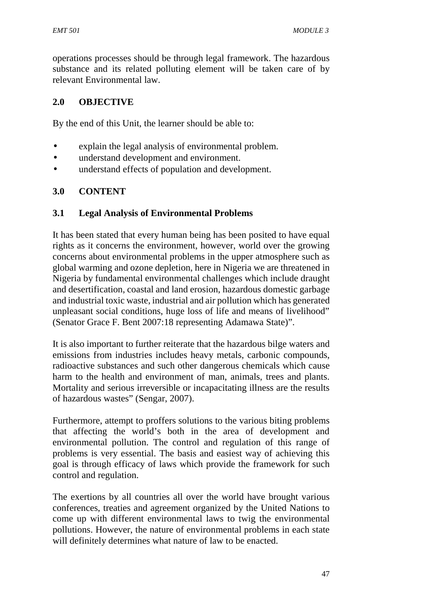operations processes should be through legal framework. The hazardous substance and its related polluting element will be taken care of by relevant Environmental law.

### **2.0 OBJECTIVE**

By the end of this Unit, the learner should be able to:

- explain the legal analysis of environmental problem.
- understand development and environment.
- understand effects of population and development.

### **3.0 CONTENT**

#### **3.1 Legal Analysis of Environmental Problems**

It has been stated that every human being has been posited to have equal rights as it concerns the environment, however, world over the growing concerns about environmental problems in the upper atmosphere such as global warming and ozone depletion, here in Nigeria we are threatened in Nigeria by fundamental environmental challenges which include draught and desertification, coastal and land erosion, hazardous domestic garbage and industrial toxic waste, industrial and air pollution which has generated unpleasant social conditions, huge loss of life and means of livelihood" (Senator Grace F. Bent 2007:18 representing Adamawa State)".

It is also important to further reiterate that the hazardous bilge waters and emissions from industries includes heavy metals, carbonic compounds, radioactive substances and such other dangerous chemicals which cause harm to the health and environment of man, animals, trees and plants. Mortality and serious irreversible or incapacitating illness are the results of hazardous wastes" (Sengar, 2007).

Furthermore, attempt to proffers solutions to the various biting problems that affecting the world's both in the area of development and environmental pollution. The control and regulation of this range of problems is very essential. The basis and easiest way of achieving this goal is through efficacy of laws which provide the framework for such control and regulation.

The exertions by all countries all over the world have brought various conferences, treaties and agreement organized by the United Nations to come up with different environmental laws to twig the environmental pollutions. However, the nature of environmental problems in each state will definitely determines what nature of law to be enacted.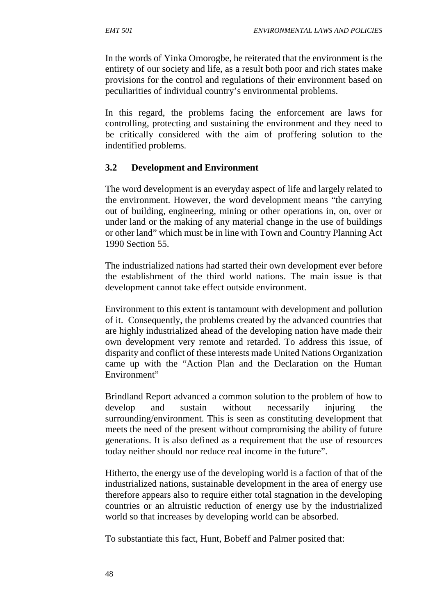In the words of Yinka Omorogbe, he reiterated that the environment is the entirety of our society and life, as a result both poor and rich states make provisions for the control and regulations of their environment based on peculiarities of individual country's environmental problems.

In this regard, the problems facing the enforcement are laws for controlling, protecting and sustaining the environment and they need to be critically considered with the aim of proffering solution to the indentified problems.

### **3.2 Development and Environment**

The word development is an everyday aspect of life and largely related to the environment. However, the word development means "the carrying out of building, engineering, mining or other operations in, on, over or under land or the making of any material change in the use of buildings or other land" which must be in line with Town and Country Planning Act 1990 Section 55.

The industrialized nations had started their own development ever before the establishment of the third world nations. The main issue is that development cannot take effect outside environment.

Environment to this extent is tantamount with development and pollution of it. Consequently, the problems created by the advanced countries that are highly industrialized ahead of the developing nation have made their own development very remote and retarded. To address this issue, of disparity and conflict of these interests made United Nations Organization came up with the "Action Plan and the Declaration on the Human Environment"

Brindland Report advanced a common solution to the problem of how to develop and sustain without necessarily injuring the surrounding/environment. This is seen as constituting development that meets the need of the present without compromising the ability of future generations. It is also defined as a requirement that the use of resources today neither should nor reduce real income in the future".

Hitherto, the energy use of the developing world is a faction of that of the industrialized nations, sustainable development in the area of energy use therefore appears also to require either total stagnation in the developing countries or an altruistic reduction of energy use by the industrialized world so that increases by developing world can be absorbed.

To substantiate this fact, Hunt, Bobeff and Palmer posited that: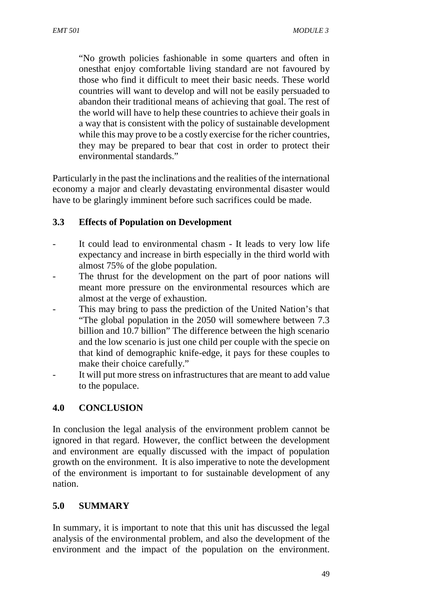"No growth policies fashionable in some quarters and often in onesthat enjoy comfortable living standard are not favoured by those who find it difficult to meet their basic needs. These world countries will want to develop and will not be easily persuaded to abandon their traditional means of achieving that goal. The rest of the world will have to help these countries to achieve their goals in a way that is consistent with the policy of sustainable development while this may prove to be a costly exercise for the richer countries. they may be prepared to bear that cost in order to protect their environmental standards."

Particularly in the past the inclinations and the realities of the international economy a major and clearly devastating environmental disaster would have to be glaringly imminent before such sacrifices could be made.

#### **3.3 Effects of Population on Development**

- It could lead to environmental chasm It leads to very low life expectancy and increase in birth especially in the third world with almost 75% of the globe population.
- The thrust for the development on the part of poor nations will meant more pressure on the environmental resources which are almost at the verge of exhaustion.
- This may bring to pass the prediction of the United Nation's that "The global population in the 2050 will somewhere between 7.3 billion and 10.7 billion" The difference between the high scenario and the low scenario is just one child per couple with the specie on that kind of demographic knife-edge, it pays for these couples to make their choice carefully."
- It will put more stress on infrastructures that are meant to add value to the populace.

#### **4.0 CONCLUSION**

In conclusion the legal analysis of the environment problem cannot be ignored in that regard. However, the conflict between the development and environment are equally discussed with the impact of population growth on the environment. It is also imperative to note the development of the environment is important to for sustainable development of any nation.

#### **5.0 SUMMARY**

In summary, it is important to note that this unit has discussed the legal analysis of the environmental problem, and also the development of the environment and the impact of the population on the environment.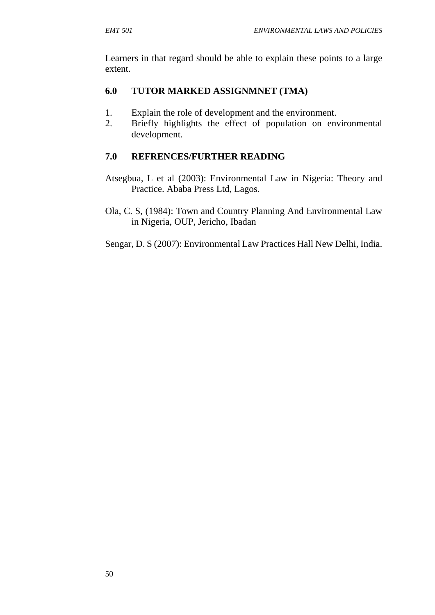Learners in that regard should be able to explain these points to a large extent.

### **6.0 TUTOR MARKED ASSIGNMNET (TMA)**

- 1. Explain the role of development and the environment.
- 2. Briefly highlights the effect of population on environmental development.

# **7.0 REFRENCES/FURTHER READING**

- Atsegbua, L et al (2003): Environmental Law in Nigeria: Theory and Practice. Ababa Press Ltd, Lagos.
- Ola, C. S, (1984): Town and Country Planning And Environmental Law in Nigeria, OUP, Jericho, Ibadan
- Sengar, D. S (2007): Environmental Law Practices Hall New Delhi, India.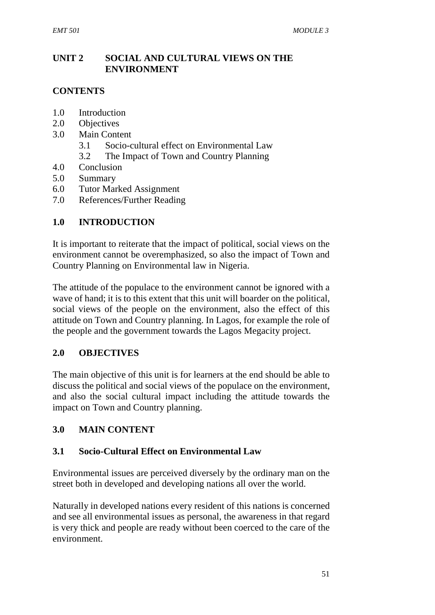# **UNIT 2 SOCIAL AND CULTURAL VIEWS ON THE ENVIRONMENT**

# **CONTENTS**

- 1.0 Introduction
- 2.0 Objectives
- 3.0 Main Content
	- 3.1 Socio-cultural effect on Environmental Law
	- 3.2 The Impact of Town and Country Planning
- 4.0 Conclusion
- 5.0 Summary
- 6.0 Tutor Marked Assignment
- 7.0 References/Further Reading

# **1.0 INTRODUCTION**

It is important to reiterate that the impact of political, social views on the environment cannot be overemphasized, so also the impact of Town and Country Planning on Environmental law in Nigeria.

The attitude of the populace to the environment cannot be ignored with a wave of hand; it is to this extent that this unit will boarder on the political, social views of the people on the environment, also the effect of this attitude on Town and Country planning. In Lagos, for example the role of the people and the government towards the Lagos Megacity project.

# **2.0 OBJECTIVES**

The main objective of this unit is for learners at the end should be able to discuss the political and social views of the populace on the environment, and also the social cultural impact including the attitude towards the impact on Town and Country planning.

# **3.0 MAIN CONTENT**

# **3.1 Socio-Cultural Effect on Environmental Law**

Environmental issues are perceived diversely by the ordinary man on the street both in developed and developing nations all over the world.

Naturally in developed nations every resident of this nations is concerned and see all environmental issues as personal, the awareness in that regard is very thick and people are ready without been coerced to the care of the environment.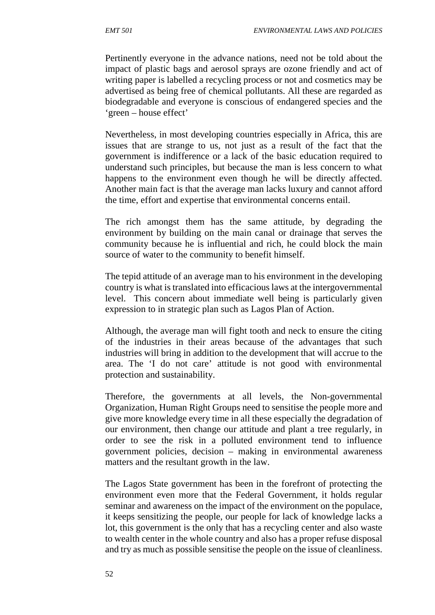Pertinently everyone in the advance nations, need not be told about the impact of plastic bags and aerosol sprays are ozone friendly and act of writing paper is labelled a recycling process or not and cosmetics may be advertised as being free of chemical pollutants. All these are regarded as biodegradable and everyone is conscious of endangered species and the 'green – house effect'

Nevertheless, in most developing countries especially in Africa, this are issues that are strange to us, not just as a result of the fact that the government is indifference or a lack of the basic education required to understand such principles, but because the man is less concern to what happens to the environment even though he will be directly affected. Another main fact is that the average man lacks luxury and cannot afford the time, effort and expertise that environmental concerns entail.

The rich amongst them has the same attitude, by degrading the environment by building on the main canal or drainage that serves the community because he is influential and rich, he could block the main source of water to the community to benefit himself.

The tepid attitude of an average man to his environment in the developing country is what is translated into efficacious laws at the intergovernmental level. This concern about immediate well being is particularly given expression to in strategic plan such as Lagos Plan of Action.

Although, the average man will fight tooth and neck to ensure the citing of the industries in their areas because of the advantages that such industries will bring in addition to the development that will accrue to the area. The 'I do not care' attitude is not good with environmental protection and sustainability.

Therefore, the governments at all levels, the Non-governmental Organization, Human Right Groups need to sensitise the people more and give more knowledge every time in all these especially the degradation of our environment, then change our attitude and plant a tree regularly, in order to see the risk in a polluted environment tend to influence government policies, decision – making in environmental awareness matters and the resultant growth in the law.

The Lagos State government has been in the forefront of protecting the environment even more that the Federal Government, it holds regular seminar and awareness on the impact of the environment on the populace, it keeps sensitizing the people, our people for lack of knowledge lacks a lot, this government is the only that has a recycling center and also waste to wealth center in the whole country and also has a proper refuse disposal and try as much as possible sensitise the people on the issue of cleanliness.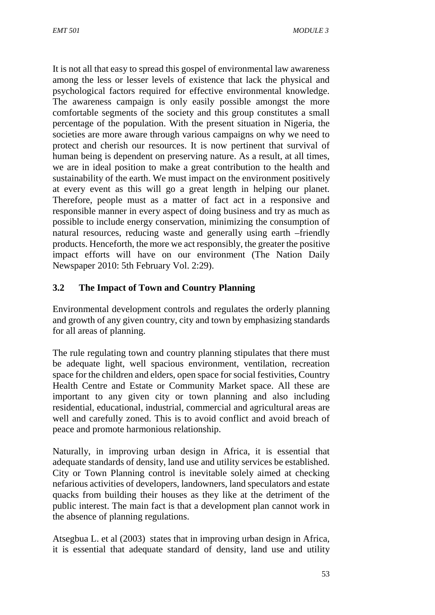It is not all that easy to spread this gospel of environmental law awareness among the less or lesser levels of existence that lack the physical and psychological factors required for effective environmental knowledge. The awareness campaign is only easily possible amongst the more comfortable segments of the society and this group constitutes a small percentage of the population. With the present situation in Nigeria, the societies are more aware through various campaigns on why we need to protect and cherish our resources. It is now pertinent that survival of human being is dependent on preserving nature. As a result, at all times, we are in ideal position to make a great contribution to the health and sustainability of the earth. We must impact on the environment positively at every event as this will go a great length in helping our planet. Therefore, people must as a matter of fact act in a responsive and responsible manner in every aspect of doing business and try as much as possible to include energy conservation, minimizing the consumption of natural resources, reducing waste and generally using earth –friendly products. Henceforth, the more we act responsibly, the greater the positive impact efforts will have on our environment (The Nation Daily Newspaper 2010: 5th February Vol. 2:29).

#### **3.2 The Impact of Town and Country Planning**

Environmental development controls and regulates the orderly planning and growth of any given country, city and town by emphasizing standards for all areas of planning.

The rule regulating town and country planning stipulates that there must be adequate light, well spacious environment, ventilation, recreation space for the children and elders, open space for social festivities, Country Health Centre and Estate or Community Market space. All these are important to any given city or town planning and also including residential, educational, industrial, commercial and agricultural areas are well and carefully zoned. This is to avoid conflict and avoid breach of peace and promote harmonious relationship.

Naturally, in improving urban design in Africa, it is essential that adequate standards of density, land use and utility services be established. City or Town Planning control is inevitable solely aimed at checking nefarious activities of developers, landowners, land speculators and estate quacks from building their houses as they like at the detriment of the public interest. The main fact is that a development plan cannot work in the absence of planning regulations.

Atsegbua L. et al (2003) states that in improving urban design in Africa, it is essential that adequate standard of density, land use and utility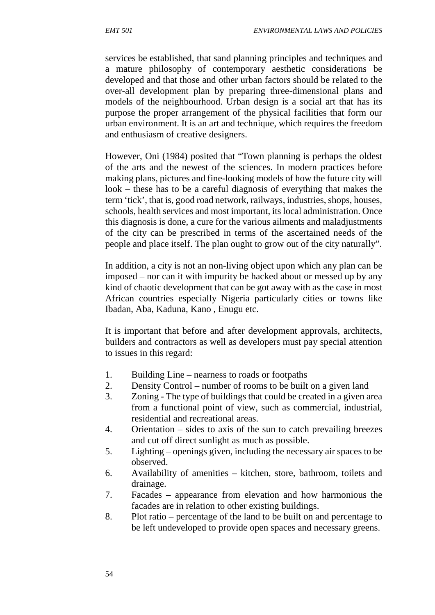services be established, that sand planning principles and techniques and a mature philosophy of contemporary aesthetic considerations be developed and that those and other urban factors should be related to the over-all development plan by preparing three-dimensional plans and models of the neighbourhood. Urban design is a social art that has its purpose the proper arrangement of the physical facilities that form our urban environment. It is an art and technique, which requires the freedom and enthusiasm of creative designers.

However, Oni (1984) posited that "Town planning is perhaps the oldest of the arts and the newest of the sciences. In modern practices before making plans, pictures and fine-looking models of how the future city will look – these has to be a careful diagnosis of everything that makes the term 'tick', that is, good road network, railways, industries, shops, houses, schools, health services and most important, its local administration. Once this diagnosis is done, a cure for the various ailments and maladjustments of the city can be prescribed in terms of the ascertained needs of the people and place itself. The plan ought to grow out of the city naturally".

In addition, a city is not an non-living object upon which any plan can be imposed – nor can it with impurity be hacked about or messed up by any kind of chaotic development that can be got away with as the case in most African countries especially Nigeria particularly cities or towns like Ibadan, Aba, Kaduna, Kano , Enugu etc.

It is important that before and after development approvals, architects, builders and contractors as well as developers must pay special attention to issues in this regard:

- 1. Building Line nearness to roads or footpaths
- 2. Density Control number of rooms to be built on a given land
- 3. Zoning The type of buildings that could be created in a given area from a functional point of view, such as commercial, industrial, residential and recreational areas.
- 4. Orientation sides to axis of the sun to catch prevailing breezes and cut off direct sunlight as much as possible.
- 5. Lighting openings given, including the necessary air spaces to be observed.
- 6. Availability of amenities kitchen, store, bathroom, toilets and drainage.
- 7. Facades appearance from elevation and how harmonious the facades are in relation to other existing buildings.
- 8. Plot ratio percentage of the land to be built on and percentage to be left undeveloped to provide open spaces and necessary greens.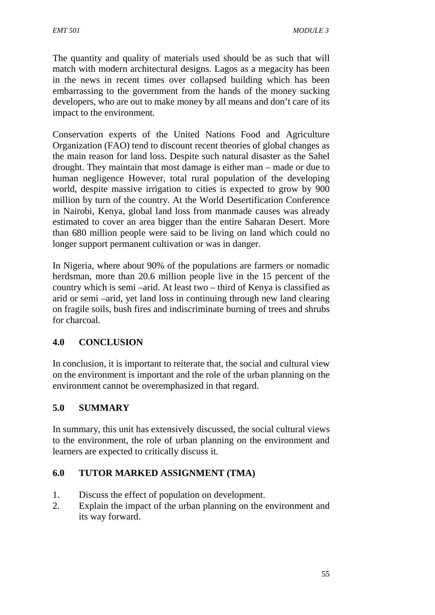The quantity and quality of materials used should be as such that will match with modern architectural designs. Lagos as a megacity has been in the news in recent times over collapsed building which has been embarrassing to the government from the hands of the money sucking developers, who are out to make money by all means and don't care of its impact to the environment.

Conservation experts of the United Nations Food and Agriculture Organization (FAO) tend to discount recent theories of global changes as the main reason for land loss. Despite such natural disaster as the Sahel drought. They maintain that most damage is either man – made or due to human negligence However, total rural population of the developing world, despite massive irrigation to cities is expected to grow by 900 million by turn of the country. At the World Desertification Conference in Nairobi, Kenya, global land loss from manmade causes was already estimated to cover an area bigger than the entire Saharan Desert. More than 680 million people were said to be living on land which could no longer support permanent cultivation or was in danger.

In Nigeria, where about 90% of the populations are farmers or nomadic herdsman, more than 20.6 million people live in the 15 percent of the country which is semi –arid. At least two – third of Kenya is classified as arid or semi –arid, yet land loss in continuing through new land clearing on fragile soils, bush fires and indiscriminate burning of trees and shrubs for charcoal.

# **4.0 CONCLUSION**

In conclusion, it is important to reiterate that, the social and cultural view on the environment is important and the role of the urban planning on the environment cannot be overemphasized in that regard.

# **5.0 SUMMARY**

In summary, this unit has extensively discussed, the social cultural views to the environment, the role of urban planning on the environment and learners are expected to critically discuss it.

# **6.0 TUTOR MARKED ASSIGNMENT (TMA)**

- 1. Discuss the effect of population on development.
- 2. Explain the impact of the urban planning on the environment and its way forward.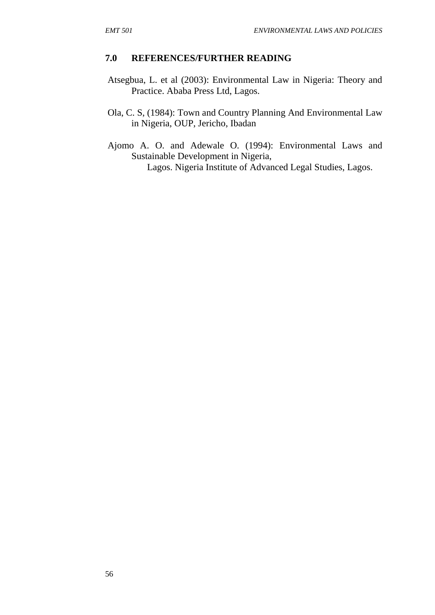#### **7.0 REFERENCES/FURTHER READING**

- Atsegbua, L. et al (2003): Environmental Law in Nigeria: Theory and Practice. Ababa Press Ltd, Lagos.
- Ola, C. S, (1984): Town and Country Planning And Environmental Law in Nigeria, OUP, Jericho, Ibadan
- Ajomo A. O. and Adewale O. (1994): Environmental Laws and Sustainable Development in Nigeria, Lagos. Nigeria Institute of Advanced Legal Studies, Lagos.

56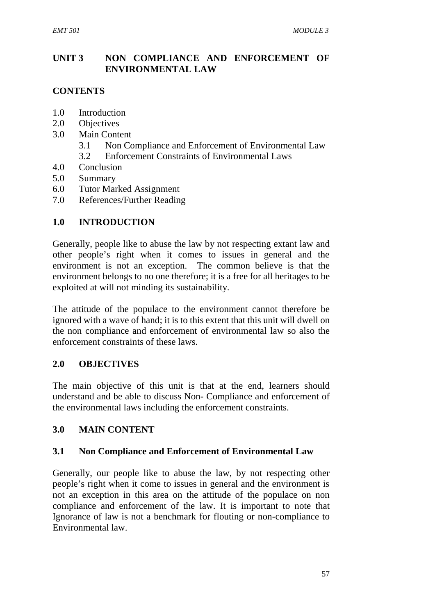### **UNIT 3 NON COMPLIANCE AND ENFORCEMENT OF ENVIRONMENTAL LAW**

# **CONTENTS**

- 1.0 Introduction
- 2.0 Objectives
- 3.0 Main Content
	- 3.1 Non Compliance and Enforcement of Environmental Law
	- 3.2 Enforcement Constraints of Environmental Laws
- 4.0 Conclusion
- 5.0 Summary
- 6.0 Tutor Marked Assignment
- 7.0 References/Further Reading

# **1.0 INTRODUCTION**

Generally, people like to abuse the law by not respecting extant law and other people's right when it comes to issues in general and the environment is not an exception. The common believe is that the environment belongs to no one therefore; it is a free for all heritages to be exploited at will not minding its sustainability.

The attitude of the populace to the environment cannot therefore be ignored with a wave of hand; it is to this extent that this unit will dwell on the non compliance and enforcement of environmental law so also the enforcement constraints of these laws.

# **2.0 OBJECTIVES**

The main objective of this unit is that at the end, learners should understand and be able to discuss Non- Compliance and enforcement of the environmental laws including the enforcement constraints.

# **3.0 MAIN CONTENT**

#### **3.1 Non Compliance and Enforcement of Environmental Law**

Generally, our people like to abuse the law, by not respecting other people's right when it come to issues in general and the environment is not an exception in this area on the attitude of the populace on non compliance and enforcement of the law. It is important to note that Ignorance of law is not a benchmark for flouting or non-compliance to Environmental law.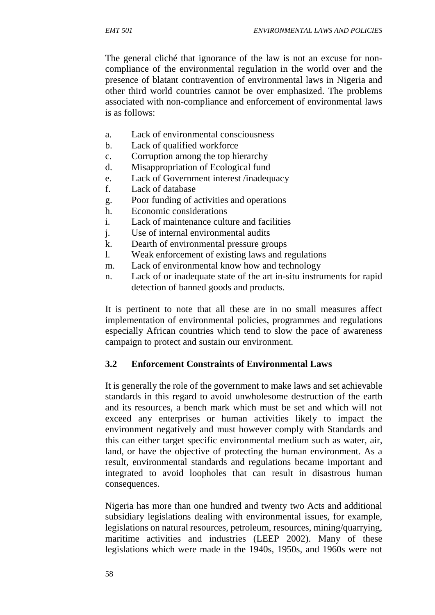The general cliché that ignorance of the law is not an excuse for non compliance of the environmental regulation in the world over and the presence of blatant contravention of environmental laws in Nigeria and other third world countries cannot be over emphasized. The problems associated with non-compliance and enforcement of environmental laws is as follows:

- a. Lack of environmental consciousness
- b. Lack of qualified workforce
- c. Corruption among the top hierarchy
- d. Misappropriation of Ecological fund
- e. Lack of Government interest /inadequacy
- f. Lack of database
- g. Poor funding of activities and operations
- h. Economic considerations
- i. Lack of maintenance culture and facilities
- j. Use of internal environmental audits
- k. Dearth of environmental pressure groups
- l. Weak enforcement of existing laws and regulations
- m. Lack of environmental know how and technology
- n. Lack of or inadequate state of the art in-situ instruments for rapid detection of banned goods and products.

It is pertinent to note that all these are in no small measures affect implementation of environmental policies, programmes and regulations especially African countries which tend to slow the pace of awareness campaign to protect and sustain our environment.

# **3.2 Enforcement Constraints of Environmental Laws**

It is generally the role of the government to make laws and set achievable standards in this regard to avoid unwholesome destruction of the earth and its resources, a bench mark which must be set and which will not exceed any enterprises or human activities likely to impact the environment negatively and must however comply with Standards and this can either target specific environmental medium such as water, air, land, or have the objective of protecting the human environment. As a result, environmental standards and regulations became important and integrated to avoid loopholes that can result in disastrous human consequences.

Nigeria has more than one hundred and twenty two Acts and additional subsidiary legislations dealing with environmental issues, for example, legislations on natural resources, petroleum, resources, mining/quarrying, maritime activities and industries (LEEP 2002). Many of these legislations which were made in the 1940s, 1950s, and 1960s were not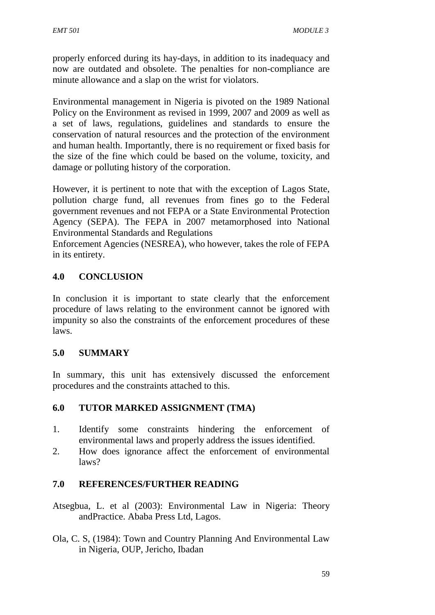properly enforced during its hay-days, in addition to its inadequacy and now are outdated and obsolete. The penalties for non-compliance are minute allowance and a slap on the wrist for violators.

Environmental management in Nigeria is pivoted on the 1989 National Policy on the Environment as revised in 1999, 2007 and 2009 as well as a set of laws, regulations, guidelines and standards to ensure the conservation of natural resources and the protection of the environment and human health. Importantly, there is no requirement or fixed basis for the size of the fine which could be based on the volume, toxicity, and damage or polluting history of the corporation.

However, it is pertinent to note that with the exception of Lagos State, pollution charge fund, all revenues from fines go to the Federal government revenues and not FEPA or a State Environmental Protection Agency (SEPA). The FEPA in 2007 metamorphosed into National Environmental Standards and Regulations

Enforcement Agencies (NESREA), who however, takes the role of FEPA in its entirety.

# **4.0 CONCLUSION**

In conclusion it is important to state clearly that the enforcement procedure of laws relating to the environment cannot be ignored with impunity so also the constraints of the enforcement procedures of these laws.

#### **5.0 SUMMARY**

In summary, this unit has extensively discussed the enforcement procedures and the constraints attached to this.

#### **6.0 TUTOR MARKED ASSIGNMENT (TMA)**

- 1. Identify some constraints hindering the enforcement of environmental laws and properly address the issues identified.
- 2. How does ignorance affect the enforcement of environmental laws?

# **7.0 REFERENCES/FURTHER READING**

Atsegbua, L. et al (2003): Environmental Law in Nigeria: Theory andPractice. Ababa Press Ltd, Lagos.

Ola, C. S, (1984): Town and Country Planning And Environmental Law in Nigeria, OUP, Jericho, Ibadan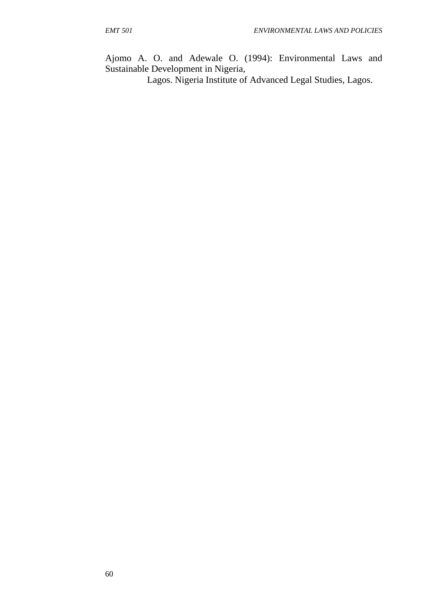Ajomo A. O. and Adewale O. (1994): Environmental Laws and Sustainable Development in Nigeria,

Lagos. Nigeria Institute of Advanced Legal Studies, Lagos.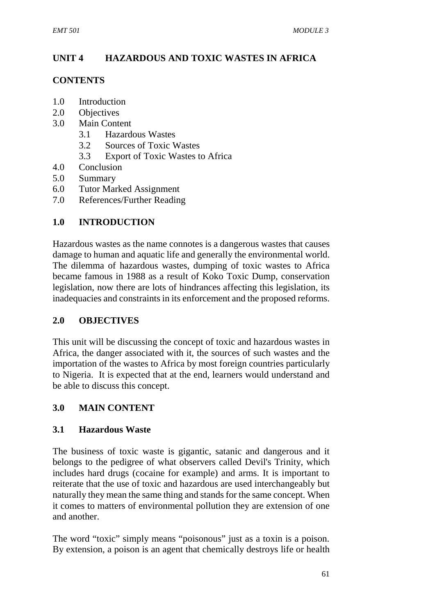# **UNIT 4 HAZARDOUS AND TOXIC WASTES IN AFRICA**

#### **CONTENTS**

- 1.0 Introduction
- 2.0 Objectives
- 3.0 Main Content
	- 3.1 Hazardous Wastes
	- 3.2 Sources of Toxic Wastes
	- 3.3 Export of Toxic Wastes to Africa
- 4.0 Conclusion
- 5.0 Summary
- 6.0 Tutor Marked Assignment
- 7.0 References/Further Reading

# **1.0 INTRODUCTION**

Hazardous wastes as the name connotes is a dangerous wastes that causes damage to human and aquatic life and generally the environmental world. The dilemma of hazardous wastes, dumping of toxic wastes to Africa became famous in 1988 as a result of Koko Toxic Dump, conservation legislation, now there are lots of hindrances affecting this legislation, its inadequacies and constraints in its enforcement and the proposed reforms.

# **2.0 OBJECTIVES**

This unit will be discussing the concept of toxic and hazardous wastes in Africa, the danger associated with it, the sources of such wastes and the importation of the wastes to Africa by most foreign countries particularly to Nigeria. It is expected that at the end, learners would understand and be able to discuss this concept.

# **3.0 MAIN CONTENT**

# **3.1 Hazardous Waste**

The business of toxic waste is gigantic, satanic and dangerous and it belongs to the pedigree of what observers called Devil's Trinity, which includes hard drugs (cocaine for example) and arms. It is important to reiterate that the use of toxic and hazardous are used interchangeably but naturally they mean the same thing and stands for the same concept. When it comes to matters of environmental pollution they are extension of one and another.

The word "toxic" simply means "poisonous" just as a toxin is a poison. By extension, a poison is an agent that chemically destroys life or health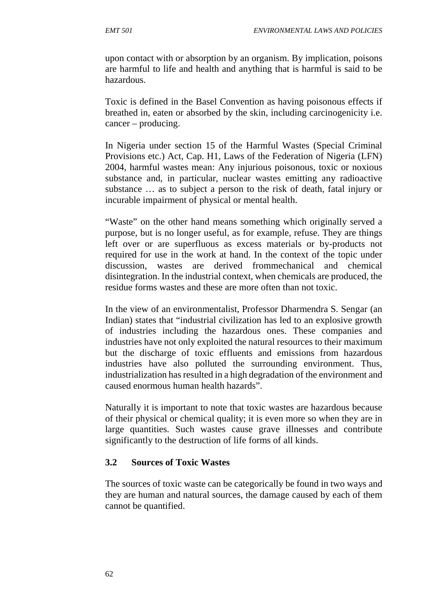upon contact with or absorption by an organism. By implication, poisons are harmful to life and health and anything that is harmful is said to be hazardous.

Toxic is defined in the Basel Convention as having poisonous effects if breathed in, eaten or absorbed by the skin, including carcinogenicity i.e. cancer – producing.

In Nigeria under section 15 of the Harmful Wastes (Special Criminal Provisions etc.) Act, Cap. H1, Laws of the Federation of Nigeria (LFN) 2004, harmful wastes mean: Any injurious poisonous, toxic or noxious substance and, in particular, nuclear wastes emitting any radioactive substance … as to subject a person to the risk of death, fatal injury or incurable impairment of physical or mental health.

"Waste" on the other hand means something which originally served a purpose, but is no longer useful, as for example, refuse. They are things left over or are superfluous as excess materials or by-products not required for use in the work at hand. In the context of the topic under discussion, wastes are derived frommechanical and chemical disintegration. In the industrial context, when chemicals are produced, the residue forms wastes and these are more often than not toxic.

In the view of an environmentalist, Professor Dharmendra S. Sengar (an Indian) states that "industrial civilization has led to an explosive growth of industries including the hazardous ones. These companies and industries have not only exploited the natural resources to their maximum but the discharge of toxic effluents and emissions from hazardous industries have also polluted the surrounding environment. Thus, industrialization has resulted in a high degradation of the environment and caused enormous human health hazards".

Naturally it is important to note that toxic wastes are hazardous because of their physical or chemical quality; it is even more so when they are in large quantities. Such wastes cause grave illnesses and contribute significantly to the destruction of life forms of all kinds.

#### **3.2 Sources of Toxic Wastes**

The sources of toxic waste can be categorically be found in two ways and they are human and natural sources, the damage caused by each of them cannot be quantified.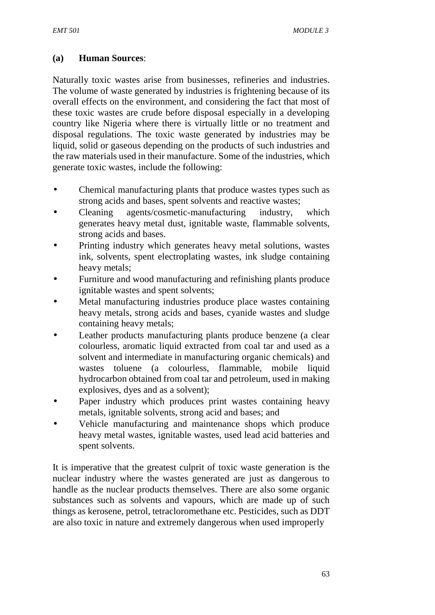### **(a) Human Sources**:

Naturally toxic wastes arise from businesses, refineries and industries. The volume of waste generated by industries is frightening because of its overall effects on the environment, and considering the fact that most of these toxic wastes are crude before disposal especially in a developing country like Nigeria where there is virtually little or no treatment and disposal regulations. The toxic waste generated by industries may be liquid, solid or gaseous depending on the products of such industries and the raw materials used in their manufacture. Some of the industries, which generate toxic wastes, include the following:

- Chemical manufacturing plants that produce wastes types such as strong acids and bases, spent solvents and reactive wastes;
- Cleaning agents/cosmetic-manufacturing industry, which generates heavy metal dust, ignitable waste, flammable solvents, strong acids and bases.
- Printing industry which generates heavy metal solutions, wastes ink, solvents, spent electroplating wastes, ink sludge containing heavy metals;
- Furniture and wood manufacturing and refinishing plants produce ignitable wastes and spent solvents;
- Metal manufacturing industries produce place wastes containing heavy metals, strong acids and bases, cyanide wastes and sludge containing heavy metals;
- Leather products manufacturing plants produce benzene (a clear colourless, aromatic liquid extracted from coal tar and used as a solvent and intermediate in manufacturing organic chemicals) and wastes toluene (a colourless, flammable, mobile liquid hydrocarbon obtained from coal tar and petroleum, used in making explosives, dyes and as a solvent);
- Paper industry which produces print wastes containing heavy metals, ignitable solvents, strong acid and bases; and
- Vehicle manufacturing and maintenance shops which produce heavy metal wastes, ignitable wastes, used lead acid batteries and spent solvents.

It is imperative that the greatest culprit of toxic waste generation is the nuclear industry where the wastes generated are just as dangerous to handle as the nuclear products themselves. There are also some organic substances such as solvents and vapours, which are made up of such things as kerosene, petrol, tetracloromethane etc. Pesticides, such as DDT are also toxic in nature and extremely dangerous when used improperly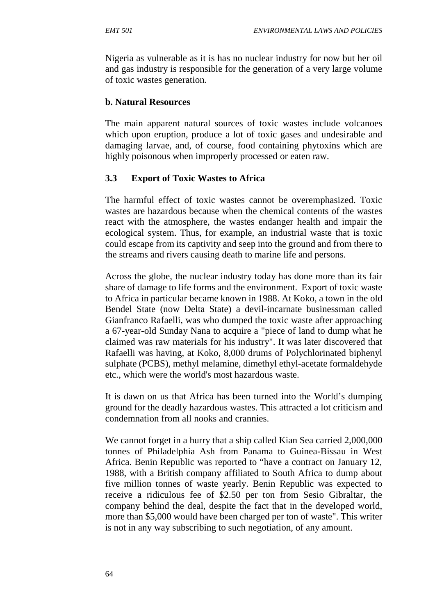Nigeria as vulnerable as it is has no nuclear industry for now but her oil and gas industry is responsible for the generation of a very large volume of toxic wastes generation.

#### **b. Natural Resources**

The main apparent natural sources of toxic wastes include volcanoes which upon eruption, produce a lot of toxic gases and undesirable and damaging larvae, and, of course, food containing phytoxins which are highly poisonous when improperly processed or eaten raw.

### **3.3 Export of Toxic Wastes to Africa**

The harmful effect of toxic wastes cannot be overemphasized. Toxic wastes are hazardous because when the chemical contents of the wastes react with the atmosphere, the wastes endanger health and impair the ecological system. Thus, for example, an industrial waste that is toxic could escape from its captivity and seep into the ground and from there to the streams and rivers causing death to marine life and persons.

Across the globe, the nuclear industry today has done more than its fair share of damage to life forms and the environment. Export of toxic waste to Africa in particular became known in 1988. At Koko, a town in the old Bendel State (now Delta State) a devil-incarnate businessman called Gianfranco Rafaelli, was who dumped the toxic waste after approaching a 67-year-old Sunday Nana to acquire a "piece of land to dump what he claimed was raw materials for his industry". It was later discovered that Rafaelli was having, at Koko, 8,000 drums of Polychlorinated biphenyl sulphate (PCBS), methyl melamine, dimethyl ethyl-acetate formaldehyde etc., which were the world's most hazardous waste.

It is dawn on us that Africa has been turned into the World's dumping ground for the deadly hazardous wastes. This attracted a lot criticism and condemnation from all nooks and crannies.

We cannot forget in a hurry that a ship called Kian Sea carried 2,000,000 tonnes of Philadelphia Ash from Panama to Guinea-Bissau in West Africa. Benin Republic was reported to "have a contract on January 12, 1988, with a British company affiliated to South Africa to dump about five million tonnes of waste yearly. Benin Republic was expected to receive a ridiculous fee of \$2.50 per ton from Sesio Gibraltar, the company behind the deal, despite the fact that in the developed world, more than \$5,000 would have been charged per ton of waste". This writer is not in any way subscribing to such negotiation, of any amount.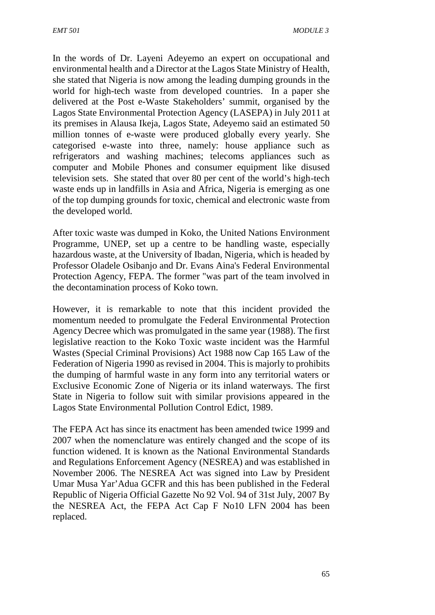In the words of Dr. Layeni Adeyemo an expert on occupational and environmental health and a Director at the Lagos State Ministry of Health, she stated that Nigeria is now among the leading dumping grounds in the world for high-tech waste from developed countries. In a paper she delivered at the Post e-Waste Stakeholders' summit, organised by the Lagos State Environmental Protection Agency (LASEPA) in July 2011 at its premises in Alausa Ikeja, Lagos State, Adeyemo said an estimated 50 million tonnes of e-waste were produced globally every yearly. She categorised e-waste into three, namely: house appliance such as refrigerators and washing machines; telecoms appliances such as computer and Mobile Phones and consumer equipment like disused television sets. She stated that over 80 per cent of the world's high-tech waste ends up in landfills in Asia and Africa, Nigeria is emerging as one of the top dumping grounds for toxic, chemical and electronic waste from the developed world.

After toxic waste was dumped in Koko, the United Nations Environment Programme, UNEP, set up a centre to be handling waste, especially hazardous waste, at the University of Ibadan, Nigeria, which is headed by Professor Oladele Osibanjo and Dr. Evans Aina's Federal Environmental Protection Agency, FEPA. The former "was part of the team involved in the decontamination process of Koko town.

However, it is remarkable to note that this incident provided the momentum needed to promulgate the Federal Environmental Protection Agency Decree which was promulgated in the same year (1988). The first legislative reaction to the Koko Toxic waste incident was the Harmful Wastes (Special Criminal Provisions) Act 1988 now Cap 165 Law of the Federation of Nigeria 1990 as revised in 2004. This is majorly to prohibits the dumping of harmful waste in any form into any territorial waters or Exclusive Economic Zone of Nigeria or its inland waterways. The first State in Nigeria to follow suit with similar provisions appeared in the Lagos State Environmental Pollution Control Edict, 1989.

The FEPA Act has since its enactment has been amended twice 1999 and 2007 when the nomenclature was entirely changed and the scope of its function widened. It is known as the National Environmental Standards and Regulations Enforcement Agency (NESREA) and was established in November 2006. The NESREA Act was signed into Law by President Umar Musa Yar'Adua GCFR and this has been published in the Federal Republic of Nigeria Official Gazette No 92 Vol. 94 of 31st July, 2007 By the NESREA Act, the FEPA Act Cap F No10 LFN 2004 has been replaced.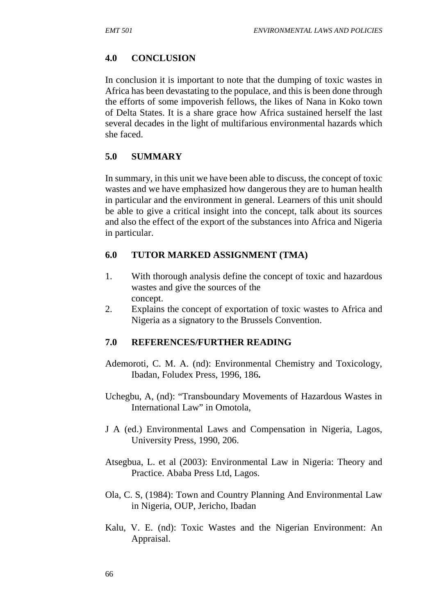#### **4.0 CONCLUSION**

In conclusion it is important to note that the dumping of toxic wastes in Africa has been devastating to the populace, and this is been done through the efforts of some impoverish fellows, the likes of Nana in Koko town of Delta States. It is a share grace how Africa sustained herself the last several decades in the light of multifarious environmental hazards which she faced.

#### **5.0 SUMMARY**

In summary, in this unit we have been able to discuss, the concept of toxic wastes and we have emphasized how dangerous they are to human health in particular and the environment in general. Learners of this unit should be able to give a critical insight into the concept, talk about its sources and also the effect of the export of the substances into Africa and Nigeria in particular.

#### **6.0 TUTOR MARKED ASSIGNMENT (TMA)**

- 1. With thorough analysis define the concept of toxic and hazardous wastes and give the sources of the concept.
- 2. Explains the concept of exportation of toxic wastes to Africa and Nigeria as a signatory to the Brussels Convention.

#### **7.0 REFERENCES/FURTHER READING**

- Ademoroti, C. M. A. (nd): Environmental Chemistry and Toxicology, Ibadan, Foludex Press, 1996, 186**.**
- Uchegbu, A, (nd): "Transboundary Movements of Hazardous Wastes in International Law" in Omotola,
- J A (ed.) Environmental Laws and Compensation in Nigeria, Lagos, University Press, 1990, 206.
- Atsegbua, L. et al (2003): Environmental Law in Nigeria: Theory and Practice. Ababa Press Ltd, Lagos.
- Ola, C. S, (1984): Town and Country Planning And Environmental Law in Nigeria, OUP, Jericho, Ibadan
- Kalu, V. E. (nd): Toxic Wastes and the Nigerian Environment: An Appraisal.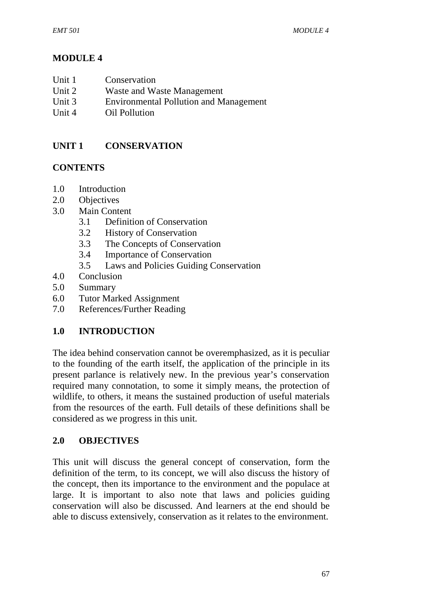# **MODULE 4**

- Unit 2 Waste and Waste Management
- Unit 3 Environmental Pollution and Management
- Unit 4 Oil Pollution

### **UNIT 1 CONSERVATION**

### **CONTENTS**

- 1.0 Introduction
- 2.0 Objectives
- 3.0 Main Content
	- 3.1 Definition of Conservation
	- 3.2 History of Conservation
	- 3.3 The Concepts of Conservation
	- 3.4 Importance of Conservation
	- 3.5 Laws and Policies Guiding Conservation
- 4.0 Conclusion
- 5.0 Summary
- 6.0 Tutor Marked Assignment
- 7.0 References/Further Reading

# **1.0 INTRODUCTION**

The idea behind conservation cannot be overemphasized, as it is peculiar to the founding of the earth itself, the application of the principle in its present parlance is relatively new. In the previous year's conservation required many connotation, to some it simply means, the protection of wildlife, to others, it means the sustained production of useful materials from the resources of the earth. Full details of these definitions shall be considered as we progress in this unit.

# **2.0 OBJECTIVES**

This unit will discuss the general concept of conservation, form the definition of the term, to its concept, we will also discuss the history of the concept, then its importance to the environment and the populace at large. It is important to also note that laws and policies guiding conservation will also be discussed. And learners at the end should be able to discuss extensively, conservation as it relates to the environment.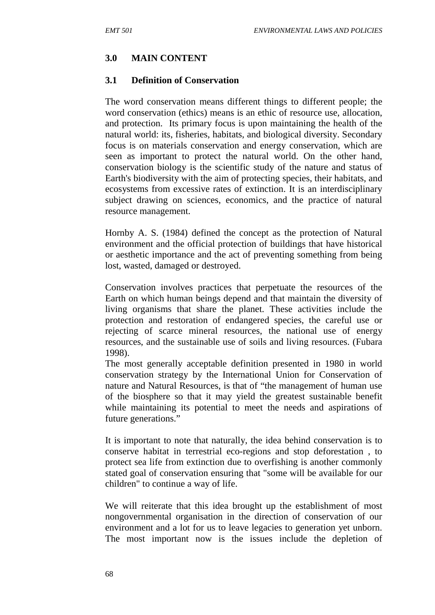### **3.0 MAIN CONTENT**

#### **3.1 Definition of Conservation**

The word conservation means different things to different people; the word conservation (ethics) means is an ethic of resource use, allocation, and protection. Its primary focus is upon maintaining the health of the natural world: its, fisheries, habitats, and biological diversity. Secondary focus is on materials conservation and energy conservation, which are seen as important to protect the natural world. On the other hand, conservation biology is the scientific study of the nature and status of Earth's biodiversity with the aim of protecting species, their habitats, and ecosystems from excessive rates of extinction. It is an interdisciplinary subject drawing on sciences, economics, and the practice of natural resource management.

Hornby A. S. (1984) defined the concept as the protection of Natural environment and the official protection of buildings that have historical or aesthetic importance and the act of preventing something from being lost, wasted, damaged or destroyed.

Conservation involves practices that perpetuate the resources of the Earth on which human beings depend and that maintain the diversity of living organisms that share the planet. These activities include the protection and restoration of endangered species, the careful use or rejecting of scarce mineral resources, the national use of energy resources, and the sustainable use of soils and living resources. (Fubara 1998).

The most generally acceptable definition presented in 1980 in world conservation strategy by the International Union for Conservation of nature and Natural Resources, is that of "the management of human use of the biosphere so that it may yield the greatest sustainable benefit while maintaining its potential to meet the needs and aspirations of future generations."

It is important to note that naturally, the idea behind conservation is to conserve habitat in terrestrial eco-regions and stop deforestation , to protect sea life from extinction due to overfishing is another commonly stated goal of conservation ensuring that "some will be available for our children" to continue a way of life.

We will reiterate that this idea brought up the establishment of most nongovernmental organisation in the direction of conservation of our environment and a lot for us to leave legacies to generation yet unborn. The most important now is the issues include the depletion of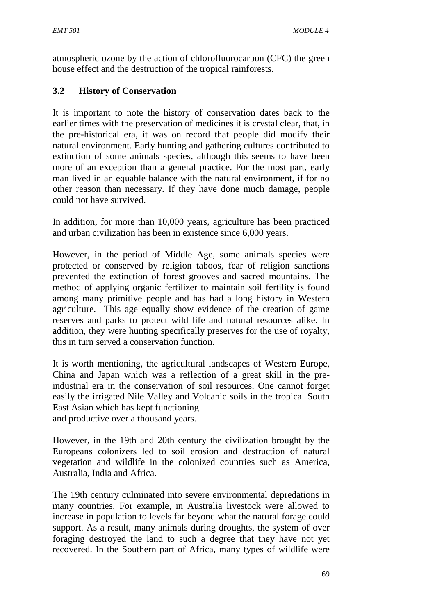atmospheric ozone by the action of chlorofluorocarbon (CFC) the green house effect and the destruction of the tropical rainforests.

# **3.2 History of Conservation**

It is important to note the history of conservation dates back to the earlier times with the preservation of medicines it is crystal clear, that, in the pre-historical era, it was on record that people did modify their natural environment. Early hunting and gathering cultures contributed to extinction of some animals species, although this seems to have been more of an exception than a general practice. For the most part, early man lived in an equable balance with the natural environment, if for no other reason than necessary. If they have done much damage, people could not have survived.

In addition, for more than 10,000 years, agriculture has been practiced and urban civilization has been in existence since 6,000 years.

However, in the period of Middle Age, some animals species were protected or conserved by religion taboos, fear of religion sanctions prevented the extinction of forest grooves and sacred mountains. The method of applying organic fertilizer to maintain soil fertility is found among many primitive people and has had a long history in Western agriculture. This age equally show evidence of the creation of game reserves and parks to protect wild life and natural resources alike. In addition, they were hunting specifically preserves for the use of royalty, this in turn served a conservation function.

It is worth mentioning, the agricultural landscapes of Western Europe, China and Japan which was a reflection of a great skill in the preindustrial era in the conservation of soil resources. One cannot forget easily the irrigated Nile Valley and Volcanic soils in the tropical South East Asian which has kept functioning and productive over a thousand years.

However, in the 19th and 20th century the civilization brought by the Europeans colonizers led to soil erosion and destruction of natural vegetation and wildlife in the colonized countries such as America, Australia, India and Africa.

The 19th century culminated into severe environmental depredations in many countries. For example, in Australia livestock were allowed to increase in population to levels far beyond what the natural forage could support. As a result, many animals during droughts, the system of over foraging destroyed the land to such a degree that they have not yet recovered. In the Southern part of Africa, many types of wildlife were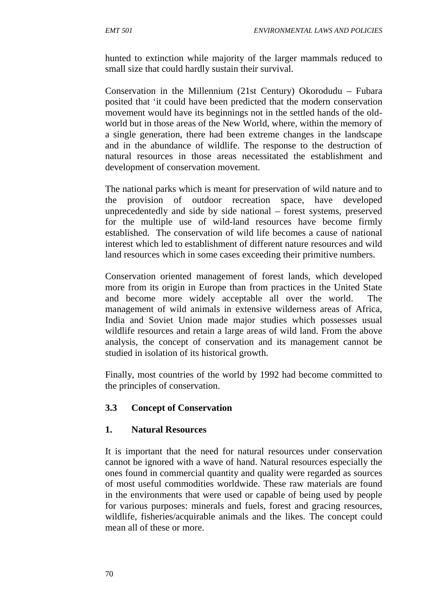hunted to extinction while majority of the larger mammals reduced to small size that could hardly sustain their survival.

Conservation in the Millennium (21st Century) Okorodudu – Fubara posited that 'it could have been predicted that the modern conservation movement would have its beginnings not in the settled hands of the old world but in those areas of the New World, where, within the memory of a single generation, there had been extreme changes in the landscape and in the abundance of wildlife. The response to the destruction of natural resources in those areas necessitated the establishment and development of conservation movement.

The national parks which is meant for preservation of wild nature and to the provision of outdoor recreation space, have developed unprecedentedly and side by side national – forest systems, preserved for the multiple use of wild-land resources have become firmly established. The conservation of wild life becomes a cause of national interest which led to establishment of different nature resources and wild land resources which in some cases exceeding their primitive numbers.

Conservation oriented management of forest lands, which developed more from its origin in Europe than from practices in the United State and become more widely acceptable all over the world. The management of wild animals in extensive wilderness areas of Africa, India and Soviet Union made major studies which possesses usual wildlife resources and retain a large areas of wild land. From the above analysis, the concept of conservation and its management cannot be studied in isolation of its historical growth.

Finally, most countries of the world by 1992 had become committed to the principles of conservation.

# **3.3 Concept of Conservation**

### **1. Natural Resources**

It is important that the need for natural resources under conservation cannot be ignored with a wave of hand. Natural resources especially the ones found in commercial quantity and quality were regarded as sources of most useful commodities worldwide. These raw materials are found in the environments that were used or capable of being used by people for various purposes: minerals and fuels, forest and gracing resources, wildlife, fisheries/acquirable animals and the likes. The concept could mean all of these or more.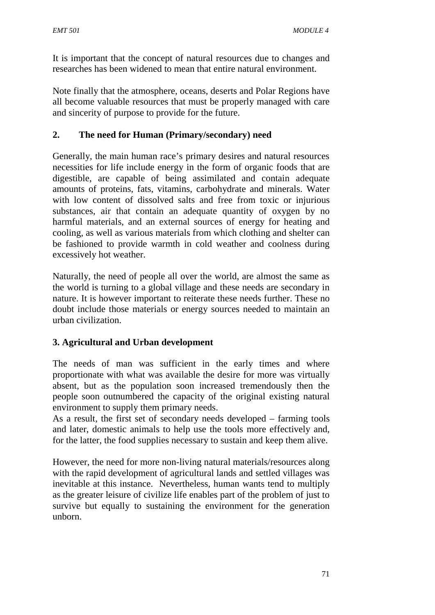It is important that the concept of natural resources due to changes and researches has been widened to mean that entire natural environment.

Note finally that the atmosphere, oceans, deserts and Polar Regions have all become valuable resources that must be properly managed with care and sincerity of purpose to provide for the future.

### **2. The need for Human (Primary/secondary) need**

Generally, the main human race's primary desires and natural resources necessities for life include energy in the form of organic foods that are digestible, are capable of being assimilated and contain adequate amounts of proteins, fats, vitamins, carbohydrate and minerals. Water with low content of dissolved salts and free from toxic or injurious substances, air that contain an adequate quantity of oxygen by no harmful materials, and an external sources of energy for heating and cooling, as well as various materials from which clothing and shelter can be fashioned to provide warmth in cold weather and coolness during excessively hot weather.

Naturally, the need of people all over the world, are almost the same as the world is turning to a global village and these needs are secondary in nature. It is however important to reiterate these needs further. These no doubt include those materials or energy sources needed to maintain an urban civilization.

# **3. Agricultural and Urban development**

The needs of man was sufficient in the early times and where proportionate with what was available the desire for more was virtually absent, but as the population soon increased tremendously then the people soon outnumbered the capacity of the original existing natural environment to supply them primary needs.

As a result, the first set of secondary needs developed – farming tools and later, domestic animals to help use the tools more effectively and, for the latter, the food supplies necessary to sustain and keep them alive.

However, the need for more non-living natural materials/resources along with the rapid development of agricultural lands and settled villages was inevitable at this instance. Nevertheless, human wants tend to multiply as the greater leisure of civilize life enables part of the problem of just to survive but equally to sustaining the environment for the generation unborn.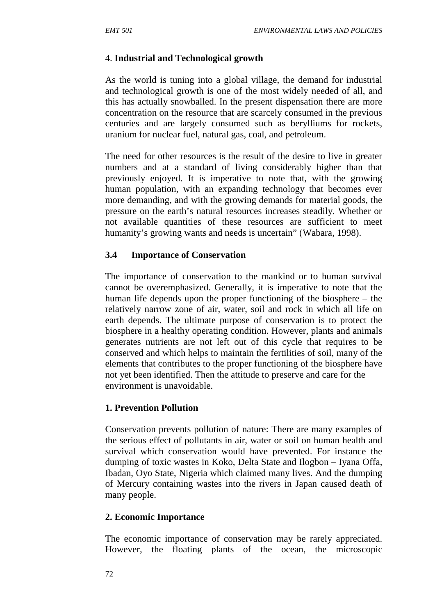### 4. **Industrial and Technological growth**

As the world is tuning into a global village, the demand for industrial and technological growth is one of the most widely needed of all, and this has actually snowballed. In the present dispensation there are more concentration on the resource that are scarcely consumed in the previous centuries and are largely consumed such as berylliums for rockets, uranium for nuclear fuel, natural gas, coal, and petroleum.

The need for other resources is the result of the desire to live in greater numbers and at a standard of living considerably higher than that previously enjoyed. It is imperative to note that, with the growing human population, with an expanding technology that becomes ever more demanding, and with the growing demands for material goods, the pressure on the earth's natural resources increases steadily. Whether or not available quantities of these resources are sufficient to meet humanity's growing wants and needs is uncertain" (Wabara, 1998).

#### **3.4 Importance of Conservation**

The importance of conservation to the mankind or to human survival cannot be overemphasized. Generally, it is imperative to note that the human life depends upon the proper functioning of the biosphere – the relatively narrow zone of air, water, soil and rock in which all life on earth depends. The ultimate purpose of conservation is to protect the biosphere in a healthy operating condition. However, plants and animals generates nutrients are not left out of this cycle that requires to be conserved and which helps to maintain the fertilities of soil, many of the elements that contributes to the proper functioning of the biosphere have not yet been identified. Then the attitude to preserve and care for the environment is unavoidable.

### **1. Prevention Pollution**

Conservation prevents pollution of nature: There are many examples of the serious effect of pollutants in air, water or soil on human health and survival which conservation would have prevented. For instance the dumping of toxic wastes in Koko, Delta State and Ilogbon – Iyana Offa, Ibadan, Oyo State, Nigeria which claimed many lives. And the dumping of Mercury containing wastes into the rivers in Japan caused death of many people.

### **2. Economic Importance**

The economic importance of conservation may be rarely appreciated. However, the floating plants of the ocean, the microscopic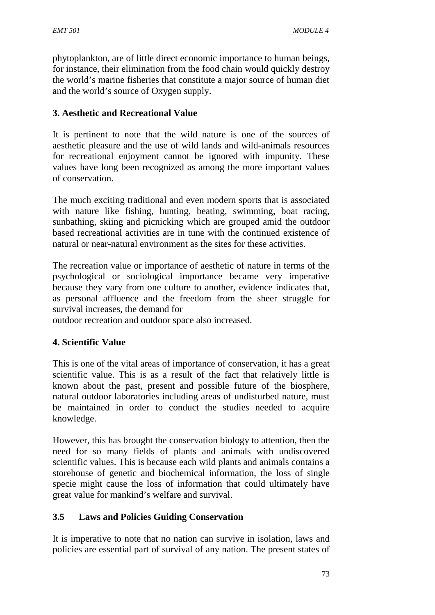phytoplankton, are of little direct economic importance to human beings, for instance, their elimination from the food chain would quickly destroy the world's marine fisheries that constitute a major source of human diet and the world's source of Oxygen supply.

### **3. Aesthetic and Recreational Value**

It is pertinent to note that the wild nature is one of the sources of aesthetic pleasure and the use of wild lands and wild-animals resources for recreational enjoyment cannot be ignored with impunity. These values have long been recognized as among the more important values of conservation.

The much exciting traditional and even modern sports that is associated with nature like fishing, hunting, beating, swimming, boat racing, sunbathing, skiing and picnicking which are grouped amid the outdoor based recreational activities are in tune with the continued existence of natural or near-natural environment as the sites for these activities.

The recreation value or importance of aesthetic of nature in terms of the psychological or sociological importance became very imperative because they vary from one culture to another, evidence indicates that, as personal affluence and the freedom from the sheer struggle for survival increases, the demand for

outdoor recreation and outdoor space also increased.

### **4. Scientific Value**

This is one of the vital areas of importance of conservation, it has a great scientific value. This is as a result of the fact that relatively little is known about the past, present and possible future of the biosphere, natural outdoor laboratories including areas of undisturbed nature, must be maintained in order to conduct the studies needed to acquire knowledge.

However, this has brought the conservation biology to attention, then the need for so many fields of plants and animals with undiscovered scientific values. This is because each wild plants and animals contains a storehouse of genetic and biochemical information, the loss of single specie might cause the loss of information that could ultimately have great value for mankind's welfare and survival.

### **3.5 Laws and Policies Guiding Conservation**

It is imperative to note that no nation can survive in isolation, laws and policies are essential part of survival of any nation. The present states of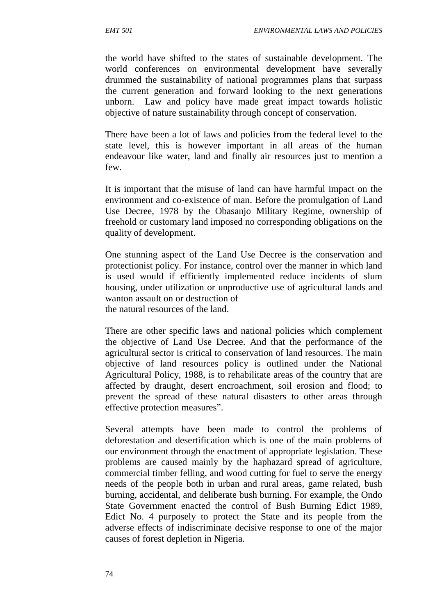the world have shifted to the states of sustainable development. The world conferences on environmental development have severally drummed the sustainability of national programmes plans that surpass the current generation and forward looking to the next generations unborn. Law and policy have made great impact towards holistic objective of nature sustainability through concept of conservation.

There have been a lot of laws and policies from the federal level to the state level, this is however important in all areas of the human endeavour like water, land and finally air resources just to mention a few.

It is important that the misuse of land can have harmful impact on the environment and co-existence of man. Before the promulgation of Land Use Decree, 1978 by the Obasanjo Military Regime, ownership of freehold or customary land imposed no corresponding obligations on the quality of development.

One stunning aspect of the Land Use Decree is the conservation and protectionist policy. For instance, control over the manner in which land is used would if efficiently implemented reduce incidents of slum housing, under utilization or unproductive use of agricultural lands and wanton assault on or destruction of the natural resources of the land.

There are other specific laws and national policies which complement the objective of Land Use Decree. And that the performance of the agricultural sector is critical to conservation of land resources. The main objective of land resources policy is outlined under the National Agricultural Policy, 1988, is to rehabilitate areas of the country that are affected by draught, desert encroachment, soil erosion and flood; to prevent the spread of these natural disasters to other areas through effective protection measures".

Several attempts have been made to control the problems of deforestation and desertification which is one of the main problems of our environment through the enactment of appropriate legislation. These problems are caused mainly by the haphazard spread of agriculture, commercial timber felling, and wood cutting for fuel to serve the energy needs of the people both in urban and rural areas, game related, bush burning, accidental, and deliberate bush burning. For example, the Ondo State Government enacted the control of Bush Burning Edict 1989, Edict No. 4 purposely to protect the State and its people from the adverse effects of indiscriminate decisive response to one of the major causes of forest depletion in Nigeria.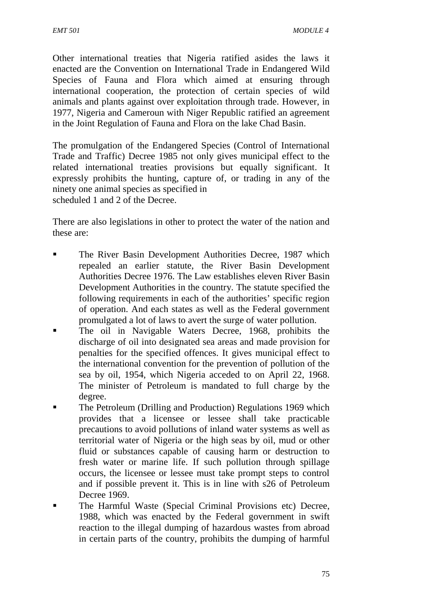Other international treaties that Nigeria ratified asides the laws it enacted are the Convention on International Trade in Endangered Wild Species of Fauna and Flora which aimed at ensuring through international cooperation, the protection of certain species of wild animals and plants against over exploitation through trade. However, in 1977, Nigeria and Cameroun with Niger Republic ratified an agreement in the Joint Regulation of Fauna and Flora on the lake Chad Basin.

The promulgation of the Endangered Species (Control of International Trade and Traffic) Decree 1985 not only gives municipal effect to the related international treaties provisions but equally significant. It expressly prohibits the hunting, capture of, or trading in any of the ninety one animal species as specified in scheduled 1 and 2 of the Decree.

There are also legislations in other to protect the water of the nation and these are:

- **The River Basin Development Authorities Decree, 1987 which** repealed an earlier statute, the River Basin Development Authorities Decree 1976. The Law establishes eleven River Basin Development Authorities in the country. The statute specified the following requirements in each of the authorities' specific region of operation. And each states as well as the Federal government promulgated a lot of laws to avert the surge of water pollution.
- The oil in Navigable Waters Decree, 1968, prohibits the discharge of oil into designated sea areas and made provision for penalties for the specified offences. It gives municipal effect to the international convention for the prevention of pollution of the sea by oil, 1954, which Nigeria acceded to on April 22, 1968. The minister of Petroleum is mandated to full charge by the degree.
- **The Petroleum (Drilling and Production) Regulations 1969 which** provides that a licensee or lessee shall take practicable precautions to avoid pollutions of inland water systems as well as territorial water of Nigeria or the high seas by oil, mud or other fluid or substances capable of causing harm or destruction to fresh water or marine life. If such pollution through spillage occurs, the licensee or lessee must take prompt steps to control and if possible prevent it. This is in line with s26 of Petroleum Decree 1969.
- The Harmful Waste (Special Criminal Provisions etc) Decree, 1988, which was enacted by the Federal government in swift reaction to the illegal dumping of hazardous wastes from abroad in certain parts of the country, prohibits the dumping of harmful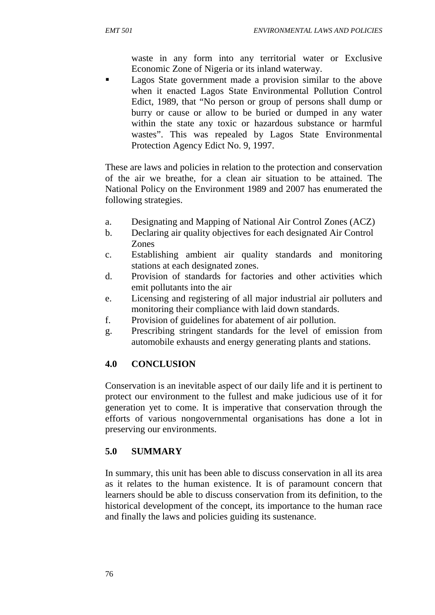waste in any form into any territorial water or Exclusive Economic Zone of Nigeria or its inland waterway.

 Lagos State government made a provision similar to the above when it enacted Lagos State Environmental Pollution Control Edict, 1989, that "No person or group of persons shall dump or burry or cause or allow to be buried or dumped in any water within the state any toxic or hazardous substance or harmful wastes". This was repealed by Lagos State Environmental Protection Agency Edict No. 9, 1997.

These are laws and policies in relation to the protection and conservation of the air we breathe, for a clean air situation to be attained. The National Policy on the Environment 1989 and 2007 has enumerated the following strategies.

- a. Designating and Mapping of National Air Control Zones (ACZ)
- b. Declaring air quality objectives for each designated Air Control Zones
- c. Establishing ambient air quality standards and monitoring stations at each designated zones.
- d. Provision of standards for factories and other activities which emit pollutants into the air
- e. Licensing and registering of all major industrial air polluters and monitoring their compliance with laid down standards.
- f. Provision of guidelines for abatement of air pollution.
- g. Prescribing stringent standards for the level of emission from automobile exhausts and energy generating plants and stations.

# **4.0 CONCLUSION**

Conservation is an inevitable aspect of our daily life and it is pertinent to protect our environment to the fullest and make judicious use of it for generation yet to come. It is imperative that conservation through the efforts of various nongovernmental organisations has done a lot in preserving our environments.

# **5.0 SUMMARY**

In summary, this unit has been able to discuss conservation in all its area as it relates to the human existence. It is of paramount concern that learners should be able to discuss conservation from its definition, to the historical development of the concept, its importance to the human race and finally the laws and policies guiding its sustenance.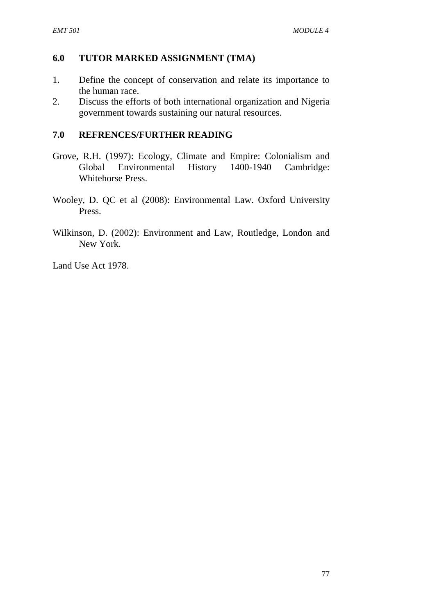### **6.0 TUTOR MARKED ASSIGNMENT (TMA)**

- 1. Define the concept of conservation and relate its importance to the human race.
- 2. Discuss the efforts of both international organization and Nigeria government towards sustaining our natural resources.

#### **7.0 REFRENCES/FURTHER READING**

- Grove, R.H. (1997): Ecology, Climate and Empire: Colonialism and Global Environmental History 1400-1940 Cambridge: Whitehorse Press.
- Wooley, D. QC et al (2008): Environmental Law. Oxford University Press.
- Wilkinson, D. (2002): Environment and Law, Routledge, London and New York.

Land Use Act 1978.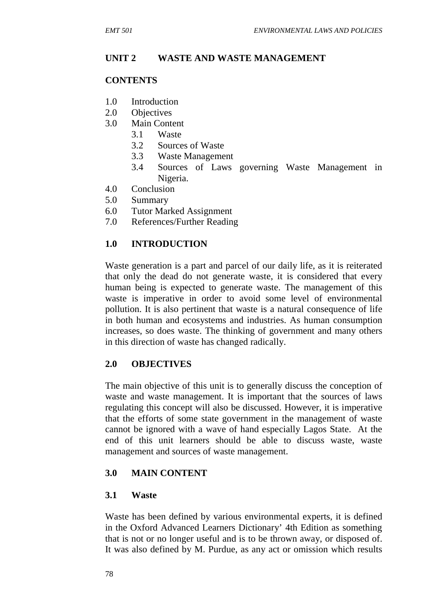#### **UNIT 2 WASTE AND WASTE MANAGEMENT**

#### **CONTENTS**

- 1.0 Introduction
- 2.0 Objectives
- 3.0 Main Content
	- 3.1 Waste
	- 3.2 Sources of Waste
	- 3.3 Waste Management
	- 3.4 Sources of Laws governing Waste Management in Nigeria.
- 4.0 Conclusion
- 5.0 Summary
- 6.0 Tutor Marked Assignment
- 7.0 References/Further Reading

#### **1.0 INTRODUCTION**

Waste generation is a part and parcel of our daily life, as it is reiterated that only the dead do not generate waste, it is considered that every human being is expected to generate waste. The management of this waste is imperative in order to avoid some level of environmental pollution. It is also pertinent that waste is a natural consequence of life in both human and ecosystems and industries. As human consumption increases, so does waste. The thinking of government and many others in this direction of waste has changed radically.

#### **2.0 OBJECTIVES**

The main objective of this unit is to generally discuss the conception of waste and waste management. It is important that the sources of laws regulating this concept will also be discussed. However, it is imperative that the efforts of some state government in the management of waste cannot be ignored with a wave of hand especially Lagos State. At the end of this unit learners should be able to discuss waste, waste management and sources of waste management.

#### **3.0 MAIN CONTENT**

#### **3.1 Waste**

Waste has been defined by various environmental experts, it is defined in the Oxford Advanced Learners Dictionary' 4th Edition as something that is not or no longer useful and is to be thrown away, or disposed of. It was also defined by M. Purdue, as any act or omission which results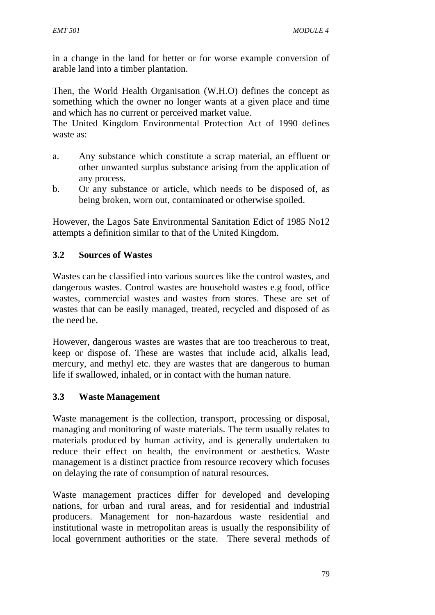in a change in the land for better or for worse example conversion of arable land into a timber plantation.

Then, the World Health Organisation (W.H.O) defines the concept as something which the owner no longer wants at a given place and time and which has no current or perceived market value.

The United Kingdom Environmental Protection Act of 1990 defines waste as:

- a. Any substance which constitute a scrap material, an effluent or other unwanted surplus substance arising from the application of any process.
- b. Or any substance or article, which needs to be disposed of, as being broken, worn out, contaminated or otherwise spoiled.

However, the Lagos Sate Environmental Sanitation Edict of 1985 No12 attempts a definition similar to that of the United Kingdom.

### **3.2 Sources of Wastes**

Wastes can be classified into various sources like the control wastes, and dangerous wastes. Control wastes are household wastes e.g food, office wastes, commercial wastes and wastes from stores. These are set of wastes that can be easily managed, treated, recycled and disposed of as the need be.

However, dangerous wastes are wastes that are too treacherous to treat, keep or dispose of. These are wastes that include acid, alkalis lead, mercury, and methyl etc. they are wastes that are dangerous to human life if swallowed, inhaled, or in contact with the human nature.

### **3.3 Waste Management**

Waste management is the collection, transport, processing or disposal, managing and monitoring of waste materials. The term usually relates to materials produced by human activity, and is generally undertaken to reduce their effect on health, the environment or aesthetics. Waste management is a distinct practice from resource recovery which focuses on delaying the rate of consumption of natural resources.

Waste management practices differ for developed and developing nations, for urban and rural areas, and for residential and industrial producers. Management for non-hazardous waste residential and institutional waste in metropolitan areas is usually the responsibility of local government authorities or the state. There several methods of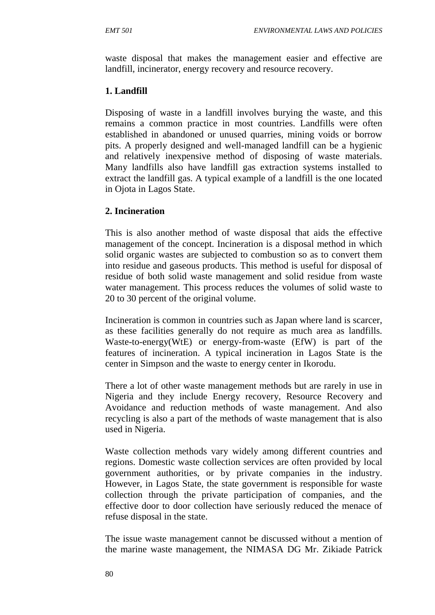waste disposal that makes the management easier and effective are landfill, incinerator, energy recovery and resource recovery.

### **1. Landfill**

Disposing of waste in a landfill involves burying the waste, and this remains a common practice in most countries. Landfills were often established in abandoned or unused quarries, mining voids or borrow pits. A properly designed and well-managed landfill can be a hygienic and relatively inexpensive method of disposing of waste materials. Many landfills also have landfill gas extraction systems installed to extract the landfill gas. A typical example of a landfill is the one located in Ojota in Lagos State.

# **2. Incineration**

This is also another method of waste disposal that aids the effective management of the concept. Incineration is a disposal method in which solid organic wastes are subjected to combustion so as to convert them into residue and gaseous products. This method is useful for disposal of residue of both solid waste management and solid residue from waste water management. This process reduces the volumes of solid waste to 20 to 30 percent of the original volume.

Incineration is common in countries such as Japan where land is scarcer, as these facilities generally do not require as much area as landfills. Waste-to-energy(WtE) or energy-from-waste (EfW) is part of the features of incineration. A typical incineration in Lagos State is the center in Simpson and the waste to energy center in Ikorodu.

There a lot of other waste management methods but are rarely in use in Nigeria and they include Energy recovery, Resource Recovery and Avoidance and reduction methods of waste management. And also recycling is also a part of the methods of waste management that is also used in Nigeria.

Waste collection methods vary widely among different countries and regions. Domestic waste collection services are often provided by local government authorities, or by private companies in the industry. However, in Lagos State, the state government is responsible for waste collection through the private participation of companies, and the effective door to door collection have seriously reduced the menace of refuse disposal in the state.

The issue waste management cannot be discussed without a mention of the marine waste management, the NIMASA DG Mr. Zikiade Patrick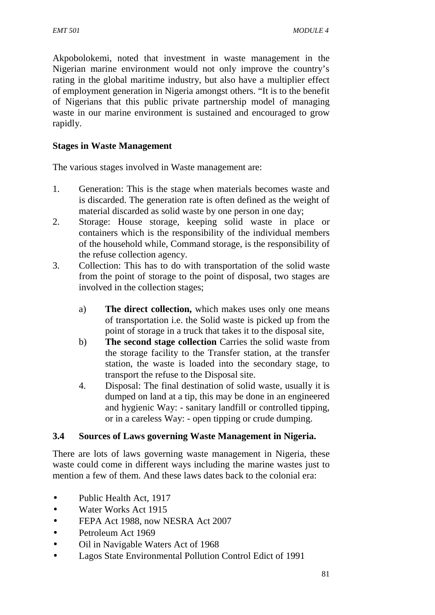Akpobolokemi, noted that investment in waste management in the Nigerian marine environment would not only improve the country's rating in the global maritime industry, but also have a multiplier effect of employment generation in Nigeria amongst others. "It is to the benefit of Nigerians that this public private partnership model of managing waste in our marine environment is sustained and encouraged to grow rapidly.

### **Stages in Waste Management**

The various stages involved in Waste management are:

- 1. Generation: This is the stage when materials becomes waste and is discarded. The generation rate is often defined as the weight of material discarded as solid waste by one person in one day;
- 2. Storage: House storage, keeping solid waste in place or containers which is the responsibility of the individual members of the household while, Command storage, is the responsibility of the refuse collection agency.
- 3. Collection: This has to do with transportation of the solid waste from the point of storage to the point of disposal, two stages are involved in the collection stages;
	- a) **The direct collection,** which makes uses only one means of transportation i.e. the Solid waste is picked up from the point of storage in a truck that takes it to the disposal site,
	- b) **The second stage collection** Carries the solid waste from the storage facility to the Transfer station, at the transfer station, the waste is loaded into the secondary stage, to transport the refuse to the Disposal site.
	- 4. Disposal: The final destination of solid waste, usually it is dumped on land at a tip, this may be done in an engineered and hygienic Way: - sanitary landfill or controlled tipping, or in a careless Way: - open tipping or crude dumping.

### **3.4 Sources of Laws governing Waste Management in Nigeria.**

There are lots of laws governing waste management in Nigeria, these waste could come in different ways including the marine wastes just to mention a few of them. And these laws dates back to the colonial era:

- Public Health Act, 1917
- Water Works Act 1915
- **•** FEPA Act 1988, now NESRA Act 2007
- Petroleum Act 1969
- Oil in Navigable Waters Act of 1968
- Lagos State Environmental Pollution Control Edict of 1991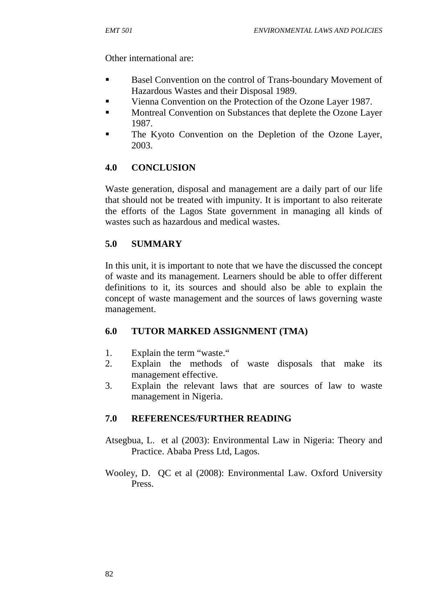Other international are:

- Basel Convention on the control of Trans-boundary Movement of Hazardous Wastes and their Disposal 1989.
- Vienna Convention on the Protection of the Ozone Layer 1987.
- **Montreal Convention on Substances that deplete the Ozone Layer** 1987.
- **The Kyoto Convention on the Depletion of the Ozone Layer.** 2003.

# **4.0 CONCLUSION**

Waste generation, disposal and management are a daily part of our life that should not be treated with impunity. It is important to also reiterate the efforts of the Lagos State government in managing all kinds of wastes such as hazardous and medical wastes.

# **5.0 SUMMARY**

In this unit, it is important to note that we have the discussed the concept of waste and its management. Learners should be able to offer different definitions to it, its sources and should also be able to explain the concept of waste management and the sources of laws governing waste management.

# **6.0 TUTOR MARKED ASSIGNMENT (TMA)**

- 1. Explain the term "waste."
- 2. Explain the methods of waste disposals that make its management effective.
- 3. Explain the relevant laws that are sources of law to waste management in Nigeria.

# **7.0 REFERENCES/FURTHER READING**

- Atsegbua, L. et al (2003): Environmental Law in Nigeria: Theory and Practice. Ababa Press Ltd, Lagos.
- Wooley, D. QC et al (2008): Environmental Law. Oxford University Press.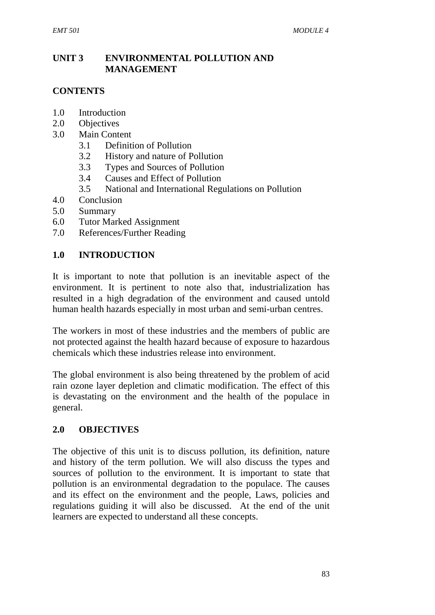### **UNIT 3 ENVIRONMENTAL POLLUTION AND MANAGEMENT**

### **CONTENTS**

- 1.0 Introduction
- 2.0 Objectives
- 3.0 Main Content
	- 3.1 Definition of Pollution
	- 3.2 History and nature of Pollution
	- 3.3 Types and Sources of Pollution
	- 3.4 Causes and Effect of Pollution
	- 3.5 National and International Regulations on Pollution
- 4.0 Conclusion
- 5.0 Summary
- 6.0 Tutor Marked Assignment
- 7.0 References/Further Reading

#### **1.0 INTRODUCTION**

It is important to note that pollution is an inevitable aspect of the environment. It is pertinent to note also that, industrialization has resulted in a high degradation of the environment and caused untold human health hazards especially in most urban and semi-urban centres.

The workers in most of these industries and the members of public are not protected against the health hazard because of exposure to hazardous chemicals which these industries release into environment.

The global environment is also being threatened by the problem of acid rain ozone layer depletion and climatic modification. The effect of this is devastating on the environment and the health of the populace in general.

#### **2.0 OBJECTIVES**

The objective of this unit is to discuss pollution, its definition, nature and history of the term pollution. We will also discuss the types and sources of pollution to the environment. It is important to state that pollution is an environmental degradation to the populace. The causes and its effect on the environment and the people, Laws, policies and regulations guiding it will also be discussed. At the end of the unit learners are expected to understand all these concepts.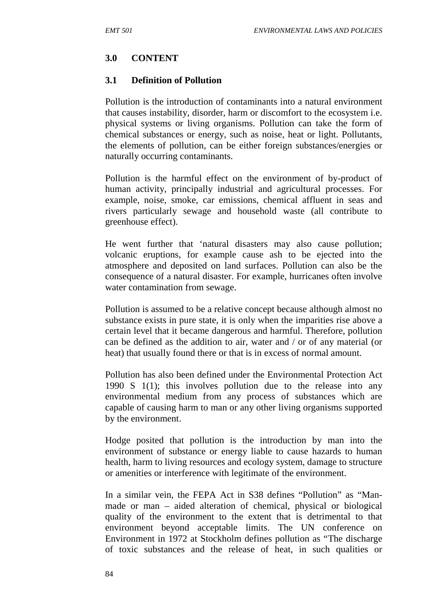### **3.0 CONTENT**

#### **3.1 Definition of Pollution**

Pollution is the introduction of contaminants into a natural environment that causes instability, disorder, harm or discomfort to the ecosystem i.e. physical systems or living organisms. Pollution can take the form of chemical substances or energy, such as noise, heat or light. Pollutants, the elements of pollution, can be either foreign substances/energies or naturally occurring contaminants.

Pollution is the harmful effect on the environment of by-product of human activity, principally industrial and agricultural processes. For example, noise, smoke, car emissions, chemical affluent in seas and rivers particularly sewage and household waste (all contribute to greenhouse effect).

He went further that 'natural disasters may also cause pollution; volcanic eruptions, for example cause ash to be ejected into the atmosphere and deposited on land surfaces. Pollution can also be the consequence of a natural disaster. For example, hurricanes often involve water contamination from sewage.

Pollution is assumed to be a relative concept because although almost no substance exists in pure state, it is only when the imparities rise above a certain level that it became dangerous and harmful. Therefore, pollution can be defined as the addition to air, water and / or of any material (or heat) that usually found there or that is in excess of normal amount.

Pollution has also been defined under the Environmental Protection Act 1990 S 1(1); this involves pollution due to the release into any environmental medium from any process of substances which are capable of causing harm to man or any other living organisms supported by the environment.

Hodge posited that pollution is the introduction by man into the environment of substance or energy liable to cause hazards to human health, harm to living resources and ecology system, damage to structure or amenities or interference with legitimate of the environment.

In a similar vein, the FEPA Act in S38 defines "Pollution" as "Man made or man – aided alteration of chemical, physical or biological quality of the environment to the extent that is detrimental to that environment beyond acceptable limits. The UN conference on Environment in 1972 at Stockholm defines pollution as "The discharge of toxic substances and the release of heat, in such qualities or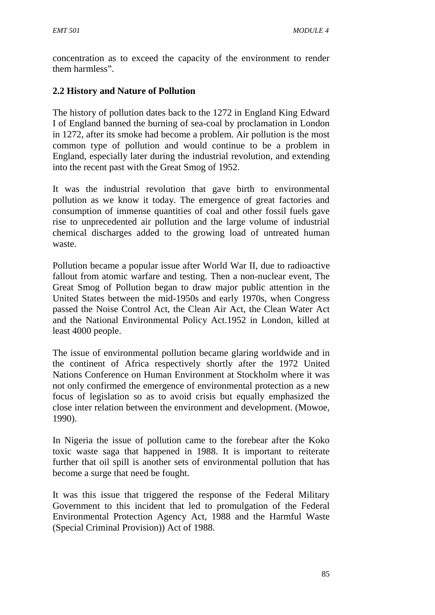concentration as to exceed the capacity of the environment to render them harmless".

# **2.2 History and Nature of Pollution**

The history of pollution dates back to the 1272 in England King Edward I of England banned the burning of sea-coal by proclamation in London in 1272, after its smoke had become a problem. Air pollution is the most common type of pollution and would continue to be a problem in England, especially later during the industrial revolution, and extending into the recent past with the Great Smog of 1952.

It was the industrial revolution that gave birth to environmental pollution as we know it today. The emergence of great factories and consumption of immense quantities of coal and other fossil fuels gave rise to unprecedented air pollution and the large volume of industrial chemical discharges added to the growing load of untreated human waste.

Pollution became a popular issue after World War II, due to radioactive fallout from atomic warfare and testing. Then a non-nuclear event, The Great Smog of Pollution began to draw major public attention in the United States between the mid-1950s and early 1970s, when Congress passed the Noise Control Act, the Clean Air Act, the Clean Water Act and the National Environmental Policy Act.1952 in London, killed at least 4000 people.

The issue of environmental pollution became glaring worldwide and in the continent of Africa respectively shortly after the 1972 United Nations Conference on Human Environment at Stockholm where it was not only confirmed the emergence of environmental protection as a new focus of legislation so as to avoid crisis but equally emphasized the close inter relation between the environment and development. (Mowoe, 1990).

In Nigeria the issue of pollution came to the forebear after the Koko toxic waste saga that happened in 1988. It is important to reiterate further that oil spill is another sets of environmental pollution that has become a surge that need be fought.

It was this issue that triggered the response of the Federal Military Government to this incident that led to promulgation of the Federal Environmental Protection Agency Act, 1988 and the Harmful Waste (Special Criminal Provision)) Act of 1988.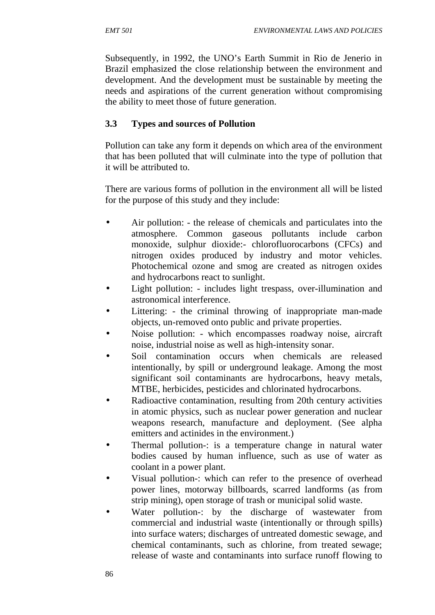Subsequently, in 1992, the UNO's Earth Summit in Rio de Jenerio in Brazil emphasized the close relationship between the environment and development. And the development must be sustainable by meeting the needs and aspirations of the current generation without compromising the ability to meet those of future generation.

# **3.3 Types and sources of Pollution**

Pollution can take any form it depends on which area of the environment that has been polluted that will culminate into the type of pollution that it will be attributed to.

There are various forms of pollution in the environment all will be listed for the purpose of this study and they include:

- Air pollution: the release of chemicals and particulates into the atmosphere. Common gaseous pollutants include carbon monoxide, sulphur dioxide:- chlorofluorocarbons (CFCs) and nitrogen oxides produced by industry and motor vehicles. Photochemical ozone and smog are created as nitrogen oxides and hydrocarbons react to sunlight.
- Light pollution: includes light trespass, over-illumination and astronomical interference.
- Littering: the criminal throwing of inappropriate man-made objects, un-removed onto public and private properties.
- Noise pollution: which encompasses roadway noise, aircraft noise, industrial noise as well as high-intensity sonar.
- Soil contamination occurs when chemicals are released intentionally, by spill or underground leakage. Among the most significant soil contaminants are hydrocarbons, heavy metals, MTBE, herbicides, pesticides and chlorinated hydrocarbons.
- Radioactive contamination, resulting from 20th century activities in atomic physics, such as nuclear power generation and nuclear weapons research, manufacture and deployment. (See alpha emitters and actinides in the environment.)
- Thermal pollution-: is a temperature change in natural water bodies caused by human influence, such as use of water as coolant in a power plant.
- Visual pollution-: which can refer to the presence of overhead power lines, motorway billboards, scarred landforms (as from strip mining), open storage of trash or municipal solid waste.
- Water pollution-: by the discharge of wastewater from commercial and industrial waste (intentionally or through spills) into surface waters; discharges of untreated domestic sewage, and chemical contaminants, such as chlorine, from treated sewage; release of waste and contaminants into surface runoff flowing to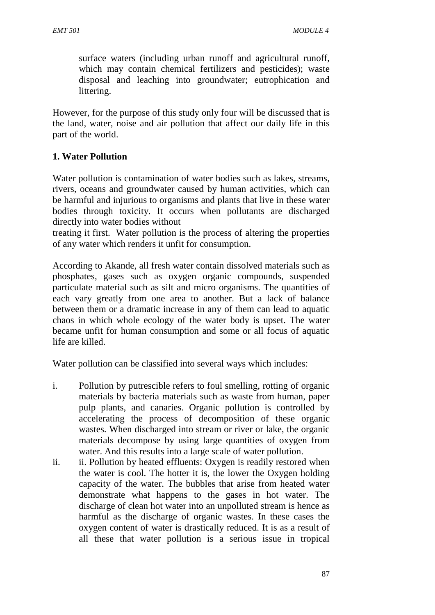surface waters (including urban runoff and agricultural runoff, which may contain chemical fertilizers and pesticides); waste disposal and leaching into groundwater; eutrophication and littering.

However, for the purpose of this study only four will be discussed that is the land, water, noise and air pollution that affect our daily life in this part of the world.

# **1. Water Pollution**

Water pollution is contamination of water bodies such as lakes, streams, rivers, oceans and groundwater caused by human activities, which can be harmful and injurious to organisms and plants that live in these water bodies through toxicity. It occurs when pollutants are discharged directly into water bodies without

treating it first. Water pollution is the process of altering the properties of any water which renders it unfit for consumption.

According to Akande, all fresh water contain dissolved materials such as phosphates, gases such as oxygen organic compounds, suspended particulate material such as silt and micro organisms. The quantities of each vary greatly from one area to another. But a lack of balance between them or a dramatic increase in any of them can lead to aquatic chaos in which whole ecology of the water body is upset. The water became unfit for human consumption and some or all focus of aquatic life are killed.

Water pollution can be classified into several ways which includes:

- i. Pollution by putrescible refers to foul smelling, rotting of organic materials by bacteria materials such as waste from human, paper pulp plants, and canaries. Organic pollution is controlled by accelerating the process of decomposition of these organic wastes. When discharged into stream or river or lake, the organic materials decompose by using large quantities of oxygen from water. And this results into a large scale of water pollution.
- ii. ii. Pollution by heated effluents: Oxygen is readily restored when the water is cool. The hotter it is, the lower the Oxygen holding capacity of the water. The bubbles that arise from heated water demonstrate what happens to the gases in hot water. The discharge of clean hot water into an unpolluted stream is hence as harmful as the discharge of organic wastes. In these cases the oxygen content of water is drastically reduced. It is as a result of all these that water pollution is a serious issue in tropical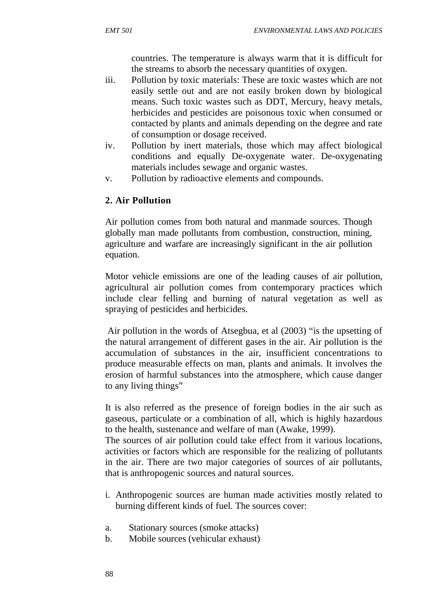countries. The temperature is always warm that it is difficult for the streams to absorb the necessary quantities of oxygen.

- iii. Pollution by toxic materials: These are toxic wastes which are not easily settle out and are not easily broken down by biological means. Such toxic wastes such as DDT, Mercury, heavy metals, herbicides and pesticides are poisonous toxic when consumed or contacted by plants and animals depending on the degree and rate of consumption or dosage received.
- iv. Pollution by inert materials, those which may affect biological conditions and equally De-oxygenate water. De-oxygenating materials includes sewage and organic wastes.
- v. Pollution by radioactive elements and compounds.

# **2. Air Pollution**

Air pollution comes from both natural and manmade sources. Though globally man made pollutants from combustion, construction, mining, agriculture and warfare are increasingly significant in the air pollution equation.

Motor vehicle emissions are one of the leading causes of air pollution, agricultural air pollution comes from contemporary practices which include clear felling and burning of natural vegetation as well as spraying of pesticides and herbicides.

Air pollution in the words of Atsegbua, et al (2003) "is the upsetting of the natural arrangement of different gases in the air. Air pollution is the accumulation of substances in the air, insufficient concentrations to produce measurable effects on man, plants and animals. It involves the erosion of harmful substances into the atmosphere, which cause danger to any living things"

It is also referred as the presence of foreign bodies in the air such as gaseous, particulate or a combination of all, which is highly hazardous to the health, sustenance and welfare of man (Awake, 1999).

The sources of air pollution could take effect from it various locations, activities or factors which are responsible for the realizing of pollutants in the air. There are two major categories of sources of air pollutants, that is anthropogenic sources and natural sources.

- i. Anthropogenic sources are human made activities mostly related to burning different kinds of fuel. The sources cover:
- a. Stationary sources (smoke attacks)
- b. Mobile sources (vehicular exhaust)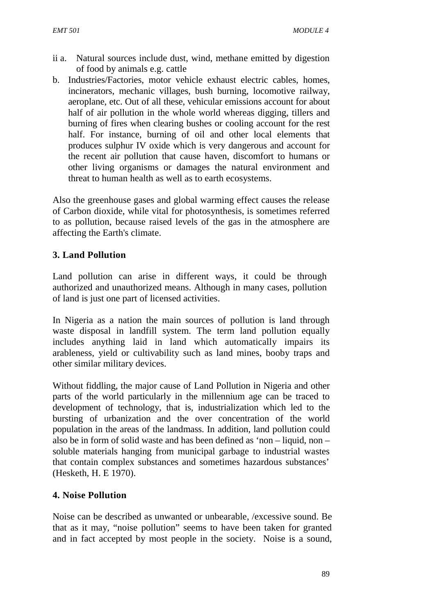- ii a. Natural sources include dust, wind, methane emitted by digestion of food by animals e.g. cattle
- b. Industries/Factories, motor vehicle exhaust electric cables, homes, incinerators, mechanic villages, bush burning, locomotive railway, aeroplane, etc. Out of all these, vehicular emissions account for about half of air pollution in the whole world whereas digging, tillers and burning of fires when clearing bushes or cooling account for the rest half. For instance, burning of oil and other local elements that produces sulphur IV oxide which is very dangerous and account for the recent air pollution that cause haven, discomfort to humans or other living organisms or damages the natural environment and threat to human health as well as to earth ecosystems.

Also the greenhouse gases and global warming effect causes the release of Carbon dioxide, while vital for photosynthesis, is sometimes referred to as pollution, because raised levels of the gas in the atmosphere are affecting the Earth's climate.

# **3. Land Pollution**

Land pollution can arise in different ways, it could be through authorized and unauthorized means. Although in many cases, pollution of land is just one part of licensed activities.

In Nigeria as a nation the main sources of pollution is land through waste disposal in landfill system. The term land pollution equally includes anything laid in land which automatically impairs its arableness, yield or cultivability such as land mines, booby traps and other similar military devices.

Without fiddling, the major cause of Land Pollution in Nigeria and other parts of the world particularly in the millennium age can be traced to development of technology, that is, industrialization which led to the bursting of urbanization and the over concentration of the world population in the areas of the landmass. In addition, land pollution could also be in form of solid waste and has been defined as 'non – liquid, non – soluble materials hanging from municipal garbage to industrial wastes that contain complex substances and sometimes hazardous substances' (Hesketh, H. E 1970).

### **4. Noise Pollution**

Noise can be described as unwanted or unbearable, /excessive sound. Be that as it may, "noise pollution" seems to have been taken for granted and in fact accepted by most people in the society. Noise is a sound,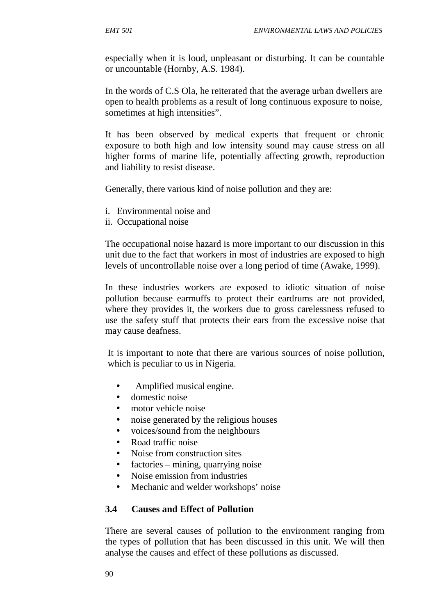especially when it is loud, unpleasant or disturbing. It can be countable or uncountable (Hornby, A.S. 1984).

In the words of C.S Ola, he reiterated that the average urban dwellers are open to health problems as a result of long continuous exposure to noise, sometimes at high intensities".

It has been observed by medical experts that frequent or chronic exposure to both high and low intensity sound may cause stress on all higher forms of marine life, potentially affecting growth, reproduction and liability to resist disease.

Generally, there various kind of noise pollution and they are:

- i. Environmental noise and
- ii. Occupational noise

The occupational noise hazard is more important to our discussion in this unit due to the fact that workers in most of industries are exposed to high levels of uncontrollable noise over a long period of time (Awake, 1999).

In these industries workers are exposed to idiotic situation of noise pollution because earmuffs to protect their eardrums are not provided, where they provides it, the workers due to gross carelessness refused to use the safety stuff that protects their ears from the excessive noise that may cause deafness.

It is important to note that there are various sources of noise pollution, which is peculiar to us in Nigeria.

- Amplified musical engine.
- $\tilde{N}$  domestic noise
- $\tilde{N}$  motor vehicle noise
- $\tilde{N}$  noise generated by the religious houses
- $\tilde{N}$  voices/sound from the neighbours
- $\tilde{N}$  Road traffic noise
- $N$  Noise from construction sites
- $\tilde{N}$  factories mining, quarrying noise
- $N$  Noise emission from industries
- $\tilde{N}$  Mechanic and welder workshops' noise

### **3.4 Causes and Effect of Pollution**

There are several causes of pollution to the environment ranging from the types of pollution that has been discussed in this unit. We will then analyse the causes and effect of these pollutions as discussed.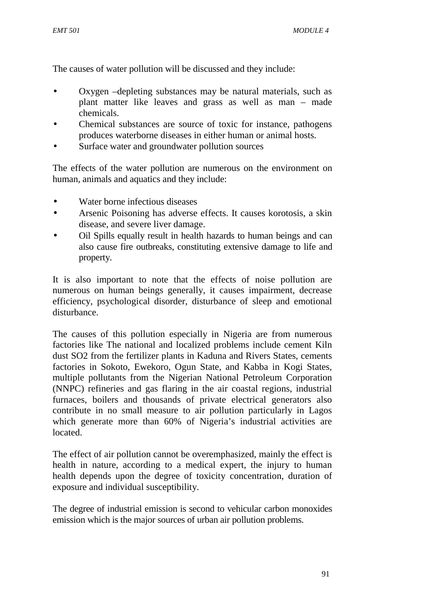The causes of water pollution will be discussed and they include:

- $\tilde{N}$  Oxygen –depleting substances may be natural materials, such as plant matter like leaves and grass as well as man – made chemicals.
- $\tilde{N}$  Chemical substances are source of toxic for instance, pathogens produces waterborne diseases in either human or animal hosts.
- $\tilde{N}$  Surface water and groundwater pollution sources

The effects of the water pollution are numerous on the environment on human, animals and aquatics and they include:

- Water borne infectious diseases
- Arsenic Poisoning has adverse effects. It causes korotosis, a skin disease, and severe liver damage.
- Oil Spills equally result in health hazards to human beings and can also cause fire outbreaks, constituting extensive damage to life and property.

It is also important to note that the effects of noise pollution are numerous on human beings generally, it causes impairment, decrease efficiency, psychological disorder, disturbance of sleep and emotional disturbance.

The causes of this pollution especially in Nigeria are from numerous factories like The national and localized problems include cement Kiln dust SO2 from the fertilizer plants in Kaduna and Rivers States, cements factories in Sokoto, Ewekoro, Ogun State, and Kabba in Kogi States, multiple pollutants from the Nigerian National Petroleum Corporation (NNPC) refineries and gas flaring in the air coastal regions, industrial furnaces, boilers and thousands of private electrical generators also contribute in no small measure to air pollution particularly in Lagos which generate more than 60% of Nigeria's industrial activities are located.

The effect of air pollution cannot be overemphasized, mainly the effect is health in nature, according to a medical expert, the injury to human health depends upon the degree of toxicity concentration, duration of exposure and individual susceptibility.

The degree of industrial emission is second to vehicular carbon monoxides emission which is the major sources of urban air pollution problems.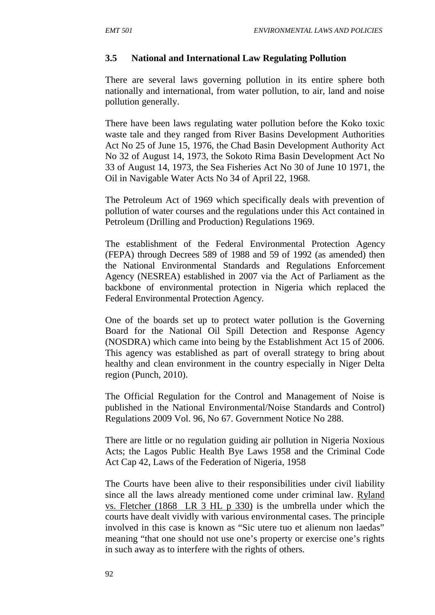### **3.5 National and International Law Regulating Pollution**

There are several laws governing pollution in its entire sphere both nationally and international, from water pollution, to air, land and noise pollution generally.

There have been laws regulating water pollution before the Koko toxic waste tale and they ranged from River Basins Development Authorities Act No 25 of June 15, 1976, the Chad Basin Development Authority Act No 32 of August 14, 1973, the Sokoto Rima Basin Development Act No 33 of August 14, 1973, the Sea Fisheries Act No 30 of June 10 1971, the Oil in Navigable Water Acts No 34 of April 22, 1968.

The Petroleum Act of 1969 which specifically deals with prevention of pollution of water courses and the regulations under this Act contained in Petroleum (Drilling and Production) Regulations 1969.

The establishment of the Federal Environmental Protection Agency (FEPA) through Decrees 589 of 1988 and 59 of 1992 (as amended) then the National Environmental Standards and Regulations Enforcement Agency (NESREA) established in 2007 via the Act of Parliament as the backbone of environmental protection in Nigeria which replaced the Federal Environmental Protection Agency.

One of the boards set up to protect water pollution is the Governing Board for the National Oil Spill Detection and Response Agency (NOSDRA) which came into being by the Establishment Act 15 of 2006. This agency was established as part of overall strategy to bring about healthy and clean environment in the country especially in Niger Delta region (Punch, 2010).

The Official Regulation for the Control and Management of Noise is published in the National Environmental/Noise Standards and Control) Regulations 2009 Vol. 96, No 67. Government Notice No 288.

There are little or no regulation guiding air pollution in Nigeria Noxious Acts; the Lagos Public Health Bye Laws 1958 and the Criminal Code Act Cap 42, Laws of the Federation of Nigeria, 1958

The Courts have been alive to their responsibilities under civil liability since all the laws already mentioned come under criminal law. Ryland vs. Fletcher (1868 LR 3 HL p 330) is the umbrella under which the courts have dealt vividly with various environmental cases. The principle involved in this case is known as "Sic utere tuo et alienum non laedas" meaning "that one should not use one's property or exercise one's rights in such away as to interfere with the rights of others.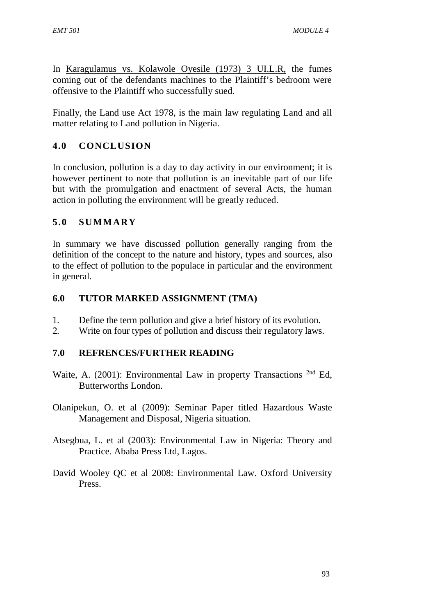In Karagulamus vs. Kolawole Oyesile (1973) 3 UI.L.R, the fumes coming out of the defendants machines to the Plaintiff's bedroom were offensive to the Plaintiff who successfully sued.

Finally, the Land use Act 1978, is the main law regulating Land and all matter relating to Land pollution in Nigeria.

# **4.0 CONCLUSION**

In conclusion, pollution is a day to day activity in our environment; it is however pertinent to note that pollution is an inevitable part of our life but with the promulgation and enactment of several Acts, the human action in polluting the environment will be greatly reduced.

# **5.0 SUMMARY**

In summary we have discussed pollution generally ranging from the definition of the concept to the nature and history, types and sources, also to the effect of pollution to the populace in particular and the environment in general.

### **6.0 TUTOR MARKED ASSIGNMENT (TMA)**

- 1. Define the term pollution and give a brief history of its evolution.
- 2. Write on four types of pollution and discuss their regulatory laws.

# **7.0 REFRENCES/FURTHER READING**

- Waite, A. (2001): Environmental Law in property Transactions <sup>2nd</sup> Ed, Butterworths London.
- Olanipekun, O. et al (2009): Seminar Paper titled Hazardous Waste Management and Disposal, Nigeria situation.
- Atsegbua, L. et al (2003): Environmental Law in Nigeria: Theory and Practice. Ababa Press Ltd, Lagos.
- David Wooley QC et al 2008: Environmental Law. Oxford University Press.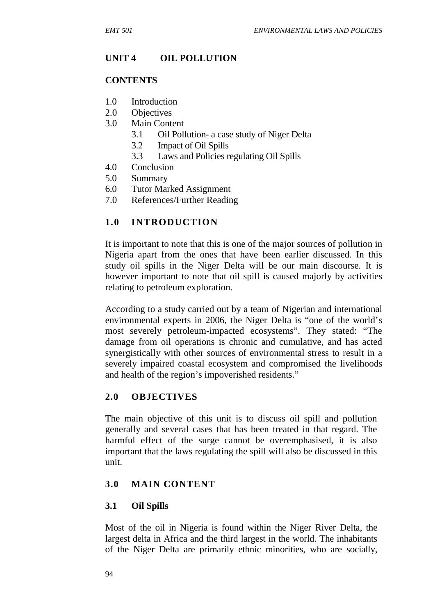### **UNIT 4 OIL POLLUTION**

#### **CONTENTS**

- 1.0 Introduction
- 2.0 Objectives
- 3.0 Main Content
	- 3.1 Oil Pollution- a case study of Niger Delta
	- 3.2 Impact of Oil Spills
	- 3.3 Laws and Policies regulating Oil Spills
- 4.0 Conclusion
- 5.0 Summary
- 6.0 Tutor Marked Assignment
- 7.0 References/Further Reading

### **1.0 INTRODUCTION**

It is important to note that this is one of the major sources of pollution in Nigeria apart from the ones that have been earlier discussed. In this study oil spills in the Niger Delta will be our main discourse. It is however important to note that oil spill is caused majorly by activities relating to petroleum exploration.

According to a study carried out by a team of Nigerian and international environmental experts in 2006, the Niger Delta is "one of the world's most severely petroleum-impacted ecosystems". They stated: "The damage from oil operations is chronic and cumulative, and has acted synergistically with other sources of environmental stress to result in a severely impaired coastal ecosystem and compromised the livelihoods and health of the region's impoverished residents."

### **2.0 OBJECTIVES**

The main objective of this unit is to discuss oil spill and pollution generally and several cases that has been treated in that regard. The harmful effect of the surge cannot be overemphasised, it is also important that the laws regulating the spill will also be discussed in this unit.

### **3.0 MAIN CONTENT**

### **3.1 Oil Spills**

Most of the oil in Nigeria is found within the Niger River Delta, the largest delta in Africa and the third largest in the world. The inhabitants of the Niger Delta are primarily ethnic minorities, who are socially,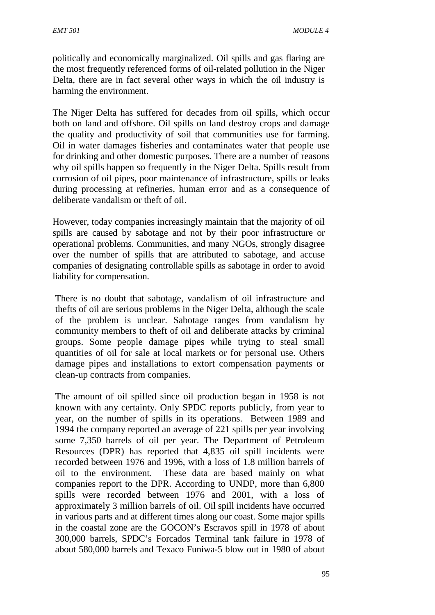politically and economically marginalized. Oil spills and gas flaring are the most frequently referenced forms of oil-related pollution in the Niger Delta, there are in fact several other ways in which the oil industry is harming the environment.

The Niger Delta has suffered for decades from oil spills, which occur both on land and offshore. Oil spills on land destroy crops and damage the quality and productivity of soil that communities use for farming. Oil in water damages fisheries and contaminates water that people use for drinking and other domestic purposes. There are a number of reasons why oil spills happen so frequently in the Niger Delta. Spills result from corrosion of oil pipes, poor maintenance of infrastructure, spills or leaks during processing at refineries, human error and as a consequence of deliberate vandalism or theft of oil.

However, today companies increasingly maintain that the majority of oil spills are caused by sabotage and not by their poor infrastructure or operational problems. Communities, and many NGOs, strongly disagree over the number of spills that are attributed to sabotage, and accuse companies of designating controllable spills as sabotage in order to avoid liability for compensation.

There is no doubt that sabotage, vandalism of oil infrastructure and thefts of oil are serious problems in the Niger Delta, although the scale of the problem is unclear. Sabotage ranges from vandalism by community members to theft of oil and deliberate attacks by criminal groups. Some people damage pipes while trying to steal small quantities of oil for sale at local markets or for personal use. Others damage pipes and installations to extort compensation payments or clean-up contracts from companies.

The amount of oil spilled since oil production began in 1958 is not known with any certainty. Only SPDC reports publicly, from year to year, on the number of spills in its operations. Between 1989 and 1994 the company reported an average of 221 spills per year involving some 7,350 barrels of oil per year. The Department of Petroleum Resources (DPR) has reported that 4,835 oil spill incidents were recorded between 1976 and 1996, with a loss of 1.8 million barrels of oil to the environment. These data are based mainly on what companies report to the DPR. According to UNDP, more than 6,800 spills were recorded between 1976 and 2001, with a loss of approximately 3 million barrels of oil. Oil spill incidents have occurred in various parts and at different times along our coast. Some major spills in the coastal zone are the GOCON's Escravos spill in 1978 of about 300,000 barrels, SPDC's Forcados Terminal tank failure in 1978 of about 580,000 barrels and Texaco Funiwa-5 blow out in 1980 of about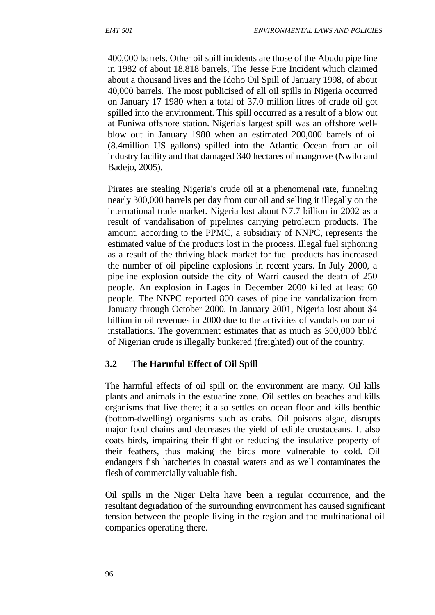400,000 barrels. Other oil spill incidents are those of the Abudu pipe line in 1982 of about 18,818 barrels, The Jesse Fire Incident which claimed about a thousand lives and the Idoho Oil Spill of January 1998, of about 40,000 barrels. The most publicised of all oil spills in Nigeria occurred on January 17 1980 when a total of 37.0 million litres of crude oil got spilled into the environment. This spill occurred as a result of a blow out at Funiwa offshore station. Nigeria's largest spill was an offshore well blow out in January 1980 when an estimated 200,000 barrels of oil (8.4million US gallons) spilled into the Atlantic Ocean from an oil industry facility and that damaged 340 hectares of mangrove (Nwilo and Badejo, 2005).

Pirates are stealing Nigeria's crude oil at a phenomenal rate, funneling nearly 300,000 barrels per day from our oil and selling it illegally on the international trade market. Nigeria lost about N7.7 billion in 2002 as a result of vandalisation of pipelines carrying petroleum products. The amount, according to the PPMC, a subsidiary of NNPC, represents the estimated value of the products lost in the process. Illegal fuel siphoning as a result of the thriving black market for fuel products has increased the number of oil pipeline explosions in recent years. In July 2000, a pipeline explosion outside the city of Warri caused the death of 250 people. An explosion in Lagos in December 2000 killed at least 60 people. The NNPC reported 800 cases of pipeline vandalization from January through October 2000. In January 2001, Nigeria lost about \$4 billion in oil revenues in 2000 due to the activities of vandals on our oil installations. The government estimates that as much as 300,000 bbl/d of Nigerian crude is illegally bunkered (freighted) out of the country.

# **3.2 The Harmful Effect of Oil Spill**

The harmful effects of oil spill on the environment are many. Oil kills plants and animals in the estuarine zone. Oil settles on beaches and kills organisms that live there; it also settles on ocean floor and kills benthic (bottom-dwelling) organisms such as crabs. Oil poisons algae, disrupts major food chains and decreases the yield of edible crustaceans. It also coats birds, impairing their flight or reducing the insulative property of their feathers, thus making the birds more vulnerable to cold. Oil endangers fish hatcheries in coastal waters and as well contaminates the flesh of commercially valuable fish.

Oil spills in the Niger Delta have been a regular occurrence, and the resultant degradation of the surrounding environment has caused significant tension between the people living in the region and the multinational oil companies operating there.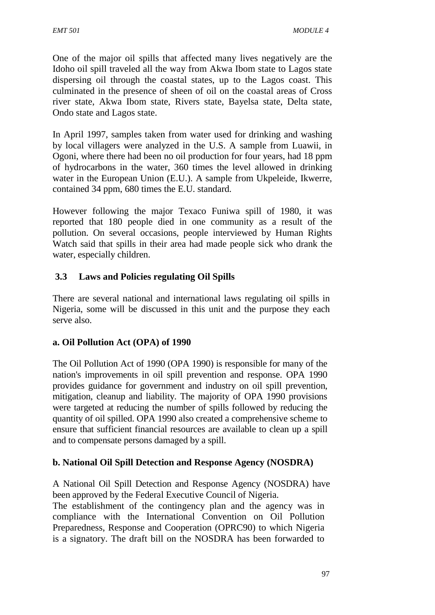One of the major oil spills that affected many lives negatively are the Idoho oil spill traveled all the way from Akwa Ibom state to Lagos state dispersing oil through the coastal states, up to the Lagos coast. This culminated in the presence of sheen of oil on the coastal areas of Cross river state, Akwa Ibom state, Rivers state, Bayelsa state, Delta state, Ondo state and Lagos state.

In April 1997, samples taken from water used for drinking and washing by local villagers were analyzed in the U.S. A sample from Luawii, in Ogoni, where there had been no oil production for four years, had 18 ppm of hydrocarbons in the water, 360 times the level allowed in drinking water in the European Union (E.U.). A sample from Ukpeleide, Ikwerre, contained 34 ppm, 680 times the E.U. standard.

However following the major Texaco Funiwa spill of 1980, it was reported that 180 people died in one community as a result of the pollution. On several occasions, people interviewed by Human Rights Watch said that spills in their area had made people sick who drank the water, especially children.

# **3.3 Laws and Policies regulating Oil Spills**

There are several national and international laws regulating oil spills in Nigeria, some will be discussed in this unit and the purpose they each serve also.

# **a. Oil Pollution Act (OPA) of 1990**

The Oil Pollution Act of 1990 (OPA 1990) is responsible for many of the nation's improvements in oil spill prevention and response. OPA 1990 provides guidance for government and industry on oil spill prevention, mitigation, cleanup and liability. The majority of OPA 1990 provisions were targeted at reducing the number of spills followed by reducing the quantity of oil spilled. OPA 1990 also created a comprehensive scheme to ensure that sufficient financial resources are available to clean up a spill and to compensate persons damaged by a spill.

# **b. National Oil Spill Detection and Response Agency (NOSDRA)**

A National Oil Spill Detection and Response Agency (NOSDRA) have been approved by the Federal Executive Council of Nigeria.

The establishment of the contingency plan and the agency was in compliance with the International Convention on Oil Pollution Preparedness, Response and Cooperation (OPRC90) to which Nigeria is a signatory. The draft bill on the NOSDRA has been forwarded to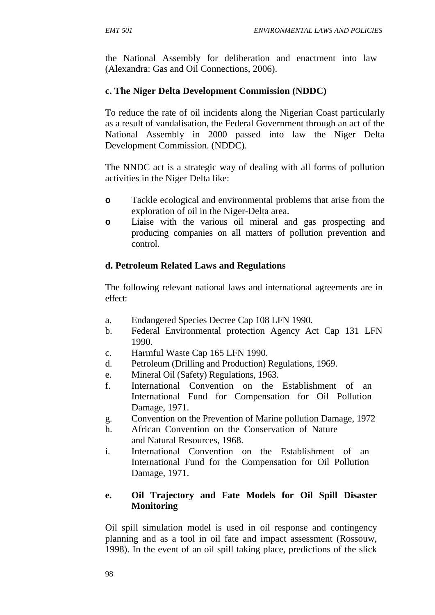the National Assembly for deliberation and enactment into law (Alexandra: Gas and Oil Connections, 2006).

# **c. The Niger Delta Development Commission (NDDC)**

To reduce the rate of oil incidents along the Nigerian Coast particularly as a result of vandalisation, the Federal Government through an act of the National Assembly in 2000 passed into law the Niger Delta Development Commission. (NDDC).

The NNDC act is a strategic way of dealing with all forms of pollution activities in the Niger Delta like:

- **o** Tackle ecological and environmental problems that arise from the exploration of oil in the Niger-Delta area.
- **o** Liaise with the various oil mineral and gas prospecting and producing companies on all matters of pollution prevention and control.

# **d. Petroleum Related Laws and Regulations**

The following relevant national laws and international agreements are in effect:

- a. Endangered Species Decree Cap 108 LFN 1990.
- b. Federal Environmental protection Agency Act Cap 131 LFN 1990.
- c. Harmful Waste Cap 165 LFN 1990.
- d. Petroleum (Drilling and Production) Regulations, 1969.
- e. Mineral Oil (Safety) Regulations, 1963.
- f. International Convention on the Establishment of an International Fund for Compensation for Oil Pollution Damage, 1971.
- g. Convention on the Prevention of Marine pollution Damage, 1972
- h. African Convention on the Conservation of Nature and Natural Resources, 1968.
- i. International Convention on the Establishment of an International Fund for the Compensation for Oil Pollution Damage, 1971.

# **e. Oil Trajectory and Fate Models for Oil Spill Disaster Monitoring**

Oil spill simulation model is used in oil response and contingency planning and as a tool in oil fate and impact assessment (Rossouw, 1998). In the event of an oil spill taking place, predictions of the slick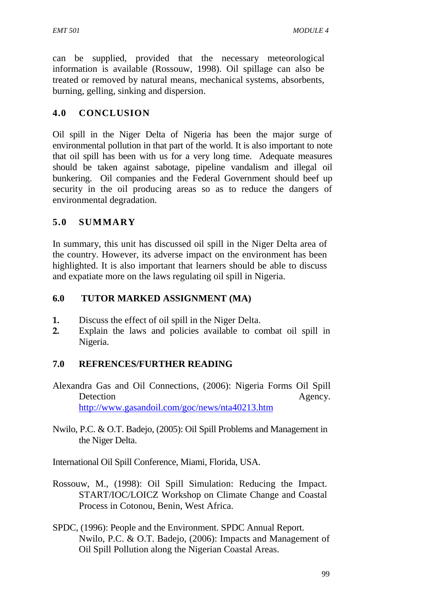can be supplied, provided that the necessary meteorological information is available (Rossouw, 1998). Oil spillage can also be treated or removed by natural means, mechanical systems, absorbents, burning, gelling, sinking and dispersion.

### **4.0 CONCLUSION**

Oil spill in the Niger Delta of Nigeria has been the major surge of environmental pollution in that part of the world. It is also important to note that oil spill has been with us for a very long time. Adequate measures should be taken against sabotage, pipeline vandalism and illegal oil bunkering. Oil companies and the Federal Government should beef up security in the oil producing areas so as to reduce the dangers of environmental degradation.

### **5.0 SUMMARY**

In summary, this unit has discussed oil spill in the Niger Delta area of the country. However, its adverse impact on the environment has been highlighted. It is also important that learners should be able to discuss and expatiate more on the laws regulating oil spill in Nigeria.

### **6.0 TUTOR MARKED ASSIGNMENT (MA)**

- **1.** Discuss the effect of oil spill in the Niger Delta.
- **2.** Explain the laws and policies available to combat oil spill in Nigeria.

### **7.0 REFRENCES/FURTHER READING**

- Alexandra Gas and Oil Connections, (2006): Nigeria Forms Oil Spill Detection Agency. http://www.gasandoil.com/goc/news/nta40213.htm
- Nwilo, P.C. & O.T. Badejo, (2005): Oil Spill Problems and Management in the Niger Delta.

International Oil Spill Conference, Miami, Florida, USA.

- Rossouw, M., (1998): Oil Spill Simulation: Reducing the Impact. START/IOC/LOICZ Workshop on Climate Change and Coastal Process in Cotonou, Benin, West Africa.
- SPDC, (1996): People and the Environment. SPDC Annual Report. Nwilo, P.C. & O.T. Badejo, (2006): Impacts and Management of Oil Spill Pollution along the Nigerian Coastal Areas.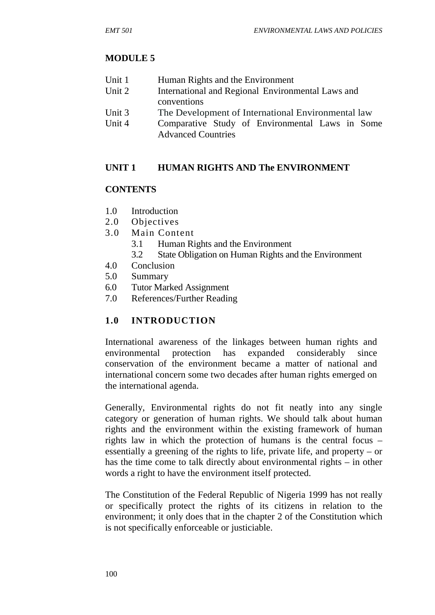# **MODULE 5**

| Unit 1 | Human Rights and the Environment |
|--------|----------------------------------|
|--------|----------------------------------|

- Unit 2 International and Regional Environmental Laws and conventions
- Unit 3 The Development of International Environmental law
- Unit 4 Comparative Study of Environmental Laws in Some Advanced Countries

# **UNIT 1 HUMAN RIGHTS AND The ENVIRONMENT**

# **CONTENTS**

- 1.0 Introduction
- 2.0 Objectives
- 3.0 Main Content
	- 3.1 Human Rights and the Environment
	- 3.2 State Obligation on Human Rights and the Environment
- 4.0 Conclusion
- 5.0 Summary
- 6.0 Tutor Marked Assignment
- 7.0 References/Further Reading

# **1.0 INTRODUCTION**

International awareness of the linkages between human rights and environmental protection has expanded considerably since conservation of the environment became a matter of national and international concern some two decades after human rights emerged on the international agenda.

Generally, Environmental rights do not fit neatly into any single category or generation of human rights. We should talk about human rights and the environment within the existing framework of human rights law in which the protection of humans is the central focus – essentially a greening of the rights to life, private life, and property – or has the time come to talk directly about environmental rights – in other words a right to have the environment itself protected.

The Constitution of the Federal Republic of Nigeria 1999 has not really or specifically protect the rights of its citizens in relation to the environment; it only does that in the chapter 2 of the Constitution which is not specifically enforceable or justiciable.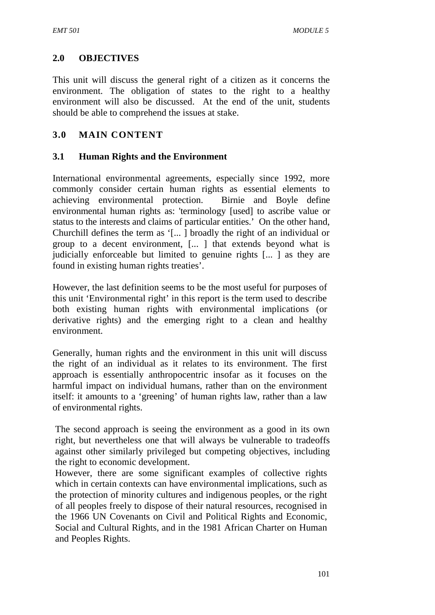# **2.0 OBJECTIVES**

This unit will discuss the general right of a citizen as it concerns the environment. The obligation of states to the right to a healthy environment will also be discussed. At the end of the unit, students should be able to comprehend the issues at stake.

# **3.0 MAIN CONTENT**

# **3.1 Human Rights and the Environment**

International environmental agreements, especially since 1992, more commonly consider certain human rights as essential elements to achieving environmental protection. Birnie and Boyle define environmental human rights as: 'terminology [used] to ascribe value or status to the interests and claims of particular entities.' On the other hand, Churchill defines the term as '[... ] broadly the right of an individual or group to a decent environment, [... ] that extends beyond what is judicially enforceable but limited to genuine rights [... ] as they are found in existing human rights treaties'.

However, the last definition seems to be the most useful for purposes of this unit 'Environmental right' in this report is the term used to describe both existing human rights with environmental implications (or derivative rights) and the emerging right to a clean and healthy environment.

Generally, human rights and the environment in this unit will discuss the right of an individual as it relates to its environment. The first approach is essentially anthropocentric insofar as it focuses on the harmful impact on individual humans, rather than on the environment itself: it amounts to a 'greening' of human rights law, rather than a law of environmental rights.

The second approach is seeing the environment as a good in its own right, but nevertheless one that will always be vulnerable to tradeoffs against other similarly privileged but competing objectives, including the right to economic development.

However, there are some significant examples of collective rights which in certain contexts can have environmental implications, such as the protection of minority cultures and indigenous peoples, or the right of all peoples freely to dispose of their natural resources, recognised in the 1966 UN Covenants on Civil and Political Rights and Economic, Social and Cultural Rights, and in the 1981 African Charter on Human and Peoples Rights.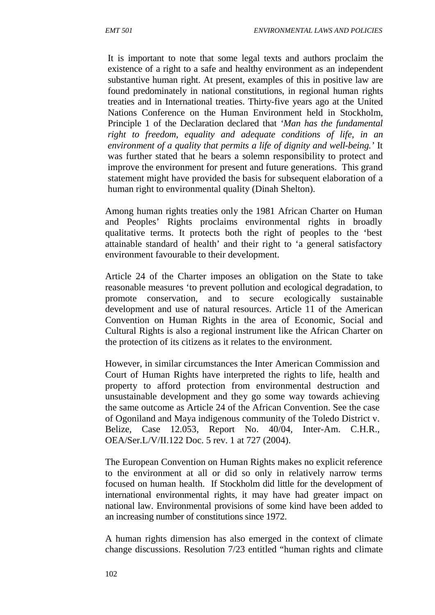It is important to note that some legal texts and authors proclaim the existence of a right to a safe and healthy environment as an independent substantive human right. At present, examples of this in positive law are found predominately in national constitutions, in regional human rights treaties and in International treaties. Thirty-five years ago at the United Nations Conference on the Human Environment held in Stockholm, Principle 1 of the Declaration declared that *'Man has the fundamental right to freedom, equality and adequate conditions of life, in an environment of a quality that permits a life of dignity and well-being.'* It was further stated that he bears a solemn responsibility to protect and improve the environment for present and future generations. This grand statement might have provided the basis for subsequent elaboration of a human right to environmental quality (Dinah Shelton).

Among human rights treaties only the 1981 African Charter on Human and Peoples' Rights proclaims environmental rights in broadly qualitative terms. It protects both the right of peoples to the 'best attainable standard of health' and their right to 'a general satisfactory environment favourable to their development.

Article 24 of the Charter imposes an obligation on the State to take reasonable measures 'to prevent pollution and ecological degradation, to promote conservation, and to secure ecologically sustainable development and use of natural resources. Article 11 of the American Convention on Human Rights in the area of Economic, Social and Cultural Rights is also a regional instrument like the African Charter on the protection of its citizens as it relates to the environment.

However, in similar circumstances the Inter American Commission and Court of Human Rights have interpreted the rights to life, health and property to afford protection from environmental destruction and unsustainable development and they go some way towards achieving the same outcome as Article 24 of the African Convention. See the case of Ogoniland and Maya indigenous community of the Toledo District v. Belize, Case 12.053, Report No. 40/04, Inter-Am. C.H.R., OEA/Ser.L/V/II.122 Doc. 5 rev. 1 at 727 (2004).

The European Convention on Human Rights makes no explicit reference to the environment at all or did so only in relatively narrow terms focused on human health. If Stockholm did little for the development of international environmental rights, it may have had greater impact on national law. Environmental provisions of some kind have been added to an increasing number of constitutions since 1972.

A human rights dimension has also emerged in the context of climate change discussions. Resolution 7/23 entitled "human rights and climate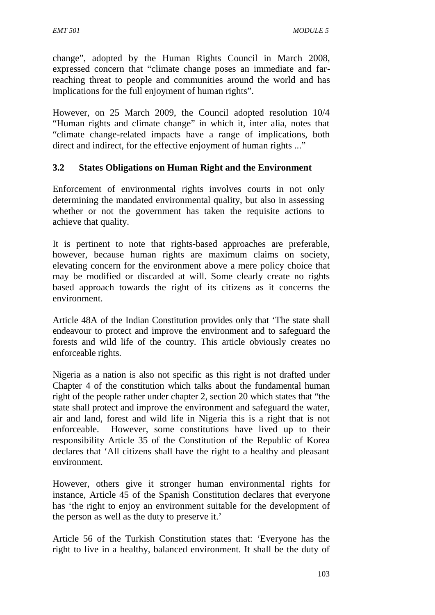change", adopted by the Human Rights Council in March 2008, expressed concern that "climate change poses an immediate and farreaching threat to people and communities around the world and has implications for the full enjoyment of human rights".

However, on 25 March 2009, the Council adopted resolution 10/4 "Human rights and climate change" in which it, inter alia, notes that "climate change-related impacts have a range of implications, both direct and indirect, for the effective enjoyment of human rights ..."

### **3.2 States Obligations on Human Right and the Environment**

Enforcement of environmental rights involves courts in not only determining the mandated environmental quality, but also in assessing whether or not the government has taken the requisite actions to achieve that quality.

It is pertinent to note that rights-based approaches are preferable, however, because human rights are maximum claims on society, elevating concern for the environment above a mere policy choice that may be modified or discarded at will. Some clearly create no rights based approach towards the right of its citizens as it concerns the environment.

Article 48A of the Indian Constitution provides only that 'The state shall endeavour to protect and improve the environment and to safeguard the forests and wild life of the country. This article obviously creates no enforceable rights.

Nigeria as a nation is also not specific as this right is not drafted under Chapter 4 of the constitution which talks about the fundamental human right of the people rather under chapter 2, section 20 which states that "the state shall protect and improve the environment and safeguard the water, air and land, forest and wild life in Nigeria this is a right that is not enforceable. However, some constitutions have lived up to their responsibility Article 35 of the Constitution of the Republic of Korea declares that 'All citizens shall have the right to a healthy and pleasant environment.

However, others give it stronger human environmental rights for instance, Article 45 of the Spanish Constitution declares that everyone has 'the right to enjoy an environment suitable for the development of the person as well as the duty to preserve it.'

Article 56 of the Turkish Constitution states that: 'Everyone has the right to live in a healthy, balanced environment. It shall be the duty of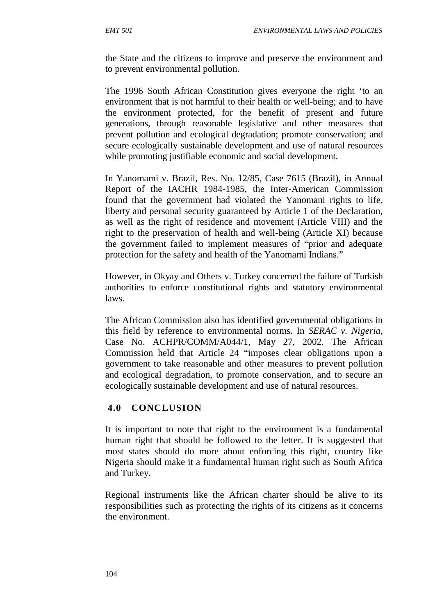the State and the citizens to improve and preserve the environment and to prevent environmental pollution.

The 1996 South African Constitution gives everyone the right 'to an environment that is not harmful to their health or well-being; and to have the environment protected, for the benefit of present and future generations, through reasonable legislative and other measures that prevent pollution and ecological degradation; promote conservation; and secure ecologically sustainable development and use of natural resources while promoting justifiable economic and social development.

In Yanomami v. Brazil, Res. No. 12/85, Case 7615 (Brazil), in Annual Report of the IACHR 1984-1985, the Inter-American Commission found that the government had violated the Yanomani rights to life, liberty and personal security guaranteed by Article 1 of the Declaration, as well as the right of residence and movement (Article VIII) and the right to the preservation of health and well-being (Article XI) because the government failed to implement measures of "prior and adequate protection for the safety and health of the Yanomami Indians."

However, in Okyay and Others v. Turkey concerned the failure of Turkish authorities to enforce constitutional rights and statutory environmental laws.

The African Commission also has identified governmental obligations in this field by reference to environmental norms. In *SERAC v. Nigeria*, Case No. ACHPR/COMM/A044/1, May 27, 2002. The African Commission held that Article 24 "imposes clear obligations upon a government to take reasonable and other measures to prevent pollution and ecological degradation, to promote conservation, and to secure an ecologically sustainable development and use of natural resources.

# **4.0 CONCLUSION**

It is important to note that right to the environment is a fundamental human right that should be followed to the letter. It is suggested that most states should do more about enforcing this right, country like Nigeria should make it a fundamental human right such as South Africa and Turkey.

Regional instruments like the African charter should be alive to its responsibilities such as protecting the rights of its citizens as it concerns the environment.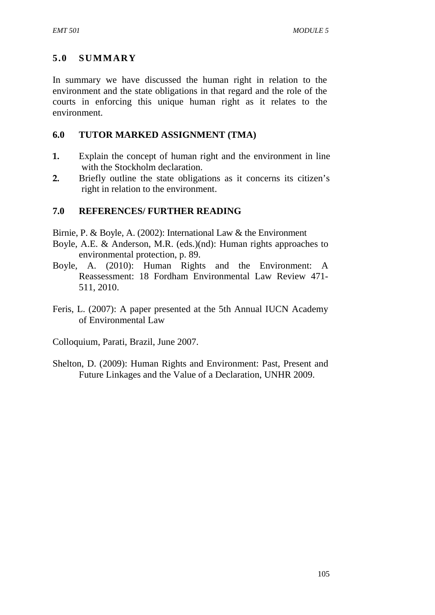# **5.0 SUMMARY**

In summary we have discussed the human right in relation to the environment and the state obligations in that regard and the role of the courts in enforcing this unique human right as it relates to the environment.

### **6.0 TUTOR MARKED ASSIGNMENT (TMA)**

- **1.** Explain the concept of human right and the environment in line with the Stockholm declaration.
- **2.** Briefly outline the state obligations as it concerns its citizen's right in relation to the environment.

### **7.0 REFERENCES/ FURTHER READING**

Birnie, P. & Boyle, A. (2002): International Law & the Environment

- Boyle, A.E. & Anderson, M.R. (eds.)(nd): Human rights approaches to environmental protection, p. 89.
- Boyle, A. (2010): Human Rights and the Environment: A Reassessment: 18 Fordham Environmental Law Review 471- 511, 2010.
- Feris, L. (2007): A paper presented at the 5th Annual IUCN Academy of Environmental Law
- Colloquium, Parati, Brazil, June 2007.
- Shelton, D. (2009): Human Rights and Environment: Past, Present and Future Linkages and the Value of a Declaration, UNHR 2009.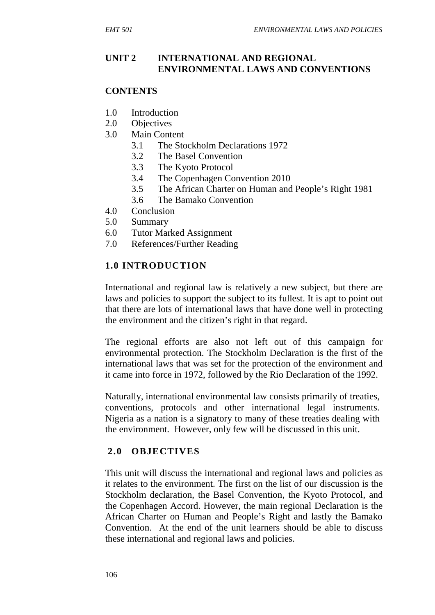# **UNIT 2 INTERNATIONAL AND REGIONAL ENVIRONMENTAL LAWS AND CONVENTIONS**

## **CONTENTS**

- 1.0 Introduction
- 2.0 Objectives
- 3.0 Main Content
	- 3.1 The Stockholm Declarations 1972
	- 3.2 The Basel Convention
	- 3.3 The Kyoto Protocol
	- 3.4 The Copenhagen Convention 2010
	- 3.5 The African Charter on Human and People's Right 1981
	- 3.6 The Bamako Convention
- 4.0 Conclusion
- 5.0 Summary
- 6.0 Tutor Marked Assignment
- 7.0 References/Further Reading

## **1.0 INTRODUCTION**

International and regional law is relatively a new subject, but there are laws and policies to support the subject to its fullest. It is apt to point out that there are lots of international laws that have done well in protecting the environment and the citizen's right in that regard.

The regional efforts are also not left out of this campaign for environmental protection. The Stockholm Declaration is the first of the international laws that was set for the protection of the environment and it came into force in 1972, followed by the Rio Declaration of the 1992.

Naturally, international environmental law consists primarily of treaties, conventions, protocols and other international legal instruments. Nigeria as a nation is a signatory to many of these treaties dealing with the environment. However, only few will be discussed in this unit.

## **2.0 OBJECTIVES**

This unit will discuss the international and regional laws and policies as it relates to the environment. The first on the list of our discussion is the Stockholm declaration, the Basel Convention, the Kyoto Protocol, and the Copenhagen Accord. However, the main regional Declaration is the African Charter on Human and People's Right and lastly the Bamako Convention. At the end of the unit learners should be able to discuss these international and regional laws and policies.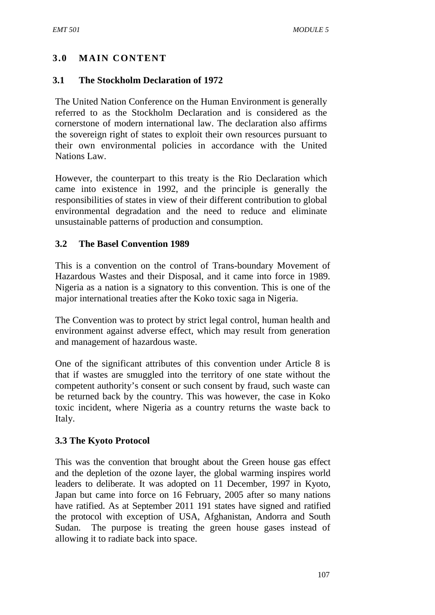# **3.0 MAIN CONTENT**

## **3.1 The Stockholm Declaration of 1972**

The United Nation Conference on the Human Environment is generally referred to as the Stockholm Declaration and is considered as the cornerstone of modern international law. The declaration also affirms the sovereign right of states to exploit their own resources pursuant to their own environmental policies in accordance with the United Nations Law.

However, the counterpart to this treaty is the Rio Declaration which came into existence in 1992, and the principle is generally the responsibilities of states in view of their different contribution to global environmental degradation and the need to reduce and eliminate unsustainable patterns of production and consumption.

# **3.2 The Basel Convention 1989**

This is a convention on the control of Trans-boundary Movement of Hazardous Wastes and their Disposal, and it came into force in 1989. Nigeria as a nation is a signatory to this convention. This is one of the major international treaties after the Koko toxic saga in Nigeria.

The Convention was to protect by strict legal control, human health and environment against adverse effect, which may result from generation and management of hazardous waste.

One of the significant attributes of this convention under Article 8 is that if wastes are smuggled into the territory of one state without the competent authority's consent or such consent by fraud, such waste can be returned back by the country. This was however, the case in Koko toxic incident, where Nigeria as a country returns the waste back to Italy.

## **3.3 The Kyoto Protocol**

This was the convention that brought about the Green house gas effect and the depletion of the ozone layer, the global warming inspires world leaders to deliberate. It was adopted on 11 December, 1997 in Kyoto, Japan but came into force on 16 February, 2005 after so many nations have ratified. As at September 2011 191 states have signed and ratified the protocol with exception of USA, Afghanistan, Andorra and South Sudan. The purpose is treating the green house gases instead of allowing it to radiate back into space.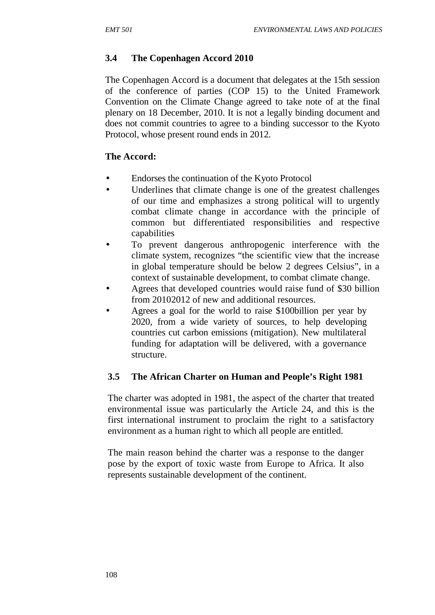# **3.4 The Copenhagen Accord 2010**

The Copenhagen Accord is a document that delegates at the 15th session of the conference of parties (COP 15) to the United Framework Convention on the Climate Change agreed to take note of at the final plenary on 18 December, 2010. It is not a legally binding document and does not commit countries to agree to a binding successor to the Kyoto Protocol, whose present round ends in 2012.

# **The Accord:**

- $\tilde{N}$  Endorses the continuation of the Kyoto Protocol
- $\tilde{N}$  Underlines that climate change is one of the greatest challenges of our time and emphasizes a strong political will to urgently combat climate change in accordance with the principle of common but differentiated responsibilities and respective capabilities
- $N$  To prevent dangerous anthropogenic interference with the climate system, recognizes "the scientific view that the increase in global temperature should be below 2 degrees Celsius", in a context of sustainable development, to combat climate change.
- $\tilde{N}$  Agrees that developed countries would raise fund of \$30 billion from 20102012 of new and additional resources.
- $\tilde{N}$  Agrees a goal for the world to raise \$100billion per year by 2020, from a wide variety of sources, to help developing countries cut carbon emissions (mitigation). New multilateral funding for adaptation will be delivered, with a governance structure.

# **3.5 The African Charter on Human and People's Right 1981**

The charter was adopted in 1981, the aspect of the charter that treated environmental issue was particularly the Article 24, and this is the first international instrument to proclaim the right to a satisfactory environment as a human right to which all people are entitled.

The main reason behind the charter was a response to the danger pose by the export of toxic waste from Europe to Africa. It also represents sustainable development of the continent.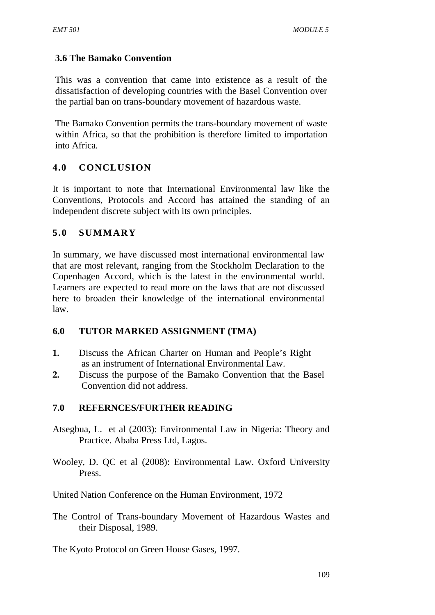# **3.6 The Bamako Convention**

This was a convention that came into existence as a result of the dissatisfaction of developing countries with the Basel Convention over the partial ban on trans-boundary movement of hazardous waste.

The Bamako Convention permits the trans-boundary movement of waste within Africa, so that the prohibition is therefore limited to importation into Africa.

# **4.0 CONCLUSION**

It is important to note that International Environmental law like the Conventions, Protocols and Accord has attained the standing of an independent discrete subject with its own principles.

# **5.0 SUMMARY**

In summary, we have discussed most international environmental law that are most relevant, ranging from the Stockholm Declaration to the Copenhagen Accord, which is the latest in the environmental world. Learners are expected to read more on the laws that are not discussed here to broaden their knowledge of the international environmental law.

## **6.0 TUTOR MARKED ASSIGNMENT (TMA)**

- **1.** Discuss the African Charter on Human and People's Right as an instrument of International Environmental Law.
- **2.** Discuss the purpose of the Bamako Convention that the Basel Convention did not address.

## **7.0 REFERNCES/FURTHER READING**

- Atsegbua, L. et al (2003): Environmental Law in Nigeria: Theory and Practice. Ababa Press Ltd, Lagos.
- Wooley, D. QC et al (2008): Environmental Law. Oxford University Press.

United Nation Conference on the Human Environment, 1972

The Control of Trans-boundary Movement of Hazardous Wastes and their Disposal, 1989.

The Kyoto Protocol on Green House Gases, 1997.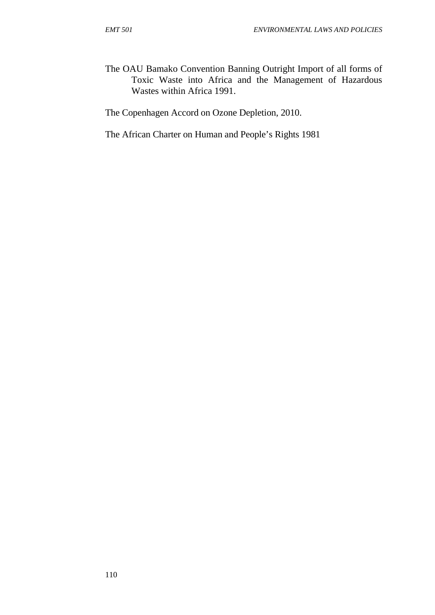The OAU Bamako Convention Banning Outright Import of all forms of Toxic Waste into Africa and the Management of Hazardous Wastes within Africa 1991.

The Copenhagen Accord on Ozone Depletion, 2010.

The African Charter on Human and People's Rights 1981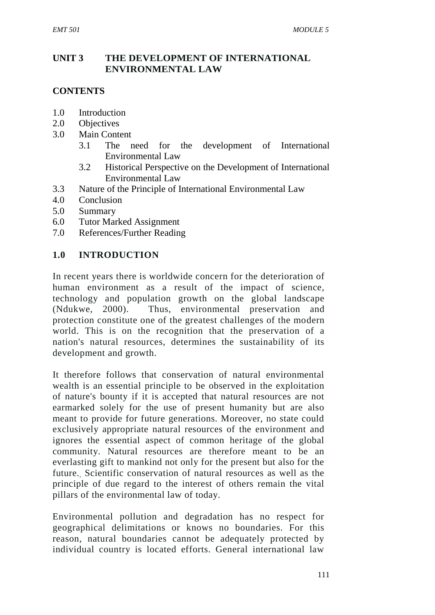# **UNIT 3 THE DEVELOPMENT OF INTERNATIONAL ENVIRONMENTAL LAW**

# **CONTENTS**

- 1.0 Introduction
- 2.0 Objectives
- 3.0 Main Content
	- 3.1 The need for the development of International Environmental Law
	- 3.2 Historical Perspective on the Development of International Environmental Law
- 3.3 Nature of the Principle of International Environmental Law
- 4.0 Conclusion
- 5.0 Summary
- 6.0 Tutor Marked Assignment
- 7.0 References/Further Reading

#### **1.0 INTRODUCTION**

In recent years there is worldwide concern for the deterioration of human environment as a result of the impact of science, technology and population growth on the global landscape (Ndukwe, 2000). Thus, environmental preservation and protection constitute one of the greatest challenges of the modern world. This is on the recognition that the preservation of a nation's natural resources, determines the sustainability of its development and growth.

It therefore follows that conservation of natural environmental wealth is an essential principle to be observed in the exploitation of nature's bounty if it is accepted that natural resources are not earmarked solely for the use of present humanity but are also meant to provide for future generations. Moreover, no state could exclusively appropriate natural resources of the environment and ignores the essential aspect of common heritage of the global community. Natural resources are therefore meant to be an everlasting gift to mankind not only for the present but also for the future., Scientific conservation of natural resources as well as the principle of due regard to the interest of others remain the vital pillars of the environmental law of today.

Environmental pollution and degradation has no respect for geographical delimitations or knows no boundaries. For this reason, natural boundaries cannot be adequately protected by individual country is located efforts. General international law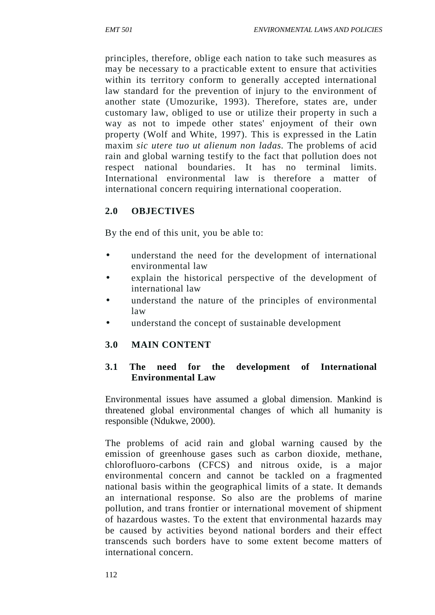principles, therefore, oblige each nation to take such measures as may be necessary to a practicable extent to ensure that activities within its territory conform to generally accepted international law standard for the prevention of injury to the environment of another state (Umozurike, 1993). Therefore, states are, under customary law, obliged to use or utilize their property in such a way as not to impede other states' enjoyment of their own property (Wolf and White, 1997). This is expressed in the Latin maxim *sic utere tuo ut alienum non ladas.* The problems of acid rain and global warning testify to the fact that pollution does not respect national boundaries. It has no terminal limits. International environmental law is therefore a matter of international concern requiring international cooperation.

# **2.0 OBJECTIVES**

By the end of this unit, you be able to:

- understand the need for the development of international environmental law
- explain the historical perspective of the development of international law
- understand the nature of the principles of environmental law
- understand the concept of sustainable development

## **3.0 MAIN CONTENT**

# **3.1 The need for the development of International Environmental Law**

Environmental issues have assumed a global dimension. Mankind is threatened global environmental changes of which all humanity is responsible (Ndukwe, 2000).

The problems of acid rain and global warning caused by the emission of greenhouse gases such as carbon dioxide, methane, chlorofluoro-carbons (CFCS) and nitrous oxide, is a major environmental concern and cannot be tackled on a fragmented national basis within the geographical limits of a state. It demands an international response. So also are the problems of marine pollution, and trans frontier or international movement of shipment of hazardous wastes. To the extent that environmental hazards may be caused by activities beyond national borders and their effect transcends such borders have to some extent become matters of international concern.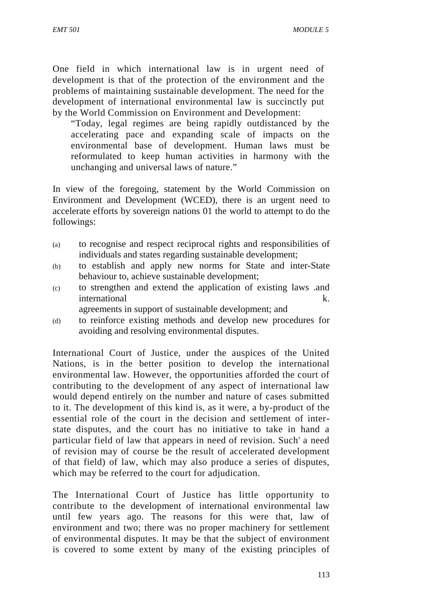One field in which international law is in urgent need of development is that of the protection of the environment and the problems of maintaining sustainable development. The need for the development of international environmental law is succinctly put by the World Commission on Environment and Development:

"Today, legal regimes are being rapidly outdistanced by the accelerating pace and expanding scale of impacts on the environmental base of development. Human laws must be reformulated to keep human activities in harmony with the unchanging and universal laws of nature."

In view of the foregoing, statement by the World Commission on Environment and Development (WCED), there is an urgent need to accelerate efforts by sovereign nations 01 the world to attempt to do the followings:

- (a) to recognise and respect reciprocal rights and responsibilities of individuals and states regarding sustainable development;
- (b) to establish and apply new norms for State and inter-State behaviour to, achieve sustainable development;
- (c) to strengthen and extend the application of existing laws .and international k.

agreements in support of sustainable development; and

(d) to reinforce existing methods and develop new procedures for avoiding and resolving environmental disputes.

International Court of Justice, under the auspices of the United Nations, is in the better position to develop the international environmental law. However, the opportunities afforded the court of contributing to the development of any aspect of international law would depend entirely on the number and nature of cases submitted to it. The development of this kind is, as it were, a by-product of the essential role of the court in the decision and settlement of inter state disputes, and the court has no initiative to take in hand a particular field of law that appears in need of revision. Such' a need of revision may of course be the result of accelerated development of that field) of law, which may also produce a series of disputes, which may be referred to the court for adjudication.

The International Court of Justice has little opportunity to contribute to the development of international environmental law until few years ago. The reasons for this were that, law of environment and two; there was no proper machinery for settlement of environmental disputes. It may be that the subject of environment is covered to some extent by many of the existing principles of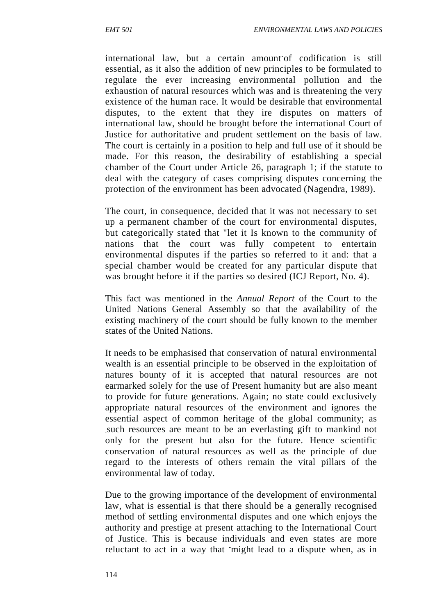international law, but a certain amount of codification is still essential, as it also the addition of new principles to be formulated to regulate the ever increasing environmental pollution and the exhaustion of natural resources which was and is threatening the very existence of the human race. It would be desirable that environmental disputes, to the extent that they ire disputes on matters of international law, should be brought before the international Court of Justice for authoritative and prudent settlement on the basis of law. The court is certainly in a position to help and full use of it should be made. For this reason, the desirability of establishing a special chamber of the Court under Article 26, paragraph 1; if the statute to deal with the category of cases comprising disputes concerning the protection of the environment has been advocated (Nagendra, 1989).

The court, in consequence, decided that it was not necessary to set up a permanent chamber of the court for environmental disputes, but categorically stated that "let it Is known to the community of nations that the court was fully competent to entertain environmental disputes if the parties so referred to it and: that a special chamber would be created for any particular dispute that was brought before it if the parties so desired (ICJ Report, No. 4).

This fact was mentioned in the *Annual Report* of the Court to the United Nations General Assembly so that the availability of the existing machinery of the court should be fully known to the member states of the United Nations.

It needs to be emphasised that conservation of natural environmental wealth is an essential principle to be observed in the exploitation of natures bounty of it is accepted that natural resources are not earmarked solely for the use of Present humanity but are also meant to provide for future generations. Again; no state could exclusively appropriate natural resources of the environment and ignores the essential aspect of common heritage of the global community; as .such resources are meant to be an everlasting gift to mankind not only for the present but also for the future. Hence scientific conservation of natural resources as well as the principle of due regard to the interests of others remain the vital pillars of the environmental law of today.

Due to the growing importance of the development of environmental law, what is essential is that there should be a generally recognised method of settling environmental disputes and one which enjoys the authority and prestige at present attaching to the International Court of Justice. This is because individuals and even states are more reluctant to act in a way that might lead to a dispute when, as in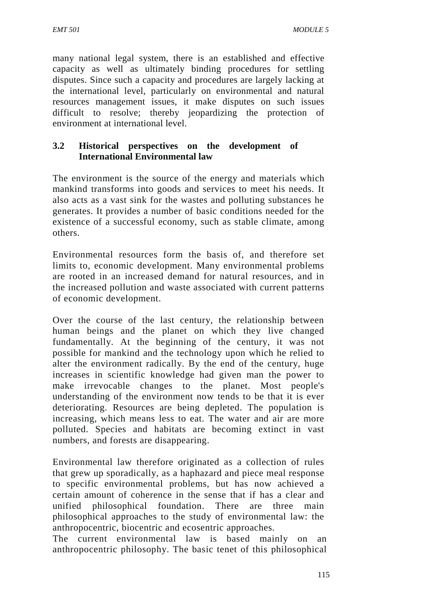many national legal system, there is an established and effective capacity as well as ultimately binding procedures for settling disputes. Since such a capacity and procedures are largely lacking at the international level, particularly on environmental and natural resources management issues, it make disputes on such issues difficult to resolve; thereby jeopardizing the protection of environment at international level.

## **3.2 Historical perspectives on the development of International Environmental law**

The environment is the source of the energy and materials which mankind transforms into goods and services to meet his needs. It also acts as a vast sink for the wastes and polluting substances he generates. It provides a number of basic conditions needed for the existence of a successful economy, such as stable climate, among others.

Environmental resources form the basis of, and therefore set limits to, economic development. Many environmental problems are rooted in an increased demand for natural resources, and in the increased pollution and waste associated with current patterns of economic development.

Over the course of the last century, the relationship between human beings and the planet on which they live changed fundamentally. At the beginning of the century, it was not possible for mankind and the technology upon which he relied to alter the environment radically. By the end of the century, huge increases in scientific knowledge had given man the power to make irrevocable changes to the planet. Most people's understanding of the environment now tends to be that it is ever deteriorating. Resources are being depleted. The population is increasing, which means less to eat. The water and air are more polluted. Species and habitats are becoming extinct in vast numbers, and forests are disappearing.

Environmental law therefore originated as a collection of rules that grew up sporadically, as a haphazard and piece meal response to specific environmental problems, but has now achieved a certain amount of coherence in the sense that if has a clear and unified philosophical foundation. There are three main philosophical approaches to the study of environmental law: the anthropocentric, biocentric and ecosentric approaches.

The current environmental law is based mainly on an anthropocentric philosophy. The basic tenet of this philosophical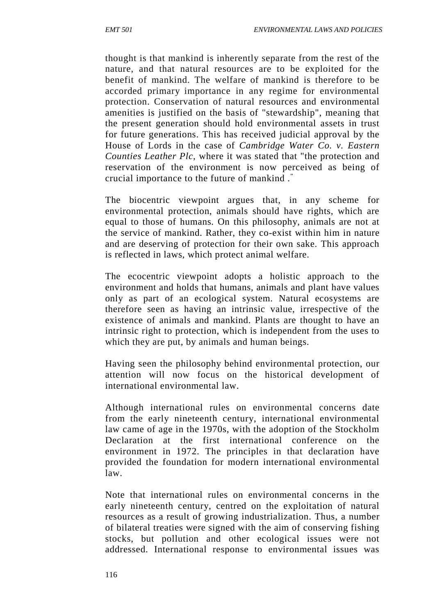thought is that mankind is inherently separate from the rest of the nature, and that natural resources are to be exploited for the benefit of mankind. The welfare of mankind is therefore to be accorded primary importance in any regime for environmental protection. Conservation of natural resources and environmental amenities is justified on the basis of "stewardship", meaning that the present generation should hold environmental assets in trust for future generations. This has received judicial approval by the House of Lords in the case of *Cambridge Water Co. v. Eastern Counties Leather Plc,* where it was stated that "the protection and reservation of the environment is now perceived as being of crucial importance to the future of mankind ."

The biocentric viewpoint argues that, in any scheme for environmental protection, animals should have rights, which are equal to those of humans. On this philosophy, animals are not at the service of mankind. Rather, they co-exist within him in nature and are deserving of protection for their own sake. This approach is reflected in laws, which protect animal welfare.

The ecocentric viewpoint adopts a holistic approach to the environment and holds that humans, animals and plant have values only as part of an ecological system. Natural ecosystems are therefore seen as having an intrinsic value, irrespective of the existence of animals and mankind. Plants are thought to have an intrinsic right to protection, which is independent from the uses to which they are put, by animals and human beings.

Having seen the philosophy behind environmental protection, our attention will now focus on the historical development of international environmental law.

Although international rules on environmental concerns date from the early nineteenth century, international environmental law came of age in the 1970s, with the adoption of the Stockholm Declaration at the first international conference on the environment in 1972. The principles in that declaration have provided the foundation for modern international environmental law.

Note that international rules on environmental concerns in the early nineteenth century, centred on the exploitation of natural resources as a result of growing industrialization. Thus, a number of bilateral treaties were signed with the aim of conserving fishing stocks, but pollution and other ecological issues were not addressed. International response to environmental issues was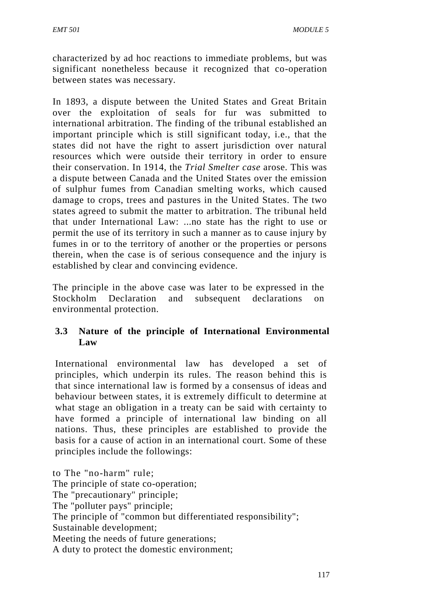characterized by ad hoc reactions to immediate problems, but was significant nonetheless because it recognized that co-operation between states was necessary.

In 1893, a dispute between the United States and Great Britain over the exploitation of seals for fur was submitted to international arbitration. The finding of the tribunal established an important principle which is still significant today, i.e., that the states did not have the right to assert jurisdiction over natural resources which were outside their territory in order to ensure their conservation. In 1914, the *Trial Smelter case* arose. This was a dispute between Canada and the United States over the emission of sulphur fumes from Canadian smelting works, which caused damage to crops, trees and pastures in the United States. The two states agreed to submit the matter to arbitration. The tribunal held that under International Law: ...no state has the right to use or permit the use of its territory in such a manner as to cause injury by fumes in or to the territory of another or the properties or persons therein, when the case is of serious consequence and the injury is established by clear and convincing evidence.

The principle in the above case was later to be expressed in the Stockholm Declaration and subsequent declarations on environmental protection.

# **3.3 Nature of the principle of International Environmental Law**

International environmental law has developed a set of principles, which underpin its rules. The reason behind this is that since international law is formed by a consensus of ideas and behaviour between states, it is extremely difficult to determine at what stage an obligation in a treaty can be said with certainty to have formed a principle of international law binding on all nations. Thus, these principles are established to provide the basis for a cause of action in an international court. Some of these principles include the followings:

to The "no-harm" rule; The principle of state co-operation: The "precautionary" principle; The "polluter pays" principle; The principle of "common but differentiated responsibility"; Sustainable development; Meeting the needs of future generations; A duty to protect the domestic environment;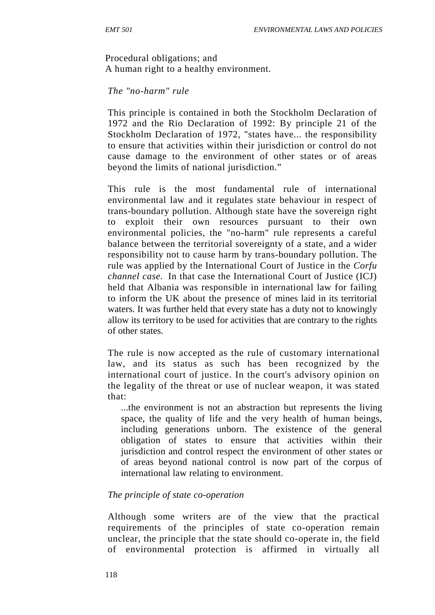Procedural obligations; and

A human right to a healthy environment.

## *The "no-harm" rule*

This principle is contained in both the Stockholm Declaration of 1972 and the Rio Declaration of 1992: By principle 21 of the Stockholm Declaration of 1972, "states have... the responsibility to ensure that activities within their jurisdiction or control do not cause damage to the environment of other states or of areas beyond the limits of national jurisdiction."

This rule is the most fundamental rule of international environmental law and it regulates state behaviour in respect of trans-boundary pollution. Although state have the sovereign right to exploit their own resources pursuant to their own environmental policies, the "no-harm" rule represents a careful balance between the territorial sovereignty of a state, and a wider responsibility not to cause harm by trans-boundary pollution. The rule was applied by the International Court of Justice in the *Corfu channel case.* In that case the International Court of Justice (ICJ) held that Albania was responsible in international law for failing to inform the UK about the presence of mines laid in its territorial waters. It was further held that every state has a duty not to knowingly allow its territory to be used for activities that are contrary to the rights of other states.

The rule is now accepted as the rule of customary international law, and its status as such has been recognized by the international court of justice. In the court's advisory opinion on the legality of the threat or use of nuclear weapon, it was stated that:

...the environment is not an abstraction but represents the living space, the quality of life and the very health of human beings, including generations unborn. The existence of the general obligation of states to ensure that activities within their jurisdiction and control respect the environment of other states or of areas beyond national control is now part of the corpus of international law relating to environment.

## *The principle of state co-operation*

Although some writers are of the view that the practical requirements of the principles of state co-operation remain unclear, the principle that the state should co-operate in, the field of environmental protection is affirmed in virtually all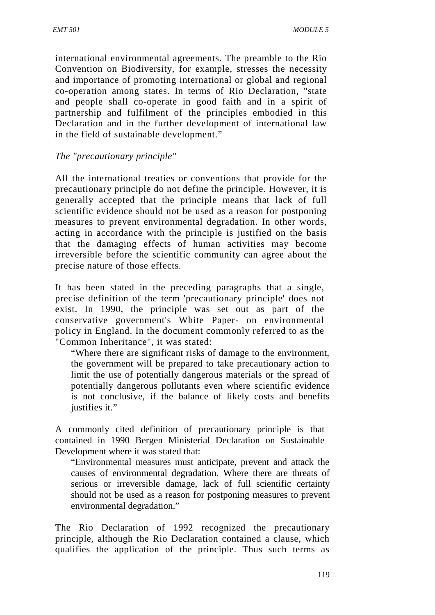international environmental agreements. The preamble to the Rio Convention on Biodiversity, for example, stresses the necessity and importance of promoting international or global and regional co-operation among states. In terms of Rio Declaration, "state and people shall co-operate in good faith and in a spirit of partnership and fulfilment of the principles embodied in this Declaration and in the further development of international law in the field of sustainable development."

# *The "precautionary principle"*

All the international treaties or conventions that provide for the precautionary principle do not define the principle. However, it is generally accepted that the principle means that lack of full scientific evidence should not be used as a reason for postponing measures to prevent environmental degradation. In other words, acting in accordance with the principle is justified on the basis that the damaging effects of human activities may become irreversible before the scientific community can agree about the precise nature of those effects.

It has been stated in the preceding paragraphs that a single, precise definition of the term 'precautionary principle' does not exist. In 1990, the principle was set out as part of the conservative government's White Paper- on environmental policy in England. In the document commonly referred to as the "Common Inheritance", it was stated:

"Where there are significant risks of damage to the environment, the government will be prepared to take precautionary action to limit the use of potentially dangerous materials or the spread of potentially dangerous pollutants even where scientific evidence is not conclusive, if the balance of likely costs and benefits justifies it."

A commonly cited definition of precautionary principle is that contained in 1990 Bergen Ministerial Declaration on Sustainable Development where it was stated that:

"Environmental measures must anticipate, prevent and attack the causes of environmental degradation. Where there are threats of serious or irreversible damage, lack of full scientific certainty should not be used as a reason for postponing measures to prevent environmental degradation."

The Rio Declaration of 1992 recognized the precautionary principle, although the Rio Declaration contained a clause, which qualifies the application of the principle. Thus such terms as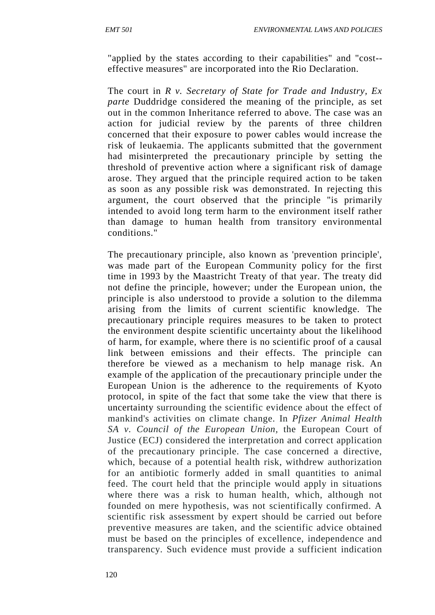"applied by the states according to their capabilities" and "cost- effective measures" are incorporated into the Rio Declaration.

The court in *R v. Secretary of State for Trade and Industry, Ex parte* Duddridge considered the meaning of the principle, as set out in the common Inheritance referred to above. The case was an action for judicial review by the parents of three children concerned that their exposure to power cables would increase the risk of leukaemia. The applicants submitted that the government had misinterpreted the precautionary principle by setting the threshold of preventive action where a significant risk of damage arose. They argued that the principle required action to be taken as soon as any possible risk was demonstrated. In rejecting this argument, the court observed that the principle "is primarily intended to avoid long term harm to the environment itself rather than damage to human health from transitory environmental conditions."

The precautionary principle, also known as 'prevention principle', was made part of the European Community policy for the first time in 1993 by the Maastricht Treaty of that year. The treaty did not define the principle, however; under the European union, the principle is also understood to provide a solution to the dilemma arising from the limits of current scientific knowledge. The precautionary principle requires measures to be taken to protect the environment despite scientific uncertainty about the likelihood of harm, for example, where there is no scientific proof of a causal link between emissions and their effects. The principle can therefore be viewed as a mechanism to help manage risk. An example of the application of the precautionary principle under the European Union is the adherence to the requirements of Kyoto protocol, in spite of the fact that some take the view that there is uncertainty surrounding the scientific evidence about the effect of mankind's activities on climate change. In *Pfizer Animal Health SA v. Council of the European Union,* the European Court of Justice (ECJ) considered the interpretation and correct application of the precautionary principle. The case concerned a directive, which, because of a potential health risk, withdrew authorization for an antibiotic formerly added in small quantities to animal feed. The court held that the principle would apply in situations where there was a risk to human health, which, although not founded on mere hypothesis, was not scientifically confirmed. A scientific risk assessment by expert should be carried out before preventive measures are taken, and the scientific advice obtained must be based on the principles of excellence, independence and transparency. Such evidence must provide a sufficient indication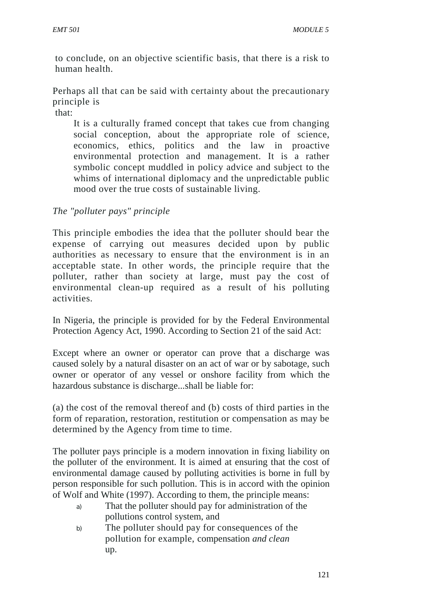to conclude, on an objective scientific basis, that there is a risk to human health.

Perhaps all that can be said with certainty about the precautionary principle is

that:

It is a culturally framed concept that takes cue from changing social conception, about the appropriate role of science, economics, ethics, politics and the law in proactive environmental protection and management. It is a rather symbolic concept muddled in policy advice and subject to the whims of international diplomacy and the unpredictable public mood over the true costs of sustainable living.

# *The "polluter pays" principle*

This principle embodies the idea that the polluter should bear the expense of carrying out measures decided upon by public authorities as necessary to ensure that the environment is in an acceptable state. In other words, the principle require that the polluter, rather than society at large, must pay the cost of environmental clean-up required as a result of his polluting activities.

In Nigeria, the principle is provided for by the Federal Environmental Protection Agency Act, 1990. According to Section 21 of the said Act:

Except where an owner or operator can prove that a discharge was caused solely by a natural disaster on an act of war or by sabotage, such owner or operator of any vessel or onshore facility from which the hazardous substance is discharge...shall be liable for:

(a) the cost of the removal thereof and (b) costs of third parties in the form of reparation, restoration, restitution or compensation as may be determined by the Agency from time to time.

The polluter pays principle is a modern innovation in fixing liability on the polluter of the environment. It is aimed at ensuring that the cost of environmental damage caused by polluting activities is borne in full by person responsible for such pollution. This is in accord with the opinion of Wolf and White (1997). According to them, the principle means:

- a) That the polluter should pay for administration of the pollutions control system, and
- b) The polluter should pay for consequences of the pollution for example, compensation *and clean* up.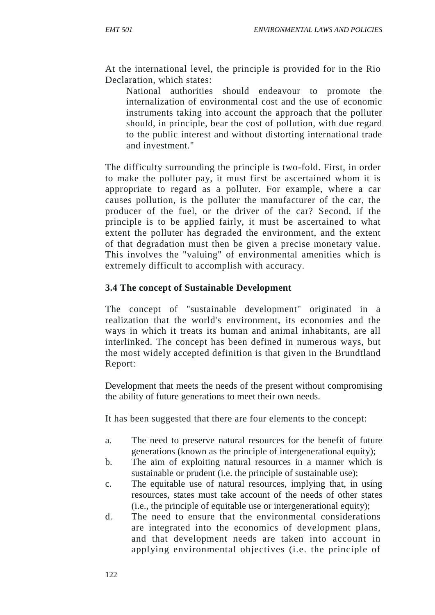At the international level, the principle is provided for in the Rio Declaration, which states:

National authorities should endeavour to promote the internalization of environmental cost and the use of economic instruments taking into account the approach that the polluter should, in principle, bear the cost of pollution, with due regard to the public interest and without distorting international trade and investment."

The difficulty surrounding the principle is two-fold. First, in order to make the polluter pay, it must first be ascertained whom it is appropriate to regard as a polluter. For example, where a car causes pollution, is the polluter the manufacturer of the car, the producer of the fuel, or the driver of the car? Second, if the principle is to be applied fairly, it must be ascertained to what extent the polluter has degraded the environment, and the extent of that degradation must then be given a precise monetary value. This involves the "valuing" of environmental amenities which is extremely difficult to accomplish with accuracy.

#### **3.4 The concept of Sustainable Development**

The concept of "sustainable development" originated in a realization that the world's environment, its economies and the ways in which it treats its human and animal inhabitants, are all interlinked. The concept has been defined in numerous ways, but the most widely accepted definition is that given in the Brundtland Report:

Development that meets the needs of the present without compromising the ability of future generations to meet their own needs.

It has been suggested that there are four elements to the concept:

- a. The need to preserve natural resources for the benefit of future generations (known as the principle of intergenerational equity);
- b. The aim of exploiting natural resources in a manner which is sustainable or prudent (i.e. the principle of sustainable use);
- c. The equitable use of natural resources, implying that, in using resources, states must take account of the needs of other states (i.e., the principle of equitable use or intergenerational equity);
- d. The need to ensure that the environmental considerations are integrated into the economics of development plans, and that development needs are taken into account in applying environmental objectives (i.e. the principle of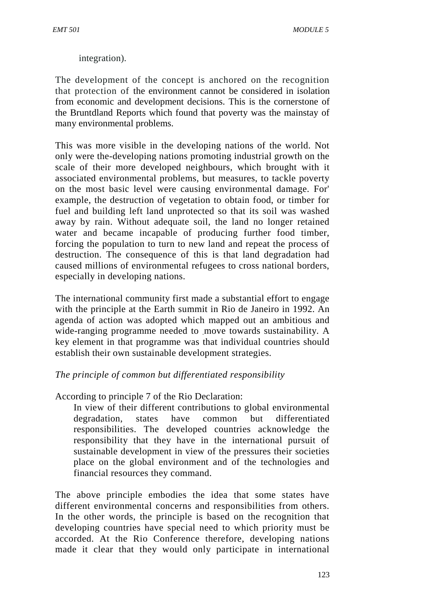integration).

The development of the concept is anchored on the recognition that protection of the environment cannot be considered in isolation from economic and development decisions. This is the cornerstone of the Bruntdland Reports which found that poverty was the mainstay of many environmental problems.

This was more visible in the developing nations of the world. Not only were the-developing nations promoting industrial growth on the scale of their more developed neighbours, which brought with it associated environmental problems, but measures, to tackle poverty on the most basic level were causing environmental damage. For' example, the destruction of vegetation to obtain food, or timber for fuel and building left land unprotected so that its soil was washed away by rain. Without adequate soil, the land no longer retained water and became incapable of producing further food timber, forcing the population to turn to new land and repeat the process of destruction. The consequence of this is that land degradation had caused millions of environmental refugees to cross national borders, especially in developing nations.

The international community first made a substantial effort to engage with the principle at the Earth summit in Rio de Janeiro in 1992. An agenda of action was adopted which mapped out an ambitious and wide-ranging programme needed to move towards sustainability. A key element in that programme was that individual countries should establish their own sustainable development strategies.

## *The principle of common but differentiated responsibility*

- According to principle 7 of the Rio Declaration:
	- In view of their different contributions to global environmental degradation, states have common but differentiated responsibilities. The developed countries acknowledge the responsibility that they have in the international pursuit of sustainable development in view of the pressures their societies place on the global environment and of the technologies and financial resources they command.

The above principle embodies the idea that some states have different environmental concerns and responsibilities from others. In the other words, the principle is based on the recognition that developing countries have special need to which priority must be accorded. At the Rio Conference therefore, developing nations made it clear that they would only participate in international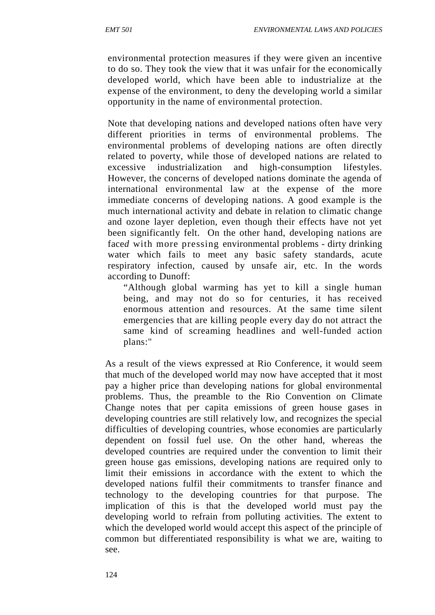environmental protection measures if they were given an incentive to do so. They took the view that it was unfair for the economically developed world, which have been able to industrialize at the expense of the environment, to deny the developing world a similar opportunity in the name of environmental protection.

Note that developing nations and developed nations often have very different priorities in terms of environmental problems. The environmental problems of developing nations are often directly related to poverty, while those of developed nations are related to excessive industrialization and high-consumption lifestyles. However, the concerns of developed nations dominate the agenda of international environmental law at the expense of the more immediate concerns of developing nations. A good example is the much international activity and debate in relation to climatic change and ozone layer depletion, even though their effects have not yet been significantly felt. On the other hand, developing nations are face*d* with more pressing environmental problems - dirty drinking water which fails to meet any basic safety standards, acute respiratory infection, caused by unsafe air, etc. In the words according to Dunoff:

"Although global warming has yet to kill a single human being, and may not do so for centuries, it has received enormous attention and resources. At the same time silent emergencies that are killing people every day do not attract the same kind of screaming headlines and well-funded action plans:"

As a result of the views expressed at Rio Conference, it would seem that much of the developed world may now have accepted that it most pay a higher price than developing nations for global environmental problems. Thus, the preamble to the Rio Convention on Climate Change notes that per capita emissions of green house gases in developing countries are still relatively low, and recognizes the special difficulties of developing countries, whose economies are particularly dependent on fossil fuel use. On the other hand, whereas the developed countries are required under the convention to limit their green house gas emissions, developing nations are required only to limit their emissions in accordance with the extent to which the developed nations fulfil their commitments to transfer finance and technology to the developing countries for that purpose. The implication of this is that the developed world must pay the developing world to refrain from polluting activities. The extent to which the developed world would accept this aspect of the principle of common but differentiated responsibility is what we are, waiting to see.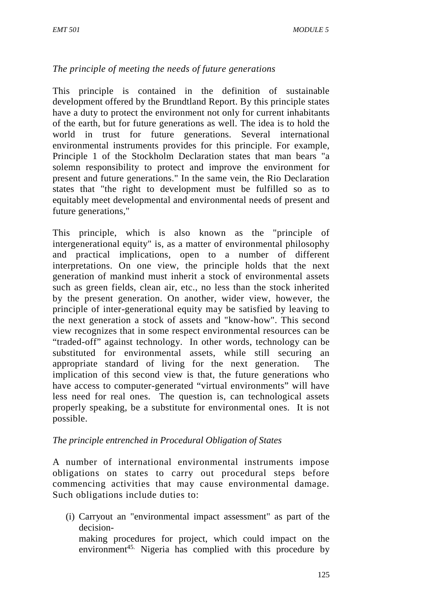# *The principle of meeting the needs of future generations*

This principle is contained in the definition of sustainable development offered by the Brundtland Report. By this principle states have a duty to protect the environment not only for current inhabitants of the earth, but for future generations as well. The idea is to hold the world in trust for future generations. Several international environmental instruments provides for this principle. For example, Principle 1 of the Stockholm Declaration states that man bears "a solemn responsibility to protect and improve the environment for present and future generations." In the same vein, the Rio Declaration states that "the right to development must be fulfilled so as to equitably meet developmental and environmental needs of present and future generations,"

This principle, which is also known as the "principle of intergenerational equity" is, as a matter of environmental philosophy and practical implications, open to a number of different interpretations. On one view, the principle holds that the next generation of mankind must inherit a stock of environmental assets such as green fields, clean air, etc., no less than the stock inherited by the present generation. On another, wider view, however, the principle of inter-generational equity may be satisfied by leaving to the next generation a stock of assets and "know-how". This second view recognizes that in some respect environmental resources can be "traded-off" against technology. In other words, technology can be substituted for environmental assets, while still securing an appropriate standard of living for the next generation. The implication of this second view is that, the future generations who have access to computer-generated "virtual environments" will have less need for real ones. The question is, can technological assets properly speaking, be a substitute for environmental ones. It is not possible.

## *The principle entrenched in Procedural Obligation of States*

A number of international environmental instruments impose obligations on states to carry out procedural steps before commencing activities that may cause environmental damage. Such obligations include duties to:

(i) Carryout an "environmental impact assessment" as part of the decision-

making procedures for project, which could impact on the environment<sup>45.</sup> Nigeria has complied with this procedure by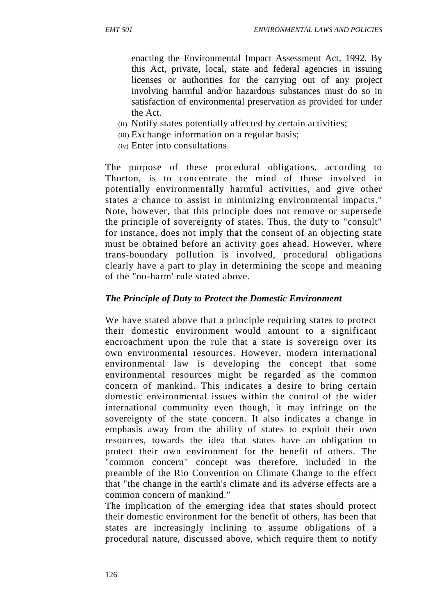enacting the Environmental Impact Assessment Act, 1992. By this Act, private, local, state and federal agencies in issuing licenses or authorities for the carrying out of any project involving harmful and/or hazardous substances must do so in satisfaction of environmental preservation as provided for under the Act.

- (ii) Notify states potentially affected by certain activities;
- (iii) Exchange information on a regular basis;
- (iv) Enter into consultations.

The purpose of these procedural obligations, according to Thorton, is to concentrate the mind of those involved in potentially environmentally harmful activities, and give other states a chance to assist in minimizing environmental impacts." Note, however, that this principle does not remove or supersede the principle of sovereignty of states. Thus, the duty to "consult" for instance, does not imply that the consent of an objecting state must be obtained before an activity goes ahead. However, where trans-boundary pollution is involved, procedural obligations clearly have a part to play in determining the scope and meaning of the "no-harm' rule stated above.

# *The Principle of Duty to Protect the Domestic Environment*

We have stated above that a principle requiring states to protect their domestic environment would amount to a significant encroachment upon the rule that a state is sovereign over its own environmental resources. However, modern international environmental law is developing the concept that some environmental resources might be regarded as the common concern of mankind. This indicates a desire to bring certain domestic environmental issues within the control of the wider international community even though, it may infringe on the sovereignty of the state concern. It also indicates a change in emphasis away from the ability of states to exploit their own resources, towards the idea that states have an obligation to protect their own environment for the benefit of others. The "common concern" concept was therefore, included in the preamble of the Rio Convention on Climate Change to the effect that "the change in the earth's climate and its adverse effects are a common concern of mankind."

The implication of the emerging idea that states should protect their domestic environment for the benefit of others, has been that states are increasingly inclining to assume obligations of a procedural nature, discussed above, which require them to notify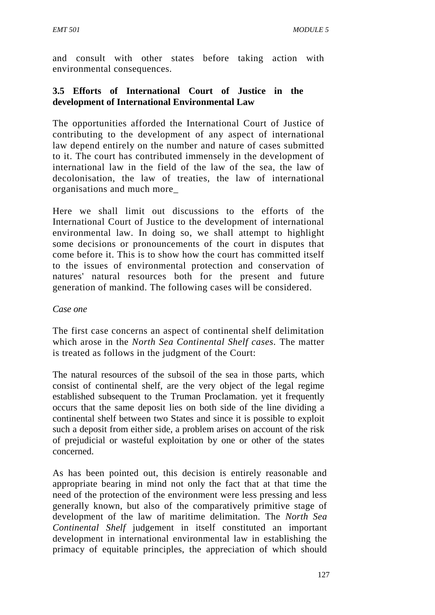and consult with other states before taking action with environmental consequences.

# **3.5 Efforts of International Court of Justice in the development of International Environmental Law**

The opportunities afforded the International Court of Justice of contributing to the development of any aspect of international law depend entirely on the number and nature of cases submitted to it. The court has contributed immensely in the development of international law in the field of the law of the sea, the law of decolonisation, the law of treaties, the law of international organisations and much more\_

Here we shall limit out discussions to the efforts of the International Court of Justice to the development of international environmental law. In doing so, we shall attempt to highlight some decisions or pronouncements of the court in disputes that come before it. This is to show how the court has committed itself to the issues of environmental protection and conservation of natures' natural resources both for the present and future generation of mankind. The following cases will be considered.

## *Case one*

The first case concerns an aspect of continental shelf delimitation which arose in the *North Sea Continental Shelf cases.* The matter is treated as follows in the judgment of the Court:

The natural resources of the subsoil of the sea in those parts, which consist of continental shelf, are the very object of the legal regime established subsequent to the Truman Proclamation. yet it frequently occurs that the same deposit lies on both side of the line dividing a continental shelf between two States and since it is possible to exploit such a deposit from either side, a problem arises on account of the risk of prejudicial or wasteful exploitation by one or other of the states concerned.

As has been pointed out, this decision is entirely reasonable and appropriate bearing in mind not only the fact that at that time the need of the protection of the environment were less pressing and less generally known, but also of the comparatively primitive stage of development of the law of maritime delimitation. The *North Sea Continental Shelf* judgement in itself constituted an important development in international environmental law in establishing the primacy of equitable principles, the appreciation of which should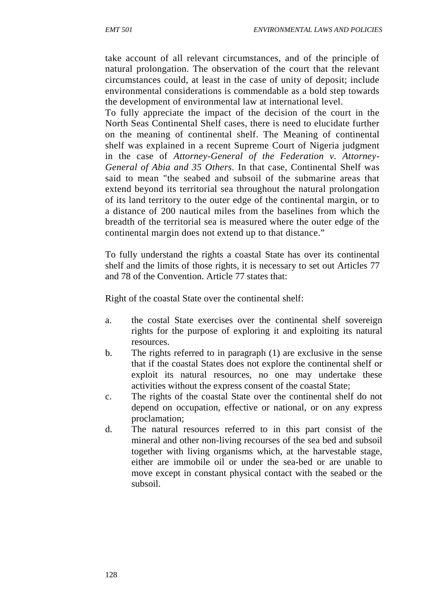take account of all relevant circumstances, and of the principle of natural prolongation. The observation of the court that the relevant circumstances could, at least in the case of unity of deposit; include environmental considerations is commendable as a bold step towards the development of environmental law at international level.

To fully appreciate the impact of the decision of the court in the North Seas Continental Shelf cases, there is need to elucidate further on the meaning of continental shelf. The Meaning of continental shelf was explained in a recent Supreme Court of Nigeria judgment in the case of *Attorney-General of the Federation v. Attorney- General of Abia and 35 Others.* In that case, Continental Shelf was said to mean "the seabed and subsoil of the submarine areas that extend beyond its territorial sea throughout the natural prolongation of its land territory to the outer edge of the continental margin, or to a distance of 200 nautical miles from the baselines from which the breadth of the territorial sea is measured where the outer edge of the continental margin does not extend up to that distance."

To fully understand the rights a coastal State has over its continental shelf and the limits of those rights, it is necessary to set out Articles 77 and 78 of the Convention. Article 77 states that:

Right of the coastal State over the continental shelf:

- a. the costal State exercises over the continental shelf sovereign rights for the purpose of exploring it and exploiting its natural resources.
- b. The rights referred to in paragraph (1) are exclusive in the sense that if the coastal States does not explore the continental shelf or exploit its natural resources, no one may undertake these activities without the express consent of the coastal State;
- c. The rights of the coastal State over the continental shelf do not depend on occupation, effective or national, or on any express proclamation;
- d. The natural resources referred to in this part consist of the mineral and other non-living recourses of the sea bed and subsoil together with living organisms which, at the harvestable stage, either are immobile oil or under the sea-bed or are unable to move except in constant physical contact with the seabed or the subsoil.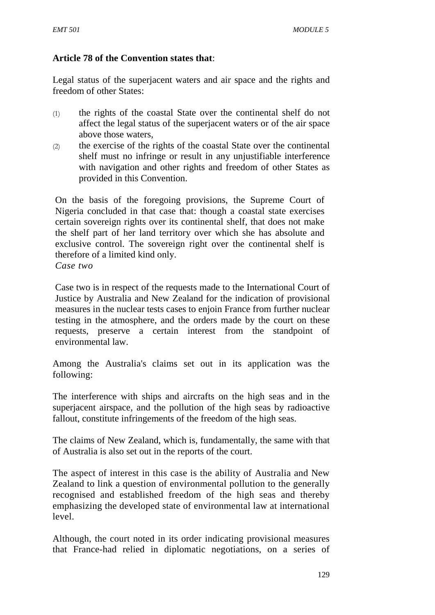## **Article 78 of the Convention states that**:

Legal status of the superjacent waters and air space and the rights and freedom of other States:

- (1) the rights of the coastal State over the continental shelf do not affect the legal status of the superjacent waters or of the air space above those waters,
- (2) the exercise of the rights of the coastal State over the continental shelf must no infringe or result in any unjustifiable interference with navigation and other rights and freedom of other States as provided in this Convention.

On the basis of the foregoing provisions, the Supreme Court of Nigeria concluded in that case that: though a coastal state exercises certain sovereign rights over its continental shelf, that does not make the shelf part of her land territory over which she has absolute and exclusive control. The sovereign right over the continental shelf is therefore of a limited kind only. *Case two*

Case two is in respect of the requests made to the International Court of Justice by Australia and New Zealand for the indication of provisional measures in the nuclear tests cases to enjoin France from further nuclear testing in the atmosphere, and the orders made by the court on these requests, preserve a certain interest from the standpoint of environmental law.

Among the Australia's claims set out in its application was the following:

The interference with ships and aircrafts on the high seas and in the superjacent airspace, and the pollution of the high seas by radioactive fallout, constitute infringements of the freedom of the high seas.

The claims of New Zealand, which is, fundamentally, the same with that of Australia is also set out in the reports of the court.

The aspect of interest in this case is the ability of Australia and New Zealand to link a question of environmental pollution to the generally recognised and established freedom of the high seas and thereby emphasizing the developed state of environmental law at international level.

Although, the court noted in its order indicating provisional measures that France-had relied in diplomatic negotiations, on a series of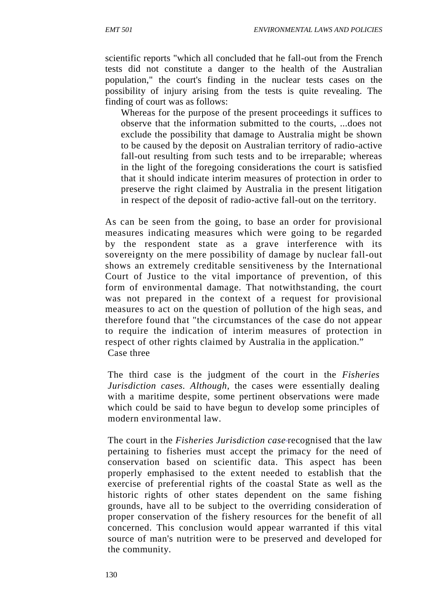scientific reports "which all concluded that he fall-out from the French tests did not constitute a danger to the health of the Australian population," the court's finding in the nuclear tests cases on the possibility of injury arising from the tests is quite revealing. The finding of court was as follows:

Whereas for the purpose of the present proceedings it suffices to observe that the information submitted to the courts, ...does not exclude the possibility that damage to Australia might be shown to be caused by the deposit on Australian territory of radio-active fall-out resulting from such tests and to be irreparable; whereas in the light of the foregoing considerations the court is satisfied that it should indicate interim measures of protection in order to preserve the right claimed by Australia in the present litigation in respect of the deposit of radio-active fall-out on the territory.

As can be seen from the going, to base an order for provisional measures indicating measures which were going to be regarded by the respondent state as a grave interference with its sovereignty on the mere possibility of damage by nuclear fall-out shows an extremely creditable sensitiveness by the International Court of Justice to the vital importance of prevention, of this form of environmental damage. That notwithstanding, the court was not prepared in the context of a request for provisional measures to act on the question of pollution of the high seas, and therefore found that "the circumstances of the case do not appear to require the indication of interim measures of protection in respect of other rights claimed by Australia in the application." Case three

The third case is the judgment of the court in the *Fisheries Jurisdiction cases. Although,* the cases were essentially dealing with a maritime despite, some pertinent observations were made which could be said to have begun to develop some principles of modern environmental law.

The court in the *Fisheries Jurisdiction case* recognised that the law pertaining to fisheries must accept the primacy for the need of conservation based on scientific data. This aspect has been properly emphasised to the extent needed to establish that the exercise of preferential rights of the coastal State as well as the historic rights of other states dependent on the same fishing grounds, have all to be subject to the overriding consideration of proper conservation of the fishery resources for the benefit of all concerned. This conclusion would appear warranted if this vital source of man's nutrition were to be preserved and developed for the community.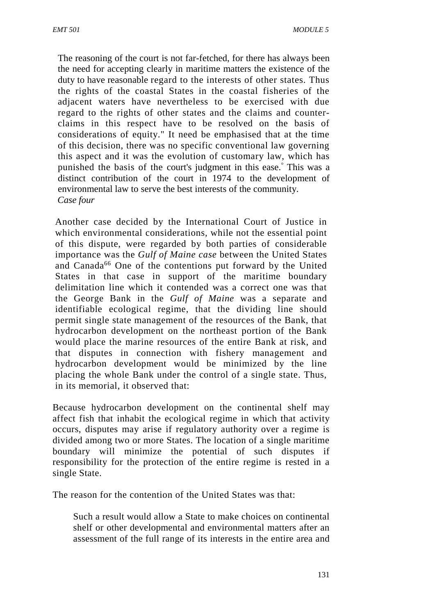The reasoning of the court is not far-fetched, for there has always been the need for accepting clearly in maritime matters the existence of the duty to have reasonable regard to the interests of other states. Thus the rights of the coastal States in the coastal fisheries of the adjacent waters have nevertheless to be exercised with due regard to the rights of other states and the claims and counter claims in this respect have to be resolved on the basis of considerations of equity." It need be emphasised that at the time of this decision, there was no specific conventional law governing this aspect and it was the evolution of customary law, which has punished the basis of the court's judgment in this ease.° This was a distinct contribution of the court in 1974 to the development of environmental law to serve the best interests of the community. *Case four*

Another case decided by the International Court of Justice in which environmental considerations, while not the essential point of this dispute, were regarded by both parties of considerable importance was the *Gulf of Maine case* between the United States and Canada<sup>66</sup> One of the contentions put forward by the United States in that case in support of the maritime boundary delimitation line which it contended was a correct one was that the George Bank in the *Gulf of Maine* was a separate and identifiable ecological regime, that the dividing line should permit single state management of the resources of the Bank, that hydrocarbon development on the northeast portion of the Bank would place the marine resources of the entire Bank at risk, and that disputes in connection with fishery management and hydrocarbon development would be minimized by the line placing the whole Bank under the control of a single state. Thus, in its memorial, it observed that:

Because hydrocarbon development on the continental shelf may affect fish that inhabit the ecological regime in which that activity occurs, disputes may arise if regulatory authority over a regime is divided among two or more States. The location of a single maritime boundary will minimize the potential of such disputes if responsibility for the protection of the entire regime is rested in a single State.

The reason for the contention of the United States was that:

Such a result would allow a State to make choices on continental shelf or other developmental and environmental matters after an assessment of the full range of its interests in the entire area and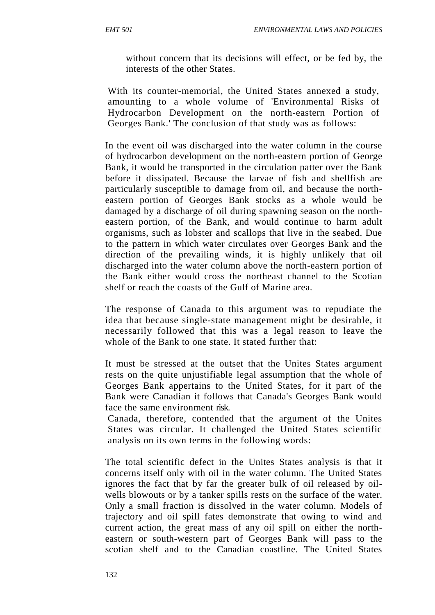without concern that its decisions will effect, or be fed by, the interests of the other States.

With its counter-memorial, the United States annexed a study, amounting to a whole volume of 'Environmental Risks of Hydrocarbon Development on the north-eastern Portion of Georges Bank.' The conclusion of that study was as follows:

In the event oil was discharged into the water column in the course of hydrocarbon development on the north-eastern portion of George Bank, it would be transported in the circulation patter over the Bank before it dissipated. Because the larvae of fish and shellfish are particularly susceptible to damage from oil, and because the north eastern portion of Georges Bank stocks as a whole would be damaged by a discharge of oil during spawning season on the north eastern portion, of the Bank, and would continue to harm adult organisms, such as lobster and scallops that live in the seabed. Due to the pattern in which water circulates over Georges Bank and the direction of the prevailing winds, it is highly unlikely that oil discharged into the water column above the north-eastern portion of the Bank either would cross the northeast channel to the Scotian shelf or reach the coasts of the Gulf of Marine area.

The response of Canada to this argument was to repudiate the idea that because single-state management might be desirable, it necessarily followed that this was a legal reason to leave the whole of the Bank to one state. It stated further that:

It must be stressed at the outset that the Unites States argument rests on the quite unjustifiable legal assumption that the whole of Georges Bank appertains to the United States, for it part of the Bank were Canadian it follows that Canada's Georges Bank would face the same environment risk.

Canada, therefore, contended that the argument of the Unites States was circular. It challenged the United States scientific analysis on its own terms in the following words:

The total scientific defect in the Unites States analysis is that it concerns itself only with oil in the water column. The United States ignores the fact that by far the greater bulk of oil released by oil wells blowouts or by a tanker spills rests on the surface of the water. Only a small fraction is dissolved in the water column. Models of trajectory and oil spill fates demonstrate that owing to wind and current action, the great mass of any oil spill on either the north eastern or south-western part of Georges Bank will pass to the scotian shelf and to the Canadian coastline. The United States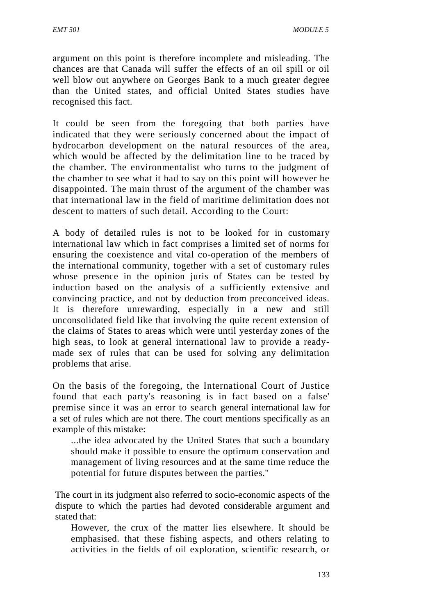argument on this point is therefore incomplete and misleading. The chances are that Canada will suffer the effects of an oil spill or oil well blow out anywhere on Georges Bank to a much greater degree than the United states, and official United States studies have recognised this fact.

It could be seen from the foregoing that both parties have indicated that they were seriously concerned about the impact of hydrocarbon development on the natural resources of the area, which would be affected by the delimitation line to be traced by the chamber. The environmentalist who turns to the judgment of the chamber to see what it had to say on this point will however be disappointed. The main thrust of the argument of the chamber was that international law in the field of maritime delimitation does not descent to matters of such detail. According to the Court:

A body of detailed rules is not to be looked for in customary international law which in fact comprises a limited set of norms for ensuring the coexistence and vital co-operation of the members of the international community, together with a set of customary rules whose presence in the opinion juris of States can be tested by induction based on the analysis of a sufficiently extensive and convincing practice, and not by deduction from preconceived ideas. It is therefore unrewarding, especially in a new and still unconsolidated field like that involving the quite recent extension of the claims of States to areas which were until yesterday zones of the high seas, to look at general international law to provide a ready made sex of rules that can be used for solving any delimitation problems that arise.

On the basis of the foregoing, the International Court of Justice found that each party's reasoning is in fact based on a false' premise since it was an error to search general international law for a set of rules which are not there. The court mentions specifically as an example of this mistake:

...the idea advocated by the United States that such a boundary should make it possible to ensure the optimum conservation and management of living resources and at the same time reduce the potential for future disputes between the parties.''

The court in its judgment also referred to socio-economic aspects of the dispute to which the parties had devoted considerable argument and stated that:

However, the crux of the matter lies elsewhere. It should be emphasised. that these fishing aspects, and others relating to activities in the fields of oil exploration, scientific research, or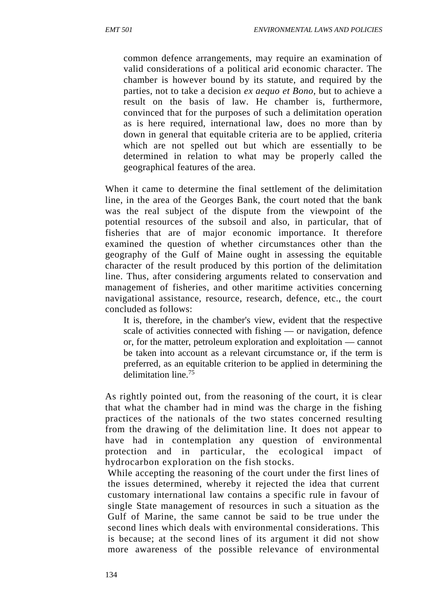common defence arrangements, may require an examination of valid considerations of a political arid economic character. The chamber is however bound by its statute, and required by the parties, not to take a decision *ex aequo et Bono,* but to achieve a result on the basis of law. He chamber is, furthermore, convinced that for the purposes of such a delimitation operation as is here required, international law, does no more than by down in general that equitable criteria are to be applied, criteria which are not spelled out but which are essentially to be determined in relation to what may be properly called the geographical features of the area.

When it came to determine the final settlement of the delimitation line, in the area of the Georges Bank, the court noted that the bank was the real subject of the dispute from the viewpoint of the potential resources of the subsoil and also, in particular, that of fisheries that are of major economic importance. It therefore examined the question of whether circumstances other than the geography of the Gulf of Maine ought in assessing the equitable character of the result produced by this portion of the delimitation line. Thus, after considering arguments related to conservation and management of fisheries, and other maritime activities concerning navigational assistance, resource, research, defence, etc., the court concluded as follows:

It is, therefore, in the chamber's view, evident that the respective scale of activities connected with fishing — or navigation, defence or, for the matter, petroleum exploration and exploitation — cannot be taken into account as a relevant circumstance or, if the term is preferred, as an equitable criterion to be applied in determining the delimitation line.<sup>75</sup>

As rightly pointed out, from the reasoning of the court, it is clear that what the chamber had in mind was the charge in the fishing practices of the nationals of the two states concerned resulting from the drawing of the delimitation line. It does not appear to have had in contemplation any question of environmental protection and in particular, the ecological impact of hydrocarbon exploration on the fish stocks.

While accepting the reasoning of the court under the first lines of the issues determined, whereby it rejected the idea that current customary international law contains a specific rule in favour of single State management of resources in such a situation as the Gulf of Marine, the same cannot be said to be true under the second lines which deals with environmental considerations. This is because; at the second lines of its argument it did not show more awareness of the possible relevance of environmental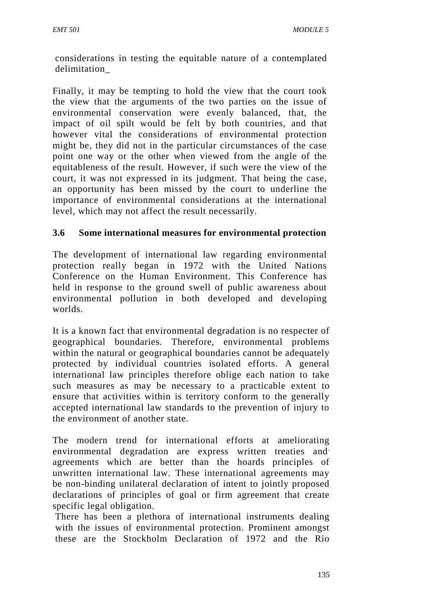considerations in testing the equitable nature of a contemplated delimitation\_

Finally, it may be tempting to hold the view that the court took the view that the arguments of the two parties on the issue of environmental conservation were evenly balanced, that, the impact of oil spilt would be felt by both countries, and that however vital the considerations of environmental protection might be, they did not in the particular circumstances of the case point one way or the other when viewed from the angle of the equitableness of the result. However, if such were the view of the court, it was not expressed in its judgment. That being the case, an opportunity has been missed by the court to underline the importance of environmental considerations at the international level, which may not affect the result necessarily.

# **3.6 Some international measures for environmental protection**

The development of international law regarding environmental protection really began in 1972 with the United Nations Conference on the Human Environment. This Conference has held in response to the ground swell of public awareness about environmental pollution in both developed and developing worlds.

It is a known fact that environmental degradation is no respecter of geographical boundaries. Therefore, environmental problems within the natural or geographical boundaries cannot be adequately protected by individual countries isolated efforts. A general international law principles therefore oblige each nation to take such measures as may be necessary to a practicable extent to ensure that activities within is territory conform to the generally accepted international law standards to the prevention of injury to the environment of another state.

The modern trend for international efforts at ameliorating environmental degradation are express written treaties and agreements which are better than the hoards principles of unwritten international law. These international agreements may be non-binding unilateral declaration of intent to jointly proposed declarations of principles of goal or firm agreement that create specific legal obligation.

There has been a plethora of international instruments dealing with the issues of environmental protection. Prominent amongst these are the Stockholm Declaration of 1972 and the Rio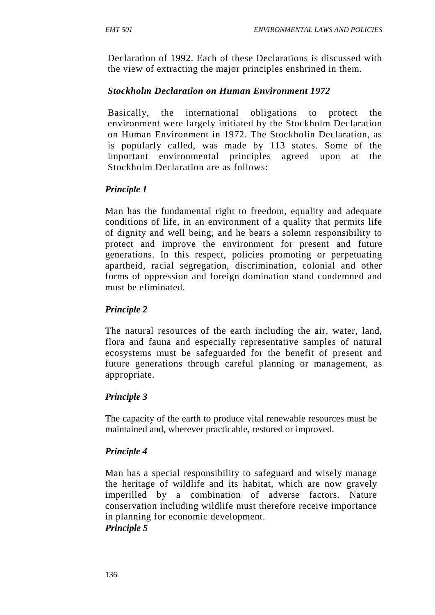Declaration of 1992. Each of these Declarations is discussed with the view of extracting the major principles enshrined in them.

# *Stockholm Declaration on Human Environment 1972*

Basically, the international obligations to protect the environment were largely initiated by the Stockholm Declaration on Human Environment in 1972. The Stockholin Declaration, as is popularly called, was made by 113 states. Some of the important environmental principles agreed upon at the Stockholm Declaration are as follows:

# *Principle 1*

Man has the fundamental right to freedom, equality and adequate conditions of life, in an environment of a quality that permits life of dignity and well being, and he bears a solemn responsibility to protect and improve the environment for present and future generations. In this respect, policies promoting or perpetuating apartheid, racial segregation, discrimination, colonial and other forms of oppression and foreign domination stand condemned and must be eliminated.

# *Principle 2*

The natural resources of the earth including the air, water, land, flora and fauna and especially representative samples of natural ecosystems must be safeguarded for the benefit of present and future generations through careful planning or management, as appropriate.

## *Principle 3*

The capacity of the earth to produce vital renewable resources must be maintained and, wherever practicable, restored or improved.

## *Principle 4*

Man has a special responsibility to safeguard and wisely manage the heritage of wildlife and its habitat, which are now gravely imperilled by a combination of adverse factors. Nature conservation including wildlife must therefore receive importance in planning for economic development. *Principle 5*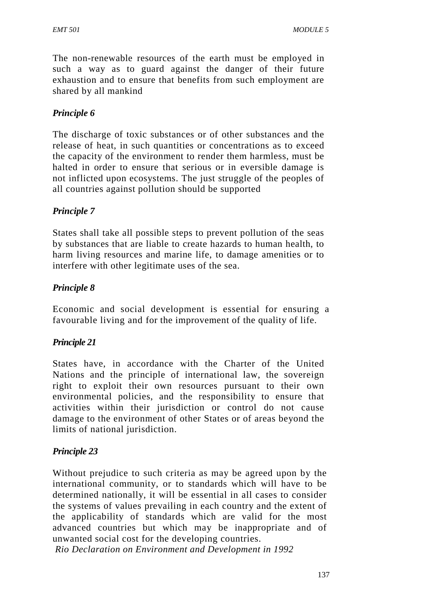The non-renewable resources of the earth must be employed in such a way as to guard against the danger of their future exhaustion and to ensure that benefits from such employment are shared by all mankind

# *Principle 6*

The discharge of toxic substances or of other substances and the release of heat, in such quantities or concentrations as to exceed the capacity of the environment to render them harmless, must be halted in order to ensure that serious or in eversible damage is not inflicted upon ecosystems. The just struggle of the peoples of all countries against pollution should be supported

# *Principle 7*

States shall take all possible steps to prevent pollution of the seas by substances that are liable to create hazards to human health, to harm living resources and marine life, to damage amenities or to interfere with other legitimate uses of the sea.

## *Principle 8*

Economic and social development is essential for ensuring a favourable living and for the improvement of the quality of life.

## *Principle 21*

States have, in accordance with the Charter of the United Nations and the principle of international law, the sovereign right to exploit their own resources pursuant to their own environmental policies, and the responsibility to ensure that activities within their jurisdiction or control do not cause damage to the environment of other States or of areas beyond the limits of national jurisdiction.

## *Principle 23*

Without prejudice to such criteria as may be agreed upon by the international community, or to standards which will have to be determined nationally, it will be essential in all cases to consider the systems of values prevailing in each country and the extent of the applicability of standards which are valid for the most advanced countries but which may be inappropriate and of unwanted social cost for the developing countries.

*Rio Declaration on Environment and Development in 1992*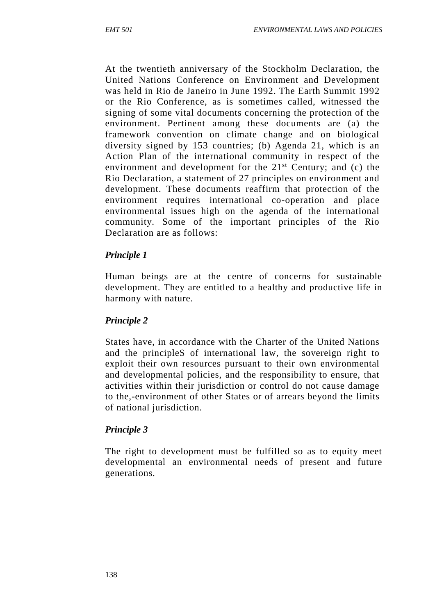At the twentieth anniversary of the Stockholm Declaration, the United Nations Conference on Environment and Development was held in Rio de Janeiro in June 1992. The Earth Summit 1992 or the Rio Conference, as is sometimes called, witnessed the signing of some vital documents concerning the protection of the environment. Pertinent among these documents are (a) the framework convention on climate change and on biological diversity signed by 153 countries; (b) Agenda 21, which is an Action Plan of the international community in respect of the environment and development for the  $21<sup>st</sup>$  Century; and (c) the Rio Declaration, a statement of 27 principles on environment and development. These documents reaffirm that protection of the environment requires international co-operation and place environmental issues high on the agenda of the international community. Some of the important principles of the Rio Declaration are as follows:

#### *Principle 1*

Human beings are at the centre of concerns for sustainable development. They are entitled to a healthy and productive life in harmony with nature.

## *Principle 2*

States have, in accordance with the Charter of the United Nations and the principleS of international law, the sovereign right to exploit their own resources pursuant to their own environmental and developmental policies, and the responsibility to ensure, that activities within their jurisdiction or control do not cause damage to the,-environment of other States or of arrears beyond the limits of national jurisdiction.

## *Principle 3*

The right to development must be fulfilled so as to equity meet developmental an environmental needs of present and future generations.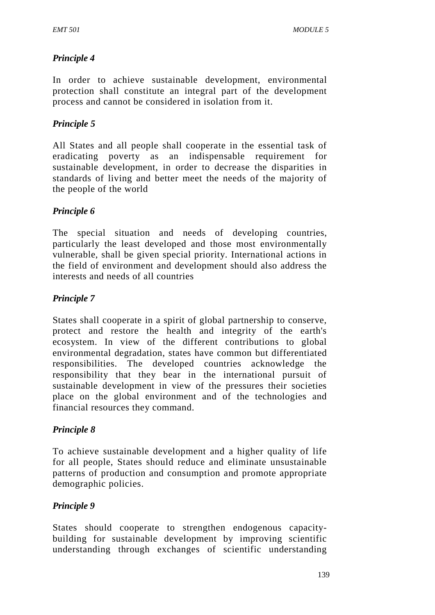# *Principle 4*

In order to achieve sustainable development, environmental protection shall constitute an integral part of the development process and cannot be considered in isolation from it.

# *Principle 5*

All States and all people shall cooperate in the essential task of eradicating poverty as an indispensable requirement for sustainable development, in order to decrease the disparities in standards of living and better meet the needs of the majority of the people of the world

# *Principle 6*

The special situation and needs of developing countries, particularly the least developed and those most environmentally vulnerable, shall be given special priority. International actions in the field of environment and development should also address the interests and needs of all countries

# *Principle 7*

States shall cooperate in a spirit of global partnership to conserve, protect and restore the health and integrity of the earth's ecosystem. In view of the different contributions to global environmental degradation, states have common but differentiated responsibilities. The developed countries acknowledge the responsibility that they bear in the international pursuit of sustainable development in view of the pressures their societies place on the global environment and of the technologies and financial resources they command.

## *Principle 8*

To achieve sustainable development and a higher quality of life for all people, States should reduce and eliminate unsustainable patterns of production and consumption and promote appropriate demographic policies.

## *Principle 9*

States should cooperate to strengthen endogenous capacity building for sustainable development by improving scientific understanding through exchanges of scientific understanding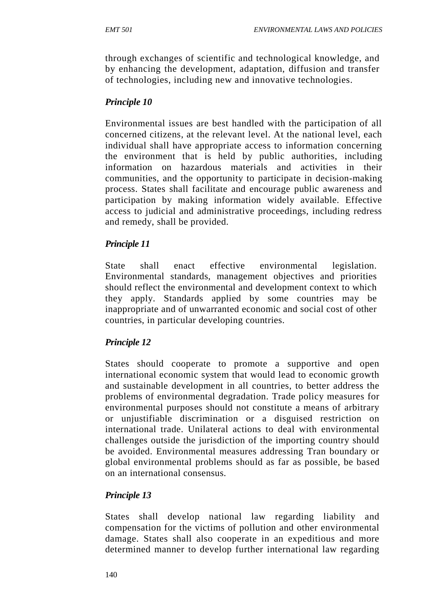through exchanges of scientific and technological knowledge, and by enhancing the development, adaptation, diffusion and transfer of technologies, including new and innovative technologies.

# *Principle 10*

Environmental issues are best handled with the participation of all concerned citizens, at the relevant level. At the national level, each individual shall have appropriate access to information concerning the environment that is held by public authorities, including information on hazardous materials and activities in their communities, and the opportunity to participate in decision-making process. States shall facilitate and encourage public awareness and participation by making information widely available. Effective access to judicial and administrative proceedings, including redress and remedy, shall be provided.

# *Principle 11*

State shall enact effective environmental legislation. Environmental standards, management objectives and priorities should reflect the environmental and development context to which they apply. Standards applied by some countries may be inappropriate and of unwarranted economic and social cost of other countries, in particular developing countries.

# *Principle 12*

States should cooperate to promote a supportive and open international economic system that would lead to economic growth and sustainable development in all countries, to better address the problems of environmental degradation. Trade policy measures for environmental purposes should not constitute a means of arbitrary or unjustifiable discrimination or a disguised restriction on international trade. Unilateral actions to deal with environmental challenges outside the jurisdiction of the importing country should be avoided. Environmental measures addressing Tran boundary or global environmental problems should as far as possible, be based on an international consensus.

# *Principle 13*

States shall develop national law regarding liability and compensation for the victims of pollution and other environmental damage. States shall also cooperate in an expeditious and more determined manner to develop further international law regarding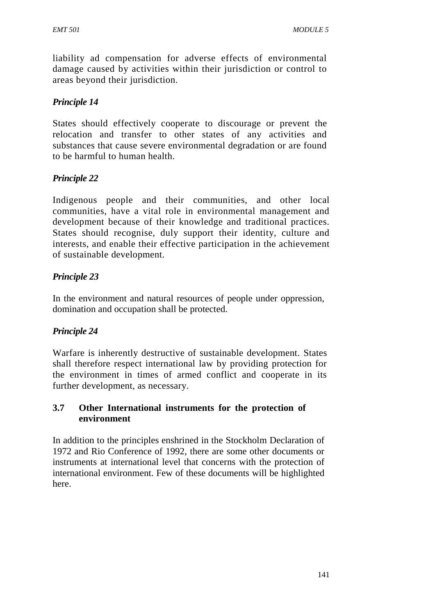liability ad compensation for adverse effects of environmental damage caused by activities within their jurisdiction or control to areas beyond their jurisdiction.

# *Principle 14*

States should effectively cooperate to discourage or prevent the relocation and transfer to other states of any activities and substances that cause severe environmental degradation or are found to be harmful to human health.

# *Principle 22*

Indigenous people and their communities, and other local communities, have a vital role in environmental management and development because of their knowledge and traditional practices. States should recognise, duly support their identity, culture and interests, and enable their effective participation in the achievement of sustainable development.

# *Principle 23*

In the environment and natural resources of people under oppression, domination and occupation shall be protected.

## *Principle 24*

Warfare is inherently destructive of sustainable development. States shall therefore respect international law by providing protection for the environment in times of armed conflict and cooperate in its further development, as necessary.

## **3.7 Other International instruments for the protection of environment**

In addition to the principles enshrined in the Stockholm Declaration of 1972 and Rio Conference of 1992, there are some other documents or instruments at international level that concerns with the protection of international environment. Few of these documents will be highlighted here.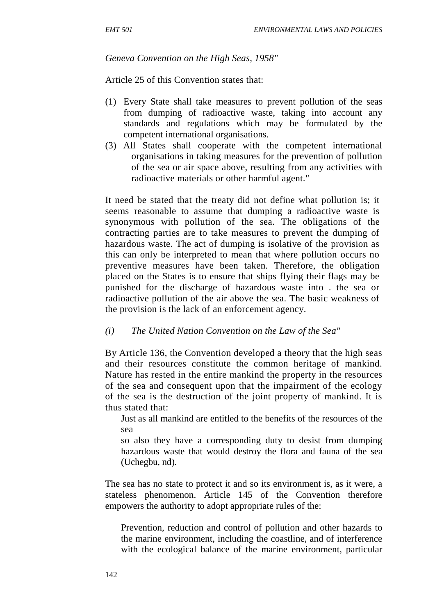#### *Geneva Convention on the High Seas, 1958"*

Article 25 of this Convention states that:

- (1) Every State shall take measures to prevent pollution of the seas from dumping of radioactive waste, taking into account any standards and regulations which may be formulated by the competent international organisations.
- (3) All States shall cooperate with the competent international organisations in taking measures for the prevention of pollution of the sea or air space above, resulting from any activities with radioactive materials or other harmful agent."

It need be stated that the treaty did not define what pollution is; it seems reasonable to assume that dumping a radioactive waste is synonymous with pollution of the sea. The obligations of the contracting parties are to take measures to prevent the dumping of hazardous waste. The act of dumping is isolative of the provision as this can only be interpreted to mean that where pollution occurs no preventive measures have been taken. Therefore, the obligation placed on the States is to ensure that ships flying their flags may be punished for the discharge of hazardous waste into . the sea or radioactive pollution of the air above the sea. The basic weakness of the provision is the lack of an enforcement agency.

*(i) The United Nation Convention on the Law of the Sea"*

By Article 136, the Convention developed a theory that the high seas and their resources constitute the common heritage of mankind. Nature has rested in the entire mankind the property in the resources of the sea and consequent upon that the impairment of the ecology of the sea is the destruction of the joint property of mankind. It is thus stated that:

Just as all mankind are entitled to the benefits of the resources of the sea

so also they have a corresponding duty to desist from dumping hazardous waste that would destroy the flora and fauna of the sea (Uchegbu, nd).

The sea has no state to protect it and so its environment is, as it were, a stateless phenomenon. Article 145 of the Convention therefore empowers the authority to adopt appropriate rules of the:

Prevention, reduction and control of pollution and other hazards to the marine environment, including the coastline, and of interference with the ecological balance of the marine environment, particular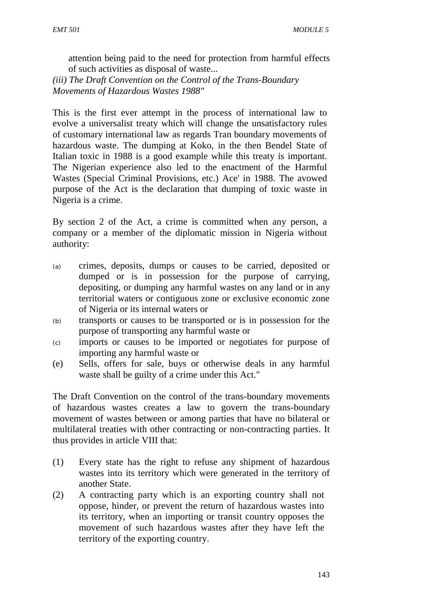attention being paid to the need for protection from harmful effects of such activities as disposal of waste...

*(iii) The Draft Convention on the Control of the Trans-Boundary Movements of Hazardous Wastes 1988"*

This is the first ever attempt in the process of international law to evolve a universalist treaty which will change the unsatisfactory rules of customary international law as regards Tran boundary movements of hazardous waste. The dumping at Koko, in the then Bendel State of Italian toxic in 1988 is a good example while this treaty is important. The Nigerian experience also led to the enactment of the Harmful Wastes (Special Criminal Provisions, etc.) Ace' in 1988. The avowed purpose of the Act is the declaration that dumping of toxic waste in Nigeria is a crime.

By section 2 of the Act, a crime is committed when any person, a company or a member of the diplomatic mission in Nigeria without authority:

- (a) crimes, deposits, dumps or causes to be carried, deposited or dumped or is in possession for the purpose of carrying, depositing, or dumping any harmful wastes on any land or in any territorial waters or contiguous zone or exclusive economic zone of Nigeria or its internal waters or
- (b) transports or causes to be transported or is in possession for the purpose of transporting any harmful waste or
- (c) imports or causes to be imported or negotiates for purpose of importing any harmful waste or
- (e) Sells, offers for sale, buys or otherwise deals in any harmful waste shall be guilty of a crime under this Act."

The Draft Convention on the control of the trans-boundary movements of hazardous wastes creates a law to govern the trans-boundary movement of wastes between or among parties that have no bilateral or multilateral treaties with other contracting or non-contracting parties. It thus provides in article VIII that:

- (1) Every state has the right to refuse any shipment of hazardous wastes into its territory which were generated in the territory of another State.
- (2) A contracting party which is an exporting country shall not oppose, hinder, or prevent the return of hazardous wastes into its territory, when an importing or transit country opposes the movement of such hazardous wastes after they have left the territory of the exporting country.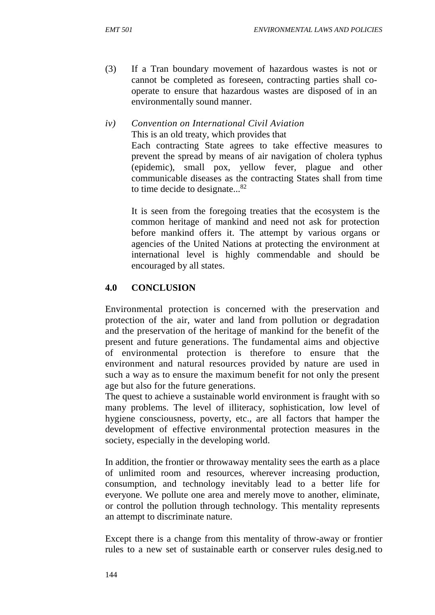(3) If a Tran boundary movement of hazardous wastes is not or cannot be completed as foreseen, contracting parties shall co operate to ensure that hazardous wastes are disposed of in an environmentally sound manner.

#### *iv) Convention on International Civil Aviation* This is an old treaty, which provides that Each contracting State agrees to take effective measures to prevent the spread by means of air navigation of cholera typhus (epidemic), small pox, yellow fever, plague and other communicable diseases as the contracting States shall from time to time decide to designate...<sup>82</sup>

It is seen from the foregoing treaties that the ecosystem is the common heritage of mankind and need not ask for protection before mankind offers it. The attempt by various organs or agencies of the United Nations at protecting the environment at international level is highly commendable and should be encouraged by all states.

### **4.0 CONCLUSION**

Environmental protection is concerned with the preservation and protection of the air, water and land from pollution or degradation and the preservation of the heritage of mankind for the benefit of the present and future generations. The fundamental aims and objective of environmental protection is therefore to ensure that the environment and natural resources provided by nature are used in such a way as to ensure the maximum benefit for not only the present age but also for the future generations.

The quest to achieve a sustainable world environment is fraught with so many problems. The level of illiteracy, sophistication, low level of hygiene consciousness, poverty, etc., are all factors that hamper the development of effective environmental protection measures in the society, especially in the developing world.

In addition, the frontier or throwaway mentality sees the earth as a place of unlimited room and resources, wherever increasing production, consumption, and technology inevitably lead to a better life for everyone. We pollute one area and merely move to another, eliminate, or control the pollution through technology. This mentality represents an attempt to discriminate nature.

Except there is a change from this mentality of throw-away or frontier rules to a new set of sustainable earth or conserver rules desig.ned to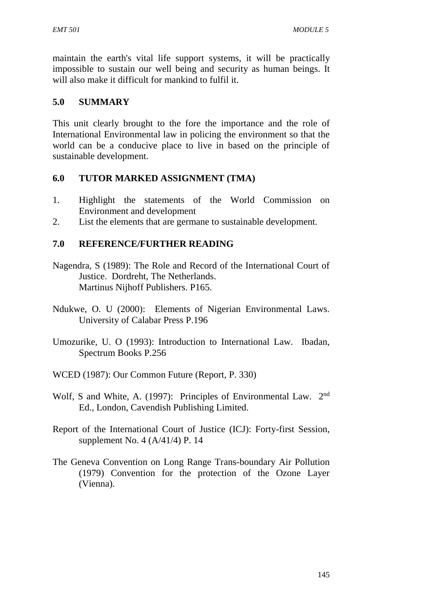maintain the earth's vital life support systems, it will be practically impossible to sustain our well being and security as human beings. It will also make it difficult for mankind to fulfil it.

#### **5.0 SUMMARY**

This unit clearly brought to the fore the importance and the role of International Environmental law in policing the environment so that the world can be a conducive place to live in based on the principle of sustainable development.

### **6.0 TUTOR MARKED ASSIGNMENT (TMA)**

- 1. Highlight the statements of the World Commission on Environment and development
- 2. List the elements that are germane to sustainable development.

### **7.0 REFERENCE/FURTHER READING**

- Nagendra, S (1989): The Role and Record of the International Court of Justice. Dordreht, The Netherlands. Martinus Nijhoff Publishers. P165.
- Ndukwe, O. U (2000): Elements of Nigerian Environmental Laws. University of Calabar Press P.196
- Umozurike, U. O (1993): Introduction to International Law. Ibadan, Spectrum Books P.256
- WCED (1987): Our Common Future (Report, P. 330)
- Wolf, S and White, A. (1997): Principles of Environmental Law. 2nd Ed., London, Cavendish Publishing Limited.
- Report of the International Court of Justice (ICJ): Forty-first Session, supplement No. 4 (A/41/4) P. 14
- The Geneva Convention on Long Range Trans-boundary Air Pollution (1979) Convention for the protection of the Ozone Layer (Vienna).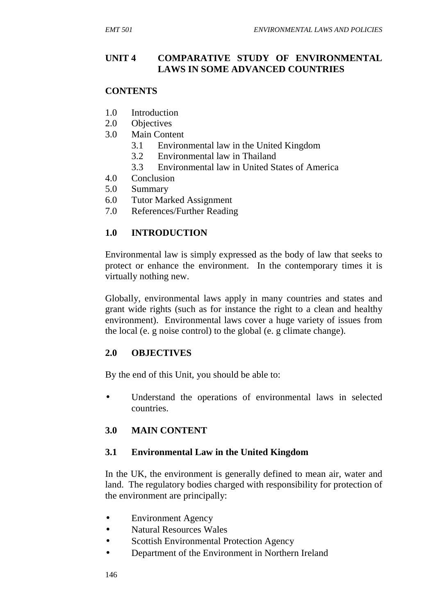#### **UNIT 4 COMPARATIVE STUDY OF ENVIRONMENTAL LAWS IN SOME ADVANCED COUNTRIES**

#### **CONTENTS**

- 1.0 Introduction
- 2.0 Objectives
- 3.0 Main Content
	- 3.1 Environmental law in the United Kingdom
	- 3.2 Environmental law in Thailand
	- 3.3 Environmental law in United States of America
- 4.0 Conclusion
- 5.0 Summary
- 6.0 Tutor Marked Assignment
- 7.0 References/Further Reading

# **1.0 INTRODUCTION**

Environmental law is simply expressed as the body of law that seeks to protect or enhance the environment. In the contemporary times it is virtually nothing new.

Globally, environmental laws apply in many countries and states and grant wide rights (such as for instance the right to a clean and healthy environment). Environmental laws cover a huge variety of issues from the local (e. g noise control) to the global (e. g climate change).

# **2.0 OBJECTIVES**

By the end of this Unit, you should be able to:

 Understand the operations of environmental laws in selected countries.

# **3.0 MAIN CONTENT**

#### **3.1 Environmental Law in the United Kingdom**

In the UK, the environment is generally defined to mean air, water and land. The regulatory bodies charged with responsibility for protection of the environment are principally:

- Environment Agency
- Natural Resources Wales
- Scottish Environmental Protection Agency
- Department of the Environment in Northern Ireland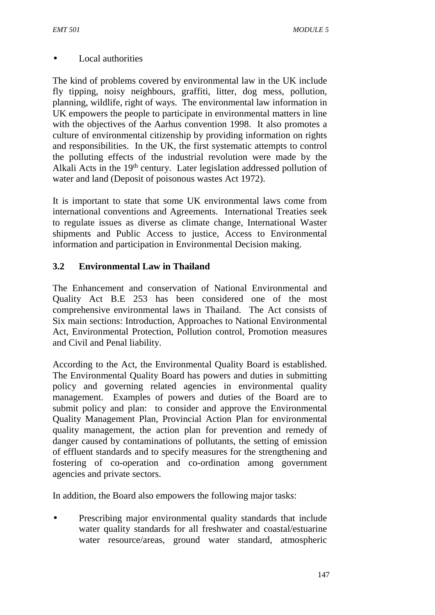### Local authorities

The kind of problems covered by environmental law in the UK include fly tipping, noisy neighbours, graffiti, litter, dog mess, pollution, planning, wildlife, right of ways. The environmental law information in UK empowers the people to participate in environmental matters in line with the objectives of the Aarhus convention 1998. It also promotes a culture of environmental citizenship by providing information on rights and responsibilities. In the UK, the first systematic attempts to control the polluting effects of the industrial revolution were made by the Alkali Acts in the 19<sup>th</sup> century. Later legislation addressed pollution of water and land (Deposit of poisonous wastes Act 1972).

It is important to state that some UK environmental laws come from international conventions and Agreements. International Treaties seek to regulate issues as diverse as climate change, International Waster shipments and Public Access to justice, Access to Environmental information and participation in Environmental Decision making.

# **3.2 Environmental Law in Thailand**

The Enhancement and conservation of National Environmental and Quality Act B.E 253 has been considered one of the most comprehensive environmental laws in Thailand. The Act consists of Six main sections: Introduction, Approaches to National Environmental Act, Environmental Protection, Pollution control, Promotion measures and Civil and Penal liability.

According to the Act, the Environmental Quality Board is established. The Environmental Quality Board has powers and duties in submitting policy and governing related agencies in environmental quality management. Examples of powers and duties of the Board are to submit policy and plan: to consider and approve the Environmental Quality Management Plan, Provincial Action Plan for environmental quality management, the action plan for prevention and remedy of danger caused by contaminations of pollutants, the setting of emission of effluent standards and to specify measures for the strengthening and fostering of co-operation and co-ordination among government agencies and private sectors.

In addition, the Board also empowers the following major tasks:

 Prescribing major environmental quality standards that include water quality standards for all freshwater and coastal/estuarine water resource/areas, ground water standard, atmospheric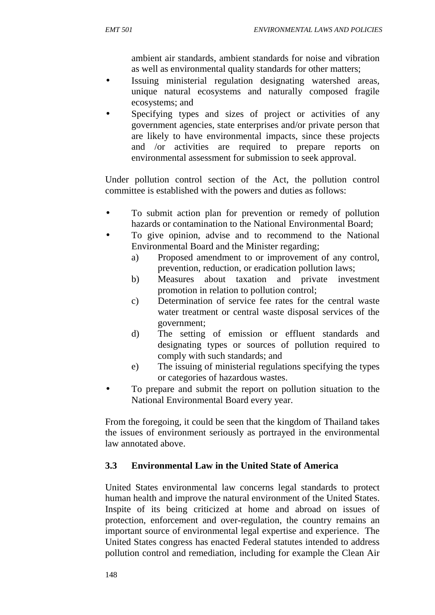ambient air standards, ambient standards for noise and vibration as well as environmental quality standards for other matters;

- Issuing ministerial regulation designating watershed areas, unique natural ecosystems and naturally composed fragile ecosystems; and
- Specifying types and sizes of project or activities of any government agencies, state enterprises and/or private person that are likely to have environmental impacts, since these projects and /or activities are required to prepare reports on environmental assessment for submission to seek approval.

Under pollution control section of the Act, the pollution control committee is established with the powers and duties as follows:

- To submit action plan for prevention or remedy of pollution hazards or contamination to the National Environmental Board;
- To give opinion, advise and to recommend to the National Environmental Board and the Minister regarding;
	- a) Proposed amendment to or improvement of any control, prevention, reduction, or eradication pollution laws;
	- b) Measures about taxation and private investment promotion in relation to pollution control;
	- c) Determination of service fee rates for the central waste water treatment or central waste disposal services of the government;
	- d) The setting of emission or effluent standards and designating types or sources of pollution required to comply with such standards; and
	- e) The issuing of ministerial regulations specifying the types or categories of hazardous wastes.
- To prepare and submit the report on pollution situation to the National Environmental Board every year.

From the foregoing, it could be seen that the kingdom of Thailand takes the issues of environment seriously as portrayed in the environmental law annotated above.

# **3.3 Environmental Law in the United State of America**

United States environmental law concerns legal standards to protect human health and improve the natural environment of the United States. Inspite of its being criticized at home and abroad on issues of protection, enforcement and over-regulation, the country remains an important source of environmental legal expertise and experience. The United States congress has enacted Federal statutes intended to address pollution control and remediation, including for example the Clean Air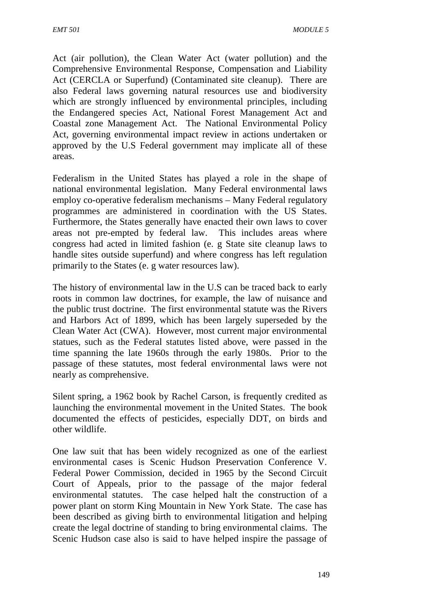Act (air pollution), the Clean Water Act (water pollution) and the Comprehensive Environmental Response, Compensation and Liability Act (CERCLA or Superfund) (Contaminated site cleanup). There are also Federal laws governing natural resources use and biodiversity which are strongly influenced by environmental principles, including the Endangered species Act, National Forest Management Act and Coastal zone Management Act. The National Environmental Policy Act, governing environmental impact review in actions undertaken or approved by the U.S Federal government may implicate all of these areas.

Federalism in the United States has played a role in the shape of national environmental legislation. Many Federal environmental laws employ co-operative federalism mechanisms – Many Federal regulatory programmes are administered in coordination with the US States. Furthermore, the States generally have enacted their own laws to cover areas not pre-empted by federal law. This includes areas where congress had acted in limited fashion (e. g State site cleanup laws to handle sites outside superfund) and where congress has left regulation primarily to the States (e. g water resources law).

The history of environmental law in the U.S can be traced back to early roots in common law doctrines, for example, the law of nuisance and the public trust doctrine. The first environmental statute was the Rivers and Harbors Act of 1899, which has been largely superseded by the Clean Water Act (CWA). However, most current major environmental statues, such as the Federal statutes listed above, were passed in the time spanning the late 1960s through the early 1980s. Prior to the passage of these statutes, most federal environmental laws were not nearly as comprehensive.

Silent spring, a 1962 book by Rachel Carson, is frequently credited as launching the environmental movement in the United States. The book documented the effects of pesticides, especially DDT, on birds and other wildlife.

One law suit that has been widely recognized as one of the earliest environmental cases is Scenic Hudson Preservation Conference V. Federal Power Commission, decided in 1965 by the Second Circuit Court of Appeals, prior to the passage of the major federal environmental statutes. The case helped halt the construction of a power plant on storm King Mountain in New York State. The case has been described as giving birth to environmental litigation and helping create the legal doctrine of standing to bring environmental claims. The Scenic Hudson case also is said to have helped inspire the passage of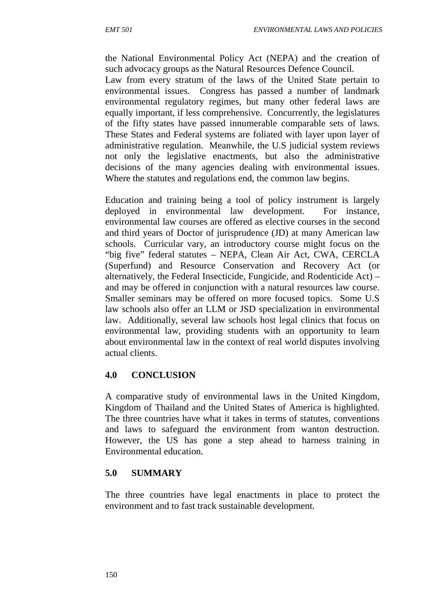the National Environmental Policy Act (NEPA) and the creation of such advocacy groups as the Natural Resources Defence Council.

Law from every stratum of the laws of the United State pertain to environmental issues. Congress has passed a number of landmark environmental regulatory regimes, but many other federal laws are equally important, if less comprehensive. Concurrently, the legislatures of the fifty states have passed innumerable comparable sets of laws. These States and Federal systems are foliated with layer upon layer of administrative regulation. Meanwhile, the U.S judicial system reviews not only the legislative enactments, but also the administrative decisions of the many agencies dealing with environmental issues. Where the statutes and regulations end, the common law begins.

Education and training being a tool of policy instrument is largely deployed in environmental law development. For instance, environmental law courses are offered as elective courses in the second and third years of Doctor of jurisprudence (JD) at many American law schools. Curricular vary, an introductory course might focus on the "big five" federal statutes – NEPA, Clean Air Act, CWA, CERCLA (Superfund) and Resource Conservation and Recovery Act (or alternatively, the Federal Insecticide, Fungicide, and Rodenticide Act) – and may be offered in conjunction with a natural resources law course. Smaller seminars may be offered on more focused topics. Some U.S law schools also offer an LLM or JSD specialization in environmental law. Additionally, several law schools host legal clinics that focus on environmental law, providing students with an opportunity to learn about environmental law in the context of real world disputes involving actual clients.

# **4.0 CONCLUSION**

A comparative study of environmental laws in the United Kingdom, Kingdom of Thailand and the United States of America is highlighted. The three countries have what it takes in terms of statutes, conventions and laws to safeguard the environment from wanton destruction. However, the US has gone a step ahead to harness training in Environmental education.

# **5.0 SUMMARY**

The three countries have legal enactments in place to protect the environment and to fast track sustainable development.